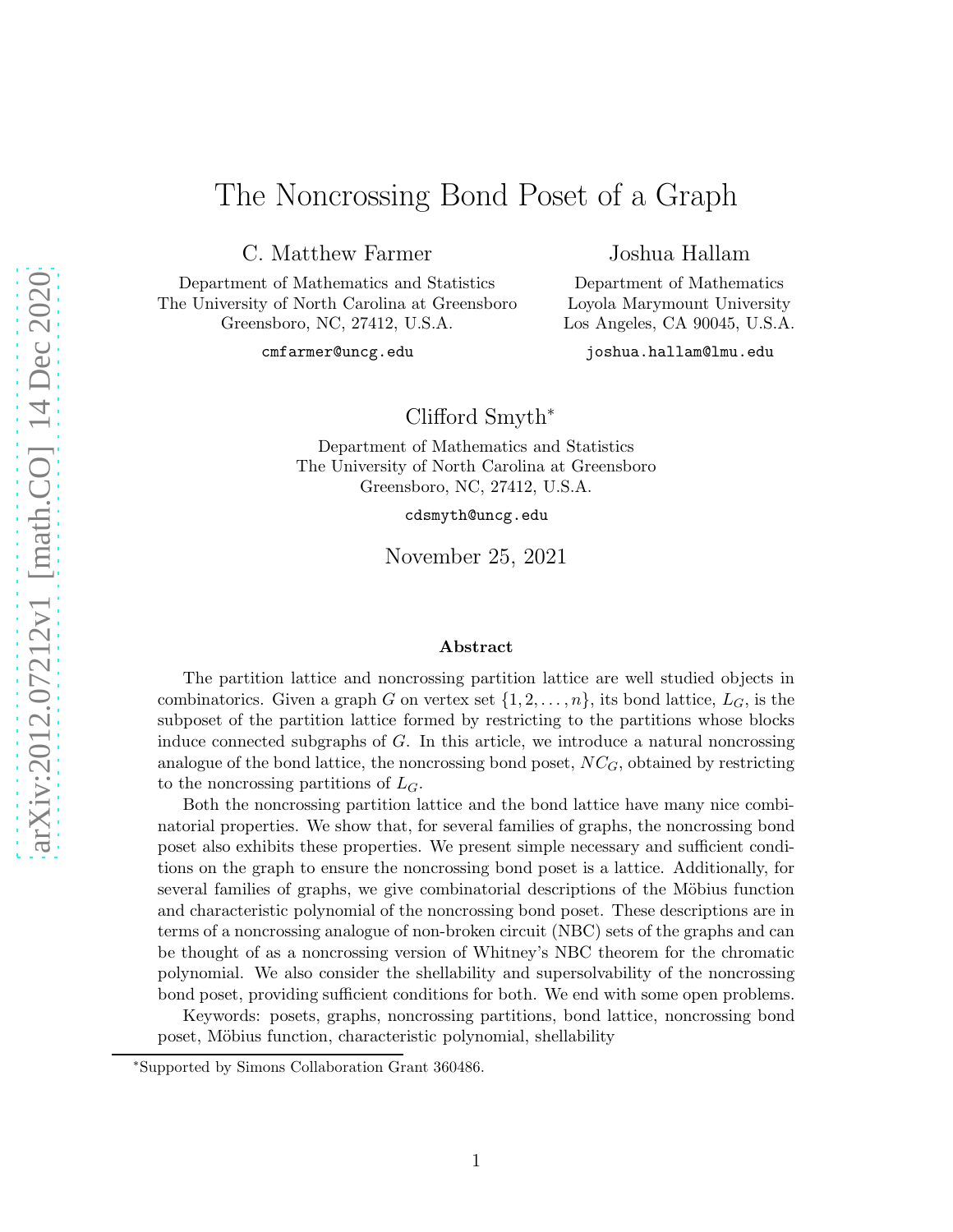# The Noncrossing Bond Poset of a Graph

C. Matthew Farmer

Department of Mathematics and Statistics The University of North Carolina at Greensboro Greensboro, NC, 27412, U.S.A.

cmfarmer@uncg.edu

Joshua Hallam

Department of Mathematics Loyola Marymount University Los Angeles, CA 90045, U.S.A.

joshua.hallam@lmu.edu

Clifford Smyth<sup>∗</sup>

Department of Mathematics and Statistics The University of North Carolina at Greensboro Greensboro, NC, 27412, U.S.A.

cdsmyth@uncg.edu

November 25, 2021

#### Abstract

The partition lattice and noncrossing partition lattice are well studied objects in combinatorics. Given a graph G on vertex set  $\{1, 2, \ldots, n\}$ , its bond lattice,  $L_G$ , is the subposet of the partition lattice formed by restricting to the partitions whose blocks induce connected subgraphs of G. In this article, we introduce a natural noncrossing analogue of the bond lattice, the noncrossing bond poset,  $NC_G$ , obtained by restricting to the noncrossing partitions of  $L_G$ .

Both the noncrossing partition lattice and the bond lattice have many nice combinatorial properties. We show that, for several families of graphs, the noncrossing bond poset also exhibits these properties. We present simple necessary and sufficient conditions on the graph to ensure the noncrossing bond poset is a lattice. Additionally, for several families of graphs, we give combinatorial descriptions of the Möbius function and characteristic polynomial of the noncrossing bond poset. These descriptions are in terms of a noncrossing analogue of non-broken circuit (NBC) sets of the graphs and can be thought of as a noncrossing version of Whitney's NBC theorem for the chromatic polynomial. We also consider the shellability and supersolvability of the noncrossing bond poset, providing sufficient conditions for both. We end with some open problems.

Keywords: posets, graphs, noncrossing partitions, bond lattice, noncrossing bond poset, Möbius function, characteristic polynomial, shellability

<sup>∗</sup>Supported by Simons Collaboration Grant 360486.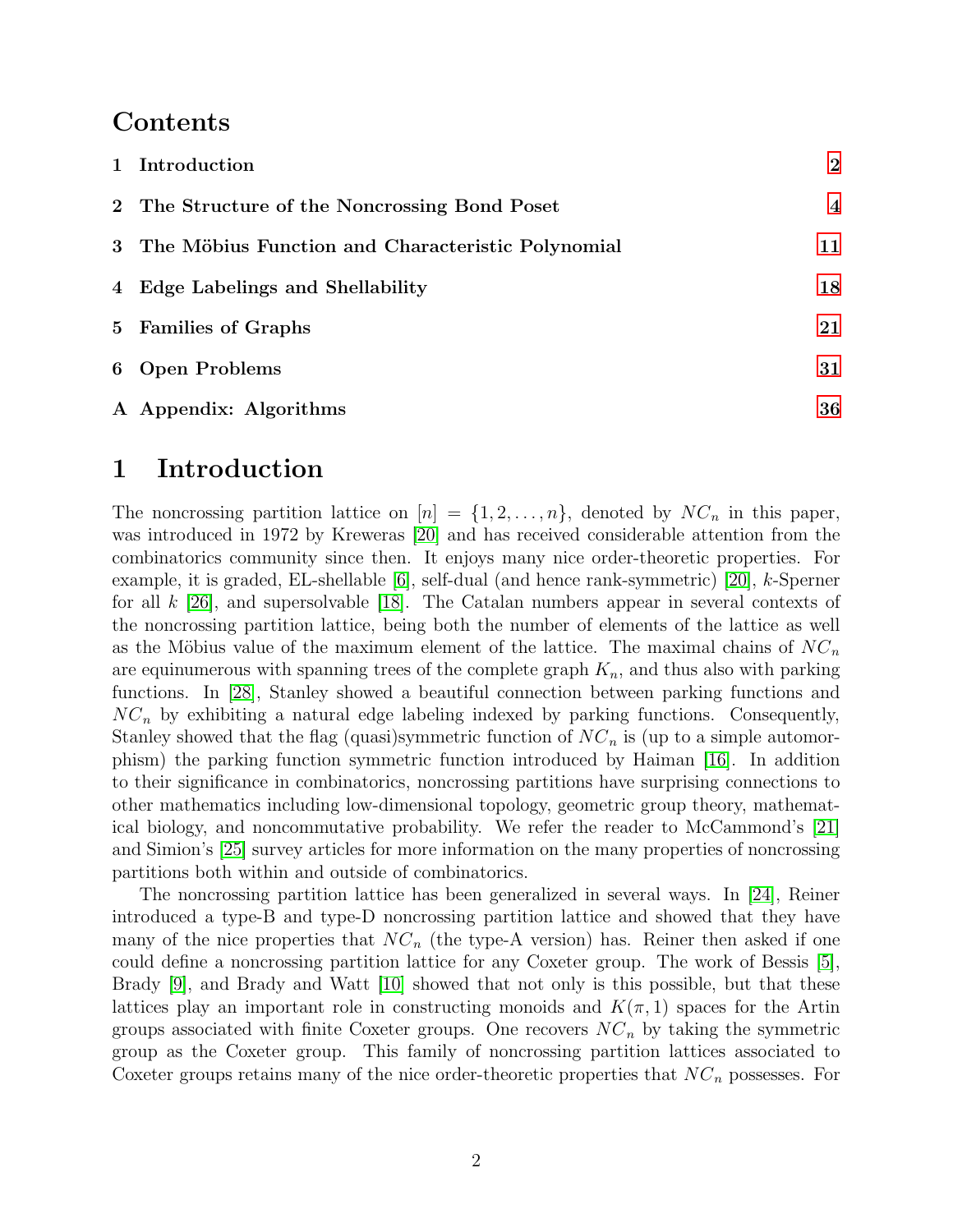## Contents

| 1 Introduction                                      | $\overline{2}$ |
|-----------------------------------------------------|----------------|
| 2 The Structure of the Noncrossing Bond Poset       | 4              |
| 3 The Möbius Function and Characteristic Polynomial | 11             |
| 4 Edge Labelings and Shellability                   | 18             |
| 5 Families of Graphs                                | 21             |
| 6 Open Problems                                     | 31             |
| A Appendix: Algorithms                              | 36             |

## <span id="page-1-0"></span>1 Introduction

The noncrossing partition lattice on  $[n] = \{1, 2, \ldots, n\}$ , denoted by  $NC_n$  in this paper, was introduced in 1972 by Kreweras [\[20\]](#page-34-0) and has received considerable attention from the combinatorics community since then. It enjoys many nice order-theoretic properties. For example, it is graded, EL-shellable [\[6\]](#page-33-0), self-dual (and hence rank-symmetric) [\[20\]](#page-34-0), k-Sperner for all  $k$  [\[26\]](#page-34-1), and supersolvable [\[18\]](#page-33-1). The Catalan numbers appear in several contexts of the noncrossing partition lattice, being both the number of elements of the lattice as well as the Möbius value of the maximum element of the lattice. The maximal chains of  $NC_n$ are equinumerous with spanning trees of the complete graph  $K_n$ , and thus also with parking functions. In [\[28\]](#page-34-2), Stanley showed a beautiful connection between parking functions and  $NC_n$  by exhibiting a natural edge labeling indexed by parking functions. Consequently, Stanley showed that the flag (quasi)symmetric function of  $NC_n$  is (up to a simple automorphism) the parking function symmetric function introduced by Haiman [\[16\]](#page-33-2). In addition to their significance in combinatorics, noncrossing partitions have surprising connections to other mathematics including low-dimensional topology, geometric group theory, mathematical biology, and noncommutative probability. We refer the reader to McCammond's [\[21\]](#page-34-3) and Simion's [\[25\]](#page-34-4) survey articles for more information on the many properties of noncrossing partitions both within and outside of combinatorics.

The noncrossing partition lattice has been generalized in several ways. In [\[24\]](#page-34-5), Reiner introduced a type-B and type-D noncrossing partition lattice and showed that they have many of the nice properties that  $NC_n$  (the type-A version) has. Reiner then asked if one could define a noncrossing partition lattice for any Coxeter group. The work of Bessis [\[5\]](#page-33-3), Brady [\[9\]](#page-33-4), and Brady and Watt [\[10\]](#page-33-5) showed that not only is this possible, but that these lattices play an important role in constructing monoids and  $K(\pi, 1)$  spaces for the Artin groups associated with finite Coxeter groups. One recovers  $NC_n$  by taking the symmetric group as the Coxeter group. This family of noncrossing partition lattices associated to Coxeter groups retains many of the nice order-theoretic properties that  $NC_n$  possesses. For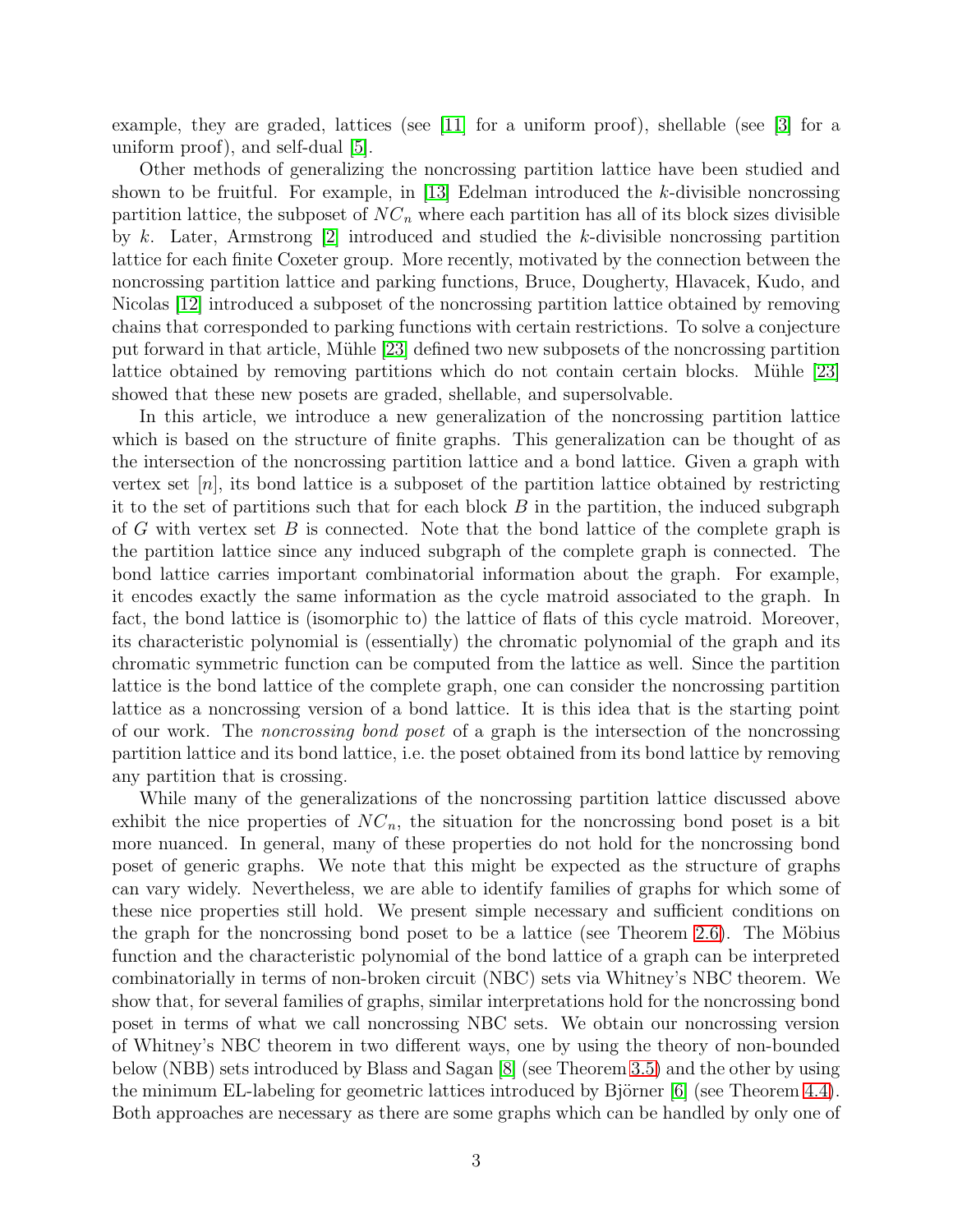example, they are graded, lattices (see  $|11|$  for a uniform proof), shellable (see  $|3|$  for a uniform proof), and self-dual [\[5\]](#page-33-3).

Other methods of generalizing the noncrossing partition lattice have been studied and shown to be fruitful. For example, in  $|13|$  Edelman introduced the k-divisible noncrossing partition lattice, the subposet of  $NC_n$  where each partition has all of its block sizes divisible by k. Later, Armstrong  $\lbrack 2 \rbrack$  introduced and studied the k-divisible noncrossing partition lattice for each finite Coxeter group. More recently, motivated by the connection between the noncrossing partition lattice and parking functions, Bruce, Dougherty, Hlavacek, Kudo, and Nicolas [\[12\]](#page-33-9) introduced a subposet of the noncrossing partition lattice obtained by removing chains that corresponded to parking functions with certain restrictions. To solve a conjecture put forward in that article, Mühle [\[23\]](#page-34-6) defined two new subposets of the noncrossing partition lattice obtained by removing partitions which do not contain certain blocks. Mühle [\[23\]](#page-34-6) showed that these new posets are graded, shellable, and supersolvable.

In this article, we introduce a new generalization of the noncrossing partition lattice which is based on the structure of finite graphs. This generalization can be thought of as the intersection of the noncrossing partition lattice and a bond lattice. Given a graph with vertex set  $|n|$ , its bond lattice is a subposet of the partition lattice obtained by restricting it to the set of partitions such that for each block  $B$  in the partition, the induced subgraph of G with vertex set B is connected. Note that the bond lattice of the complete graph is the partition lattice since any induced subgraph of the complete graph is connected. The bond lattice carries important combinatorial information about the graph. For example, it encodes exactly the same information as the cycle matroid associated to the graph. In fact, the bond lattice is (isomorphic to) the lattice of flats of this cycle matroid. Moreover, its characteristic polynomial is (essentially) the chromatic polynomial of the graph and its chromatic symmetric function can be computed from the lattice as well. Since the partition lattice is the bond lattice of the complete graph, one can consider the noncrossing partition lattice as a noncrossing version of a bond lattice. It is this idea that is the starting point of our work. The noncrossing bond poset of a graph is the intersection of the noncrossing partition lattice and its bond lattice, i.e. the poset obtained from its bond lattice by removing any partition that is crossing.

While many of the generalizations of the noncrossing partition lattice discussed above exhibit the nice properties of  $NC_n$ , the situation for the noncrossing bond poset is a bit more nuanced. In general, many of these properties do not hold for the noncrossing bond poset of generic graphs. We note that this might be expected as the structure of graphs can vary widely. Nevertheless, we are able to identify families of graphs for which some of these nice properties still hold. We present simple necessary and sufficient conditions on the graph for the noncrossing bond poset to be a lattice (see Theorem [2.6\)](#page-7-0). The Möbius function and the characteristic polynomial of the bond lattice of a graph can be interpreted combinatorially in terms of non-broken circuit (NBC) sets via Whitney's NBC theorem. We show that, for several families of graphs, similar interpretations hold for the noncrossing bond poset in terms of what we call noncrossing NBC sets. We obtain our noncrossing version of Whitney's NBC theorem in two different ways, one by using the theory of non-bounded below (NBB) sets introduced by Blass and Sagan [\[8\]](#page-33-10) (see Theorem [3.5\)](#page-12-0) and the other by using the minimum EL-labeling for geometric lattices introduced by Björner  $[6]$  (see Theorem [4.4\)](#page-19-0). Both approaches are necessary as there are some graphs which can be handled by only one of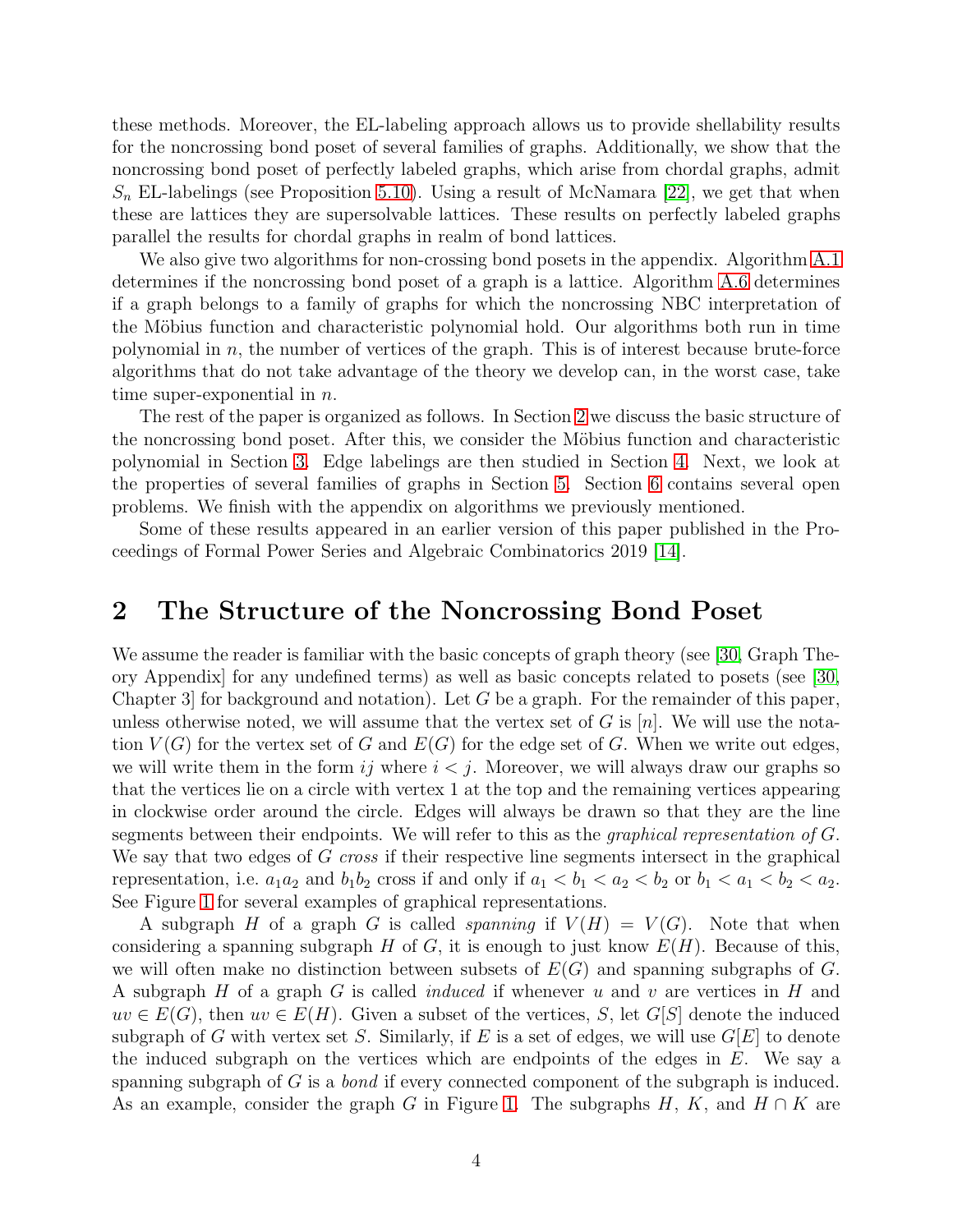these methods. Moreover, the EL-labeling approach allows us to provide shellability results for the noncrossing bond poset of several families of graphs. Additionally, we show that the noncrossing bond poset of perfectly labeled graphs, which arise from chordal graphs, admit  $S_n$  EL-labelings (see Proposition [5.10\)](#page-25-0). Using a result of McNamara [\[22\]](#page-34-7), we get that when these are lattices they are supersolvable lattices. These results on perfectly labeled graphs parallel the results for chordal graphs in realm of bond lattices.

We also give two algorithms for non-crossing bond posets in the appendix. Algorithm [A.1](#page-35-1) determines if the noncrossing bond poset of a graph is a lattice. Algorithm [A.6](#page-37-0) determines if a graph belongs to a family of graphs for which the noncrossing NBC interpretation of the Möbius function and characteristic polynomial hold. Our algorithms both run in time polynomial in  $n$ , the number of vertices of the graph. This is of interest because brute-force algorithms that do not take advantage of the theory we develop can, in the worst case, take time super-exponential in  $n$ .

The rest of the paper is organized as follows. In Section [2](#page-3-0) we discuss the basic structure of the noncrossing bond poset. After this, we consider the Möbius function and characteristic polynomial in Section [3.](#page-10-0) Edge labelings are then studied in Section [4.](#page-17-0) Next, we look at the properties of several families of graphs in Section [5.](#page-20-0) Section [6](#page-30-0) contains several open problems. We finish with the appendix on algorithms we previously mentioned.

Some of these results appeared in an earlier version of this paper published in the Proceedings of Formal Power Series and Algebraic Combinatorics 2019 [\[14\]](#page-33-11).

## <span id="page-3-0"></span>2 The Structure of the Noncrossing Bond Poset

We assume the reader is familiar with the basic concepts of graph theory (see [\[30,](#page-34-8) Graph Theory Appendix] for any undefined terms) as well as basic concepts related to posets (see [\[30,](#page-34-8) Chapter 3] for background and notation). Let G be a graph. For the remainder of this paper, unless otherwise noted, we will assume that the vertex set of G is  $|n|$ . We will use the notation  $V(G)$  for the vertex set of G and  $E(G)$  for the edge set of G. When we write out edges, we will write them in the form ij where  $i < j$ . Moreover, we will always draw our graphs so that the vertices lie on a circle with vertex 1 at the top and the remaining vertices appearing in clockwise order around the circle. Edges will always be drawn so that they are the line segments between their endpoints. We will refer to this as the *graphical representation of G*. We say that two edges of  $G$  cross if their respective line segments intersect in the graphical representation, i.e.  $a_1a_2$  and  $b_1b_2$  cross if and only if  $a_1 < b_1 < a_2 < b_2$  or  $b_1 < a_1 < b_2 < a_2$ . See Figure [1](#page-4-0) for several examples of graphical representations.

A subgraph H of a graph G is called *spanning* if  $V(H) = V(G)$ . Note that when considering a spanning subgraph H of G, it is enough to just know  $E(H)$ . Because of this, we will often make no distinction between subsets of  $E(G)$  and spanning subgraphs of G. A subgraph H of a graph G is called *induced* if whenever u and v are vertices in H and  $uv \in E(G)$ , then  $uv \in E(H)$ . Given a subset of the vertices, S, let G[S] denote the induced subgraph of G with vertex set S. Similarly, if E is a set of edges, we will use  $G[E]$  to denote the induced subgraph on the vertices which are endpoints of the edges in  $E$ . We say a spanning subgraph of  $G$  is a *bond* if every connected component of the subgraph is induced. As an example, consider the graph G in Figure [1.](#page-4-0) The subgraphs H, K, and  $H \cap K$  are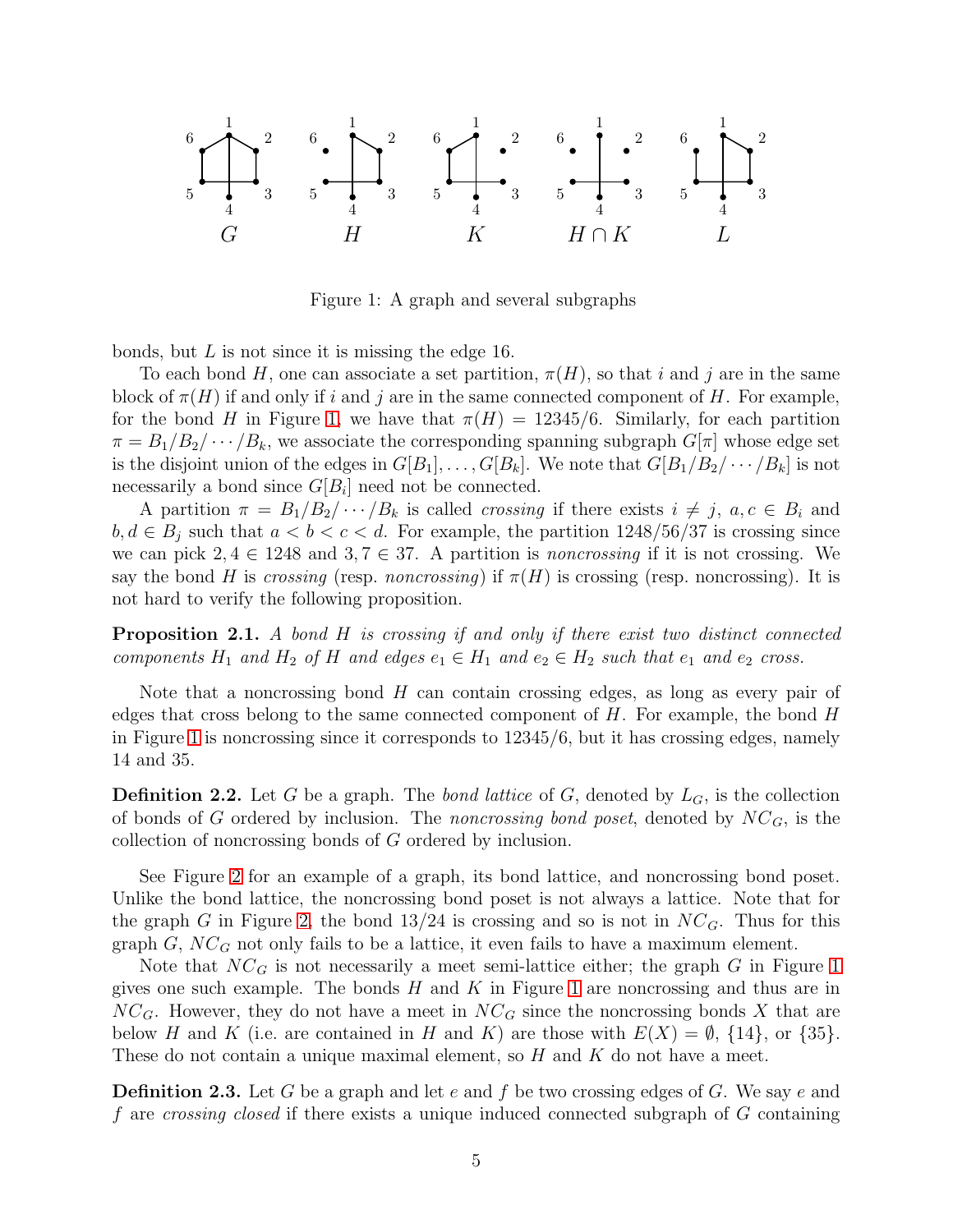

<span id="page-4-0"></span>Figure 1: A graph and several subgraphs

bonds, but  $L$  is not since it is missing the edge 16.

To each bond H, one can associate a set partition,  $\pi(H)$ , so that i and j are in the same block of  $\pi(H)$  if and only if i and j are in the same connected component of H. For example, for the bond H in Figure [1,](#page-4-0) we have that  $\pi(H) = 12345/6$ . Similarly, for each partition  $\pi = B_1/B_2/\cdots/B_k$ , we associate the corresponding spanning subgraph  $G[\pi]$  whose edge set is the disjoint union of the edges in  $G[B_1], \ldots, G[B_k]$ . We note that  $G[B_1/B_2/\cdots/B_k]$  is not necessarily a bond since  $G[B_i]$  need not be connected.

A partition  $\pi = B_1/B_2/\cdots/B_k$  is called *crossing* if there exists  $i \neq j$ ,  $a, c \in B_i$  and  $b, d \in B_i$  such that  $a < b < c < d$ . For example, the partition 1248/56/37 is crossing since we can pick  $2, 4 \in 1248$  and  $3, 7 \in 37$ . A partition is *noncrossing* if it is not crossing. We say the bond H is crossing (resp. noncrossing) if  $\pi(H)$  is crossing (resp. noncrossing). It is not hard to verify the following proposition.

<span id="page-4-2"></span>**Proposition 2.1.** A bond H is crossing if and only if there exist two distinct connected components  $H_1$  and  $H_2$  of H and edges  $e_1 \in H_1$  and  $e_2 \in H_2$  such that  $e_1$  and  $e_2$  cross.

Note that a noncrossing bond  $H$  can contain crossing edges, as long as every pair of edges that cross belong to the same connected component of  $H$ . For example, the bond  $H$ in Figure [1](#page-4-0) is noncrossing since it corresponds to 12345/6, but it has crossing edges, namely 14 and 35.

**Definition 2.2.** Let G be a graph. The *bond lattice* of G, denoted by  $L_G$ , is the collection of bonds of G ordered by inclusion. The noncrossing bond poset, denoted by  $NC_G$ , is the collection of noncrossing bonds of G ordered by inclusion.

See Figure [2](#page-5-0) for an example of a graph, its bond lattice, and noncrossing bond poset. Unlike the bond lattice, the noncrossing bond poset is not always a lattice. Note that for the graph G in Figure [2,](#page-5-0) the bond  $13/24$  is crossing and so is not in  $NC_G$ . Thus for this graph  $G, NC_G$  not only fails to be a lattice, it even fails to have a maximum element.

Note that  $NC_G$  is not necessarily a meet semi-lattice either; the graph G in Figure [1](#page-4-0) gives one such example. The bonds  $H$  and  $K$  in Figure [1](#page-4-0) are noncrossing and thus are in  $NC_G$ . However, they do not have a meet in  $NC_G$  since the noncrossing bonds X that are below H and K (i.e. are contained in H and K) are those with  $E(X) = \emptyset$ ,  $\{14\}$ , or  $\{35\}$ . These do not contain a unique maximal element, so  $H$  and  $K$  do not have a meet.

<span id="page-4-1"></span>**Definition 2.3.** Let G be a graph and let e and f be two crossing edges of G. We say e and f are crossing closed if there exists a unique induced connected subgraph of G containing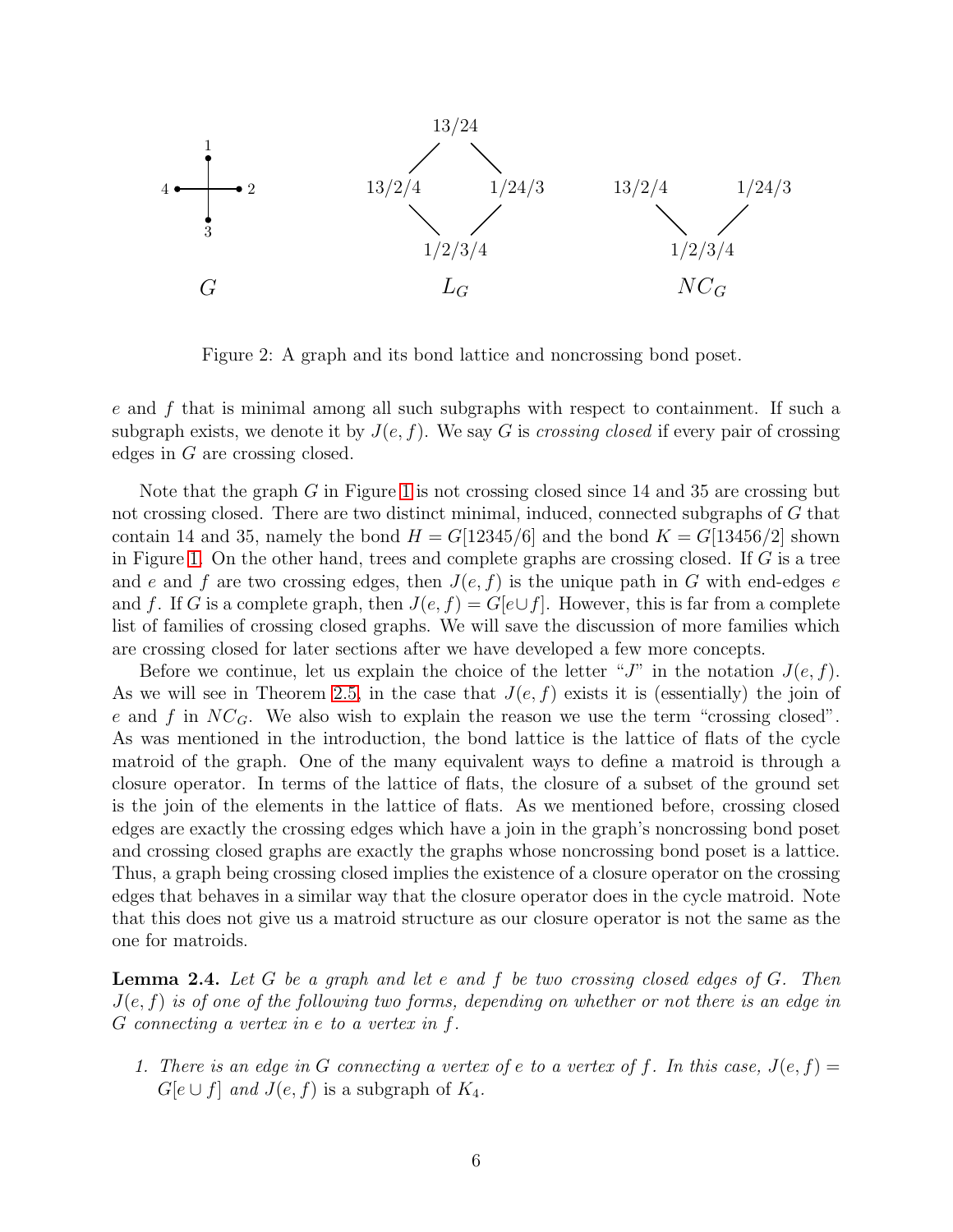

<span id="page-5-0"></span>Figure 2: A graph and its bond lattice and noncrossing bond poset.

e and f that is minimal among all such subgraphs with respect to containment. If such a subgraph exists, we denote it by  $J(e, f)$ . We say G is *crossing closed* if every pair of crossing edges in G are crossing closed.

Note that the graph G in Figure [1](#page-4-0) is not crossing closed since  $14$  and  $35$  are crossing but not crossing closed. There are two distinct minimal, induced, connected subgraphs of G that contain 14 and 35, namely the bond  $H = G[12345/6]$  and the bond  $K = G[13456/2]$  shown in Figure [1.](#page-4-0) On the other hand, trees and complete graphs are crossing closed. If  $G$  is a tree and e and f are two crossing edges, then  $J(e, f)$  is the unique path in G with end-edges e and f. If G is a complete graph, then  $J(e, f) = G[e \cup f]$ . However, this is far from a complete list of families of crossing closed graphs. We will save the discussion of more families which are crossing closed for later sections after we have developed a few more concepts.

Before we continue, let us explain the choice of the letter "J" in the notation  $J(e, f)$ . As we will see in Theorem [2.5,](#page-7-1) in the case that  $J(e, f)$  exists it is (essentially) the join of e and f in  $NC_G$ . We also wish to explain the reason we use the term "crossing closed". As was mentioned in the introduction, the bond lattice is the lattice of flats of the cycle matroid of the graph. One of the many equivalent ways to define a matroid is through a closure operator. In terms of the lattice of flats, the closure of a subset of the ground set is the join of the elements in the lattice of flats. As we mentioned before, crossing closed edges are exactly the crossing edges which have a join in the graph's noncrossing bond poset and crossing closed graphs are exactly the graphs whose noncrossing bond poset is a lattice. Thus, a graph being crossing closed implies the existence of a closure operator on the crossing edges that behaves in a similar way that the closure operator does in the cycle matroid. Note that this does not give us a matroid structure as our closure operator is not the same as the one for matroids.

<span id="page-5-1"></span>**Lemma 2.4.** Let G be a graph and let e and f be two crossing closed edges of G. Then  $J(e, f)$  is of one of the following two forms, depending on whether or not there is an edge in G connecting a vertex in e to a vertex in f.

1. There is an edge in G connecting a vertex of e to a vertex of f. In this case,  $J(e, f) =$  $G[e \cup f]$  and  $J(e, f)$  is a subgraph of  $K_4$ .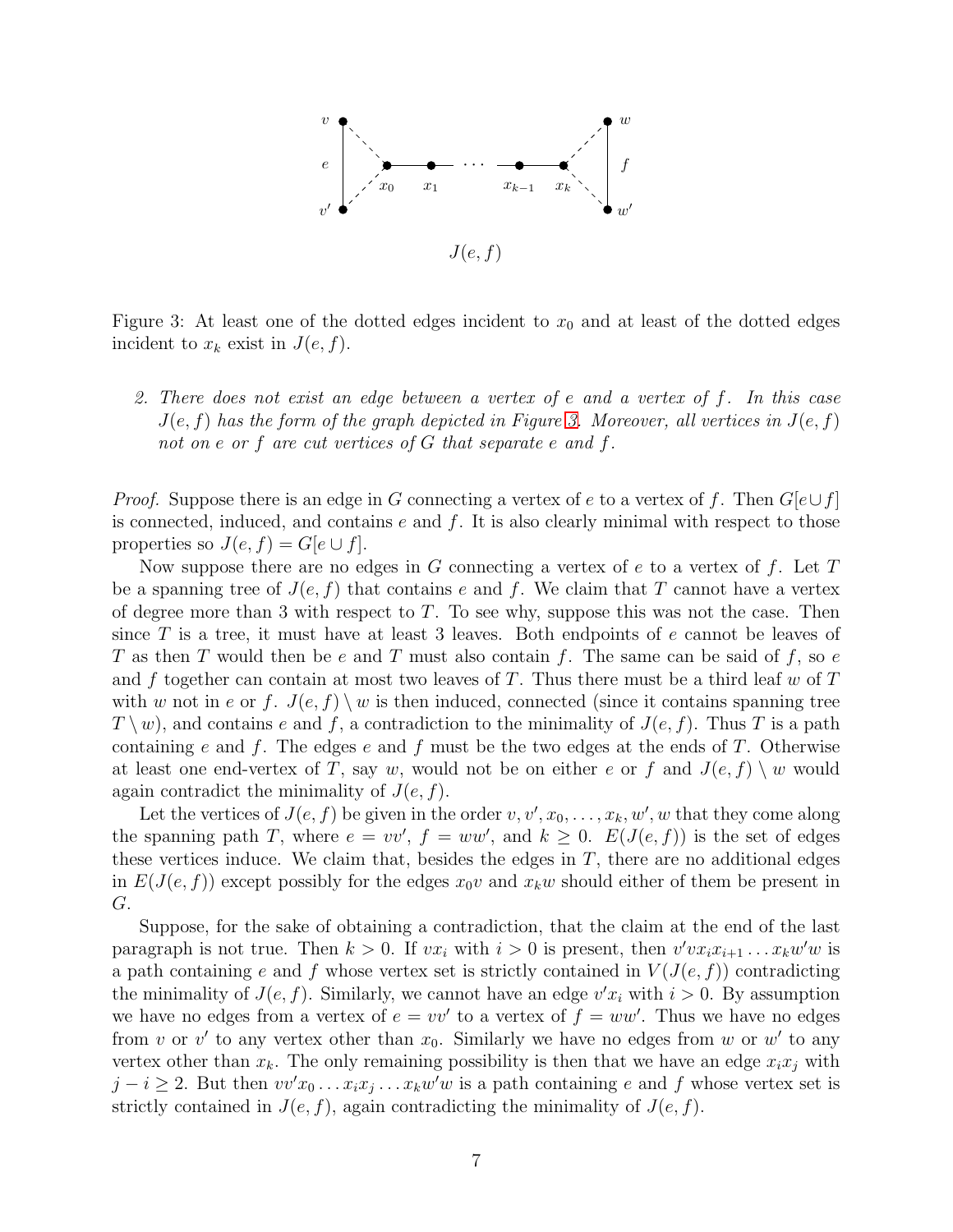

<span id="page-6-0"></span>Figure 3: At least one of the dotted edges incident to  $x_0$  and at least of the dotted edges incident to  $x_k$  exist in  $J(e, f)$ .

2. There does not exist an edge between a vertex of e and a vertex of f. In this case  $J(e, f)$  has the form of the graph depicted in Figure [3.](#page-6-0) Moreover, all vertices in  $J(e, f)$ not on e or f are cut vertices of G that separate e and f.

*Proof.* Suppose there is an edge in G connecting a vertex of e to a vertex of f. Then  $G[e \cup f]$ is connected, induced, and contains  $e$  and  $f$ . It is also clearly minimal with respect to those properties so  $J(e, f) = G[e \cup f]$ .

Now suppose there are no edges in  $G$  connecting a vertex of  $e$  to a vertex of  $f$ . Let  $T$ be a spanning tree of  $J(e, f)$  that contains e and f. We claim that T cannot have a vertex of degree more than 3 with respect to  $T$ . To see why, suppose this was not the case. Then since  $T$  is a tree, it must have at least 3 leaves. Both endpoints of  $e$  cannot be leaves of T as then T would then be e and T must also contain f. The same can be said of f, so e and f together can contain at most two leaves of T. Thus there must be a third leaf  $w$  of  $T$ with w not in e or f.  $J(e, f) \setminus w$  is then induced, connected (since it contains spanning tree  $T \setminus w$ , and contains e and f, a contradiction to the minimality of  $J(e, f)$ . Thus T is a path containing e and f. The edges e and f must be the two edges at the ends of T. Otherwise at least one end-vertex of T, say w, would not be on either e or f and  $J(e, f) \setminus w$  would again contradict the minimality of  $J(e, f)$ .

Let the vertices of  $J(e, f)$  be given in the order  $v, v', x_0, \ldots, x_k, w', w$  that they come along the spanning path T, where  $e = vv'$ ,  $f = ww'$ , and  $k \geq 0$ .  $E(J(e, f))$  is the set of edges these vertices induce. We claim that, besides the edges in  $T$ , there are no additional edges in  $E(J(e, f))$  except possibly for the edges  $x_0v$  and  $x_kw$  should either of them be present in G.

Suppose, for the sake of obtaining a contradiction, that the claim at the end of the last paragraph is not true. Then  $k > 0$ . If  $vx_i$  with  $i > 0$  is present, then  $v'vx_ix_{i+1} \ldots x_kw'w$  is a path containing e and f whose vertex set is strictly contained in  $V(J(e, f))$  contradicting the minimality of  $J(e, f)$ . Similarly, we cannot have an edge  $v'x_i$  with  $i > 0$ . By assumption we have no edges from a vertex of  $e = vv'$  to a vertex of  $f = ww'$ . Thus we have no edges from v or v' to any vertex other than  $x_0$ . Similarly we have no edges from w or w' to any vertex other than  $x_k$ . The only remaining possibility is then that we have an edge  $x_ix_j$  with  $j - i \geq 2$ . But then  $vv'x_0 \ldots x_ix_j \ldots x_kw'w$  is a path containing e and f whose vertex set is strictly contained in  $J(e, f)$ , again contradicting the minimality of  $J(e, f)$ .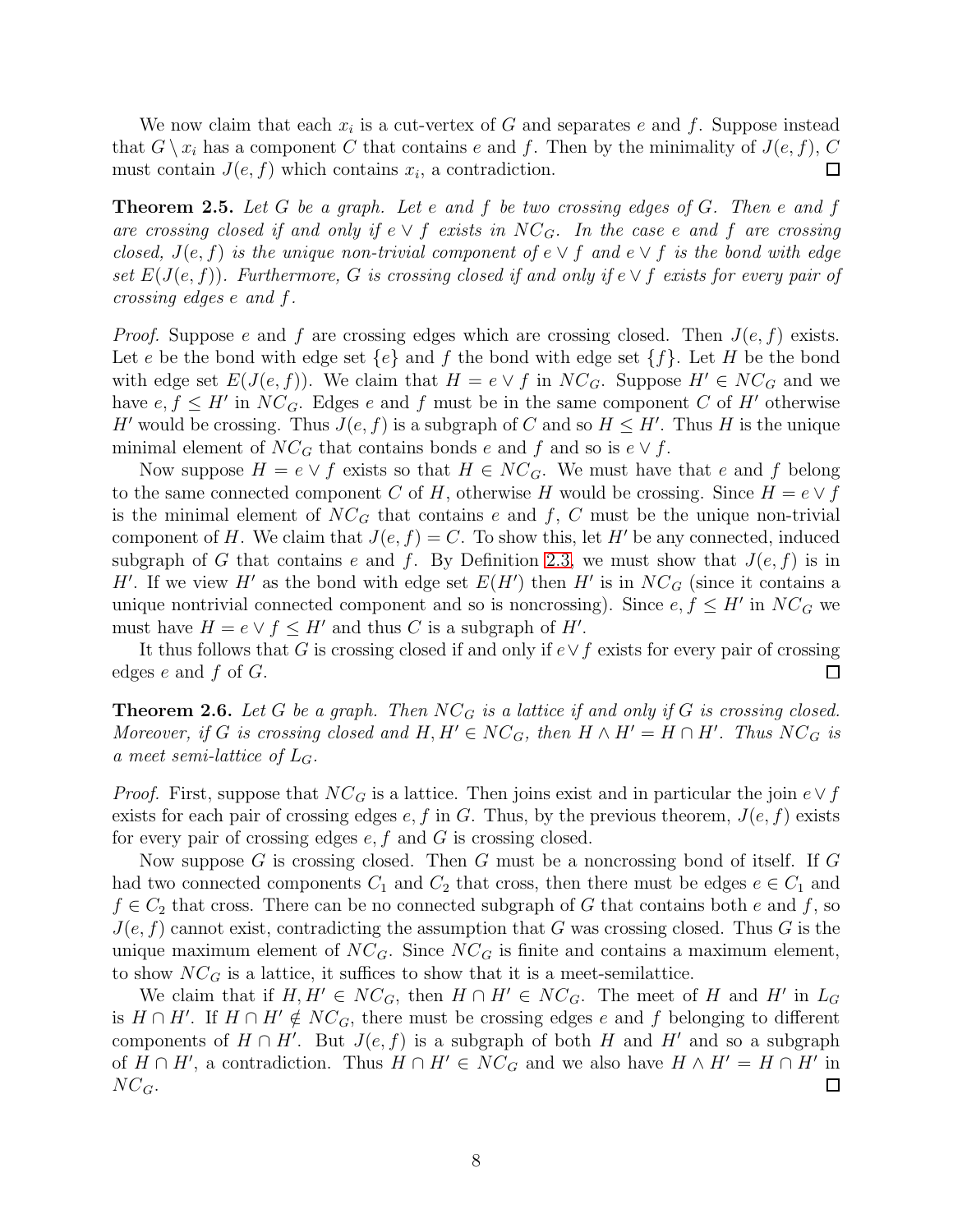We now claim that each  $x_i$  is a cut-vertex of G and separates e and f. Suppose instead that  $G \setminus x_i$  has a component C that contains e and f. Then by the minimality of  $J(e, f)$ , C must contain  $J(e, f)$  which contains  $x_i$ , a contradiction.  $\Box$ 

<span id="page-7-1"></span>**Theorem 2.5.** Let G be a graph. Let e and f be two crossing edges of G. Then e and f are crossing closed if and only if  $e \vee f$  exists in NC<sub>G</sub>. In the case e and f are crossing closed,  $J(e, f)$  is the unique non-trivial component of  $e \vee f$  and  $e \vee f$  is the bond with edge set  $E(J(e, f))$ . Furthermore, G is crossing closed if and only if  $e \vee f$  exists for every pair of crossing edges e and f.

*Proof.* Suppose e and f are crossing edges which are crossing closed. Then  $J(e, f)$  exists. Let e be the bond with edge set  $\{e\}$  and f the bond with edge set  $\{f\}$ . Let H be the bond with edge set  $E(J(e, f))$ . We claim that  $H = e \vee f$  in  $NC_G$ . Suppose  $H' \in NC_G$  and we have  $e, f \leq H'$  in  $NC_G$ . Edges e and f must be in the same component C of H' otherwise H' would be crossing. Thus  $J(e, f)$  is a subgraph of C and so  $H \leq H'$ . Thus H is the unique minimal element of  $NC_G$  that contains bonds e and f and so is  $e \vee f$ .

Now suppose  $H = e \vee f$  exists so that  $H \in NC_G$ . We must have that e and f belong to the same connected component C of H, otherwise H would be crossing. Since  $H = e \vee f$ is the minimal element of  $NC_G$  that contains e and f, C must be the unique non-trivial component of H. We claim that  $J(e, f) = C$ . To show this, let H' be any connected, induced subgraph of G that contains e and f. By Definition [2.3,](#page-4-1) we must show that  $J(e, f)$  is in H'. If we view H' as the bond with edge set  $E(H')$  then H' is in  $NC_G$  (since it contains a unique nontrivial connected component and so is noncrossing). Since  $e, f \leq H'$  in  $NC_G$  we must have  $H = e \vee f \leq H'$  and thus C is a subgraph of H'.

It thus follows that G is crossing closed if and only if  $e \vee f$  exists for every pair of crossing edges  $e$  and  $f$  of  $G$ .  $\Box$ 

<span id="page-7-0"></span>**Theorem 2.6.** Let G be a graph. Then  $NC_G$  is a lattice if and only if G is crossing closed. Moreover, if G is crossing closed and  $H, H' \in NC_G$ , then  $H \wedge H' = H \cap H'$ . Thus  $NC_G$  is a meet semi-lattice of  $L_G$ .

*Proof.* First, suppose that  $NC_G$  is a lattice. Then joins exist and in particular the join  $e \vee f$ exists for each pair of crossing edges e, f in G. Thus, by the previous theorem,  $J(e, f)$  exists for every pair of crossing edges  $e, f$  and  $G$  is crossing closed.

Now suppose G is crossing closed. Then G must be a noncrossing bond of itself. If G had two connected components  $C_1$  and  $C_2$  that cross, then there must be edges  $e \in C_1$  and  $f \in C_2$  that cross. There can be no connected subgraph of G that contains both e and f, so  $J(e, f)$  cannot exist, contradicting the assumption that G was crossing closed. Thus G is the unique maximum element of  $NC_G$ . Since  $NC_G$  is finite and contains a maximum element, to show  $NC_G$  is a lattice, it suffices to show that it is a meet-semilattice.

We claim that if  $H, H' \in NC_G$ , then  $H \cap H' \in NC_G$ . The meet of H and H' in  $L_G$ is  $H \cap H'$ . If  $H \cap H' \notin NC_G$ , there must be crossing edges e and f belonging to different components of  $H \cap H'$ . But  $J(e, f)$  is a subgraph of both H and H' and so a subgraph of  $H \cap H'$ , a contradiction. Thus  $H \cap H' \in NC_G$  and we also have  $H \wedge H' = H \cap H'$  in  $NC_G$ .  $\Box$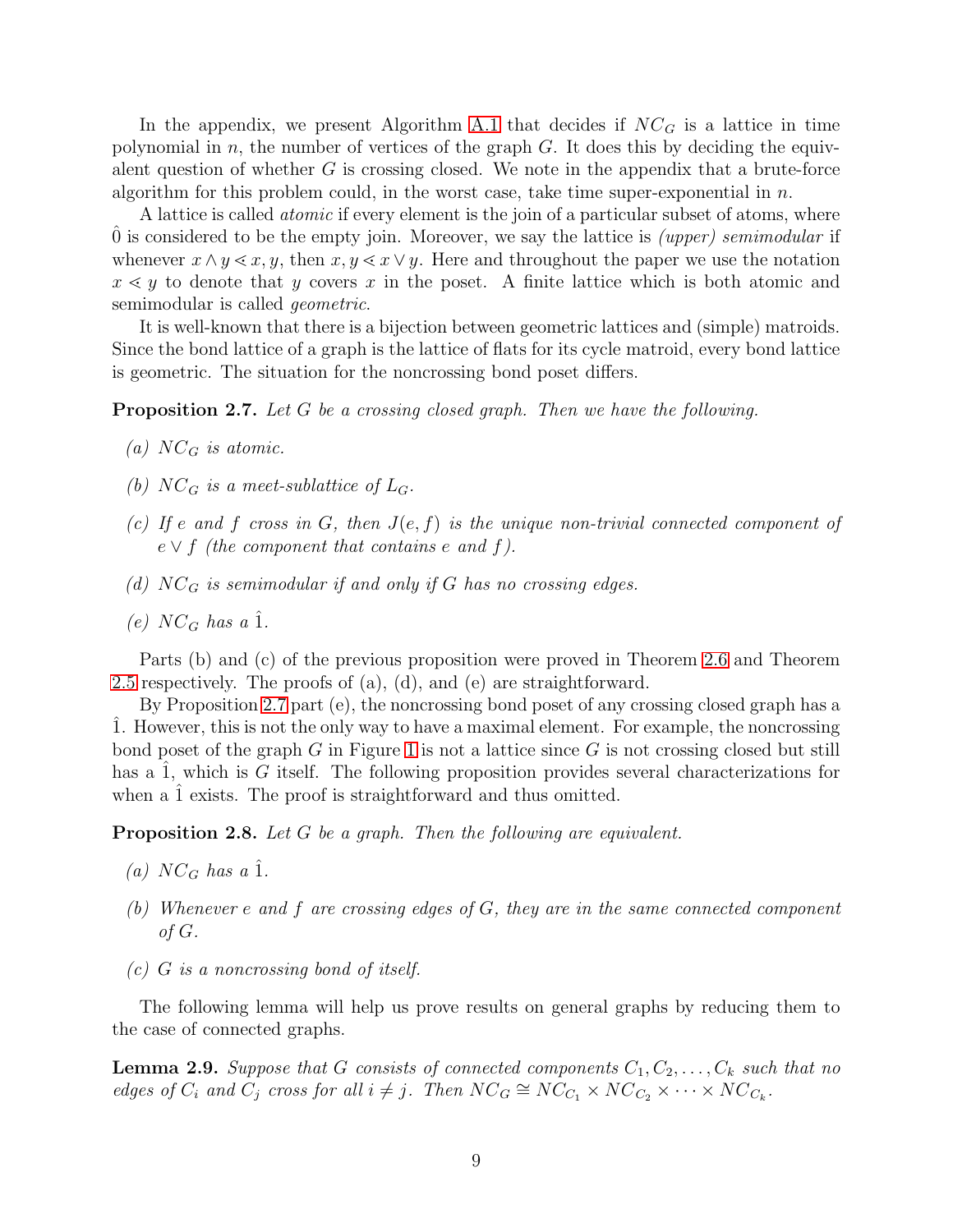In the appendix, we present Algorithm [A.1](#page-35-1) that decides if  $NC_G$  is a lattice in time polynomial in n, the number of vertices of the graph  $G$ . It does this by deciding the equivalent question of whether  $G$  is crossing closed. We note in the appendix that a brute-force algorithm for this problem could, in the worst case, take time super-exponential in  $n$ .

A lattice is called *atomic* if every element is the join of a particular subset of atoms, where  $\theta$  is considered to be the empty join. Moreover, we say the lattice is *(upper) semimodular* if whenever  $x \wedge y \leq x, y$ , then  $x, y \leq x \vee y$ . Here and throughout the paper we use the notation  $x \leq y$  to denote that y covers x in the poset. A finite lattice which is both atomic and semimodular is called geometric.

It is well-known that there is a bijection between geometric lattices and (simple) matroids. Since the bond lattice of a graph is the lattice of flats for its cycle matroid, every bond lattice is geometric. The situation for the noncrossing bond poset differs.

<span id="page-8-0"></span>Proposition 2.7. Let G be a crossing closed graph. Then we have the following.

- (a)  $NC_G$  is atomic.
- (b)  $NC_G$  is a meet-sublattice of  $L_G$ .
- (c) If e and f cross in G, then  $J(e, f)$  is the unique non-trivial connected component of  $e \vee f$  (the component that contains e and f).
- (d)  $NC_G$  is semimodular if and only if G has no crossing edges.
- (e)  $NC_G$  has a  $\hat{1}$ .

Parts (b) and (c) of the previous proposition were proved in Theorem [2.6](#page-7-0) and Theorem [2.5](#page-7-1) respectively. The proofs of (a), (d), and (e) are straightforward.

By Proposition [2.7](#page-8-0) part (e), the noncrossing bond poset of any crossing closed graph has a ˆ1. However, this is not the only way to have a maximal element. For example, the noncrossing bond poset of the graph  $G$  in Figure [1](#page-4-0) is not a lattice since  $G$  is not crossing closed but still has a  $\overline{1}$ , which is G itself. The following proposition provides several characterizations for when a  $\hat{1}$  exists. The proof is straightforward and thus omitted.

<span id="page-8-1"></span>**Proposition 2.8.** Let G be a graph. Then the following are equivalent.

- (a)  $NC_G$  has a 1.
- (b) Whenever e and f are crossing edges of G, they are in the same connected component of G.
- $(c)$  G is a noncrossing bond of itself.

The following lemma will help us prove results on general graphs by reducing them to the case of connected graphs.

<span id="page-8-2"></span>**Lemma 2.9.** Suppose that G consists of connected components  $C_1, C_2, \ldots, C_k$  such that no edges of  $C_i$  and  $C_j$  cross for all  $i \neq j$ . Then  $NC_G \cong NC_{C_1} \times NC_{C_2} \times \cdots \times NC_{C_k}$ .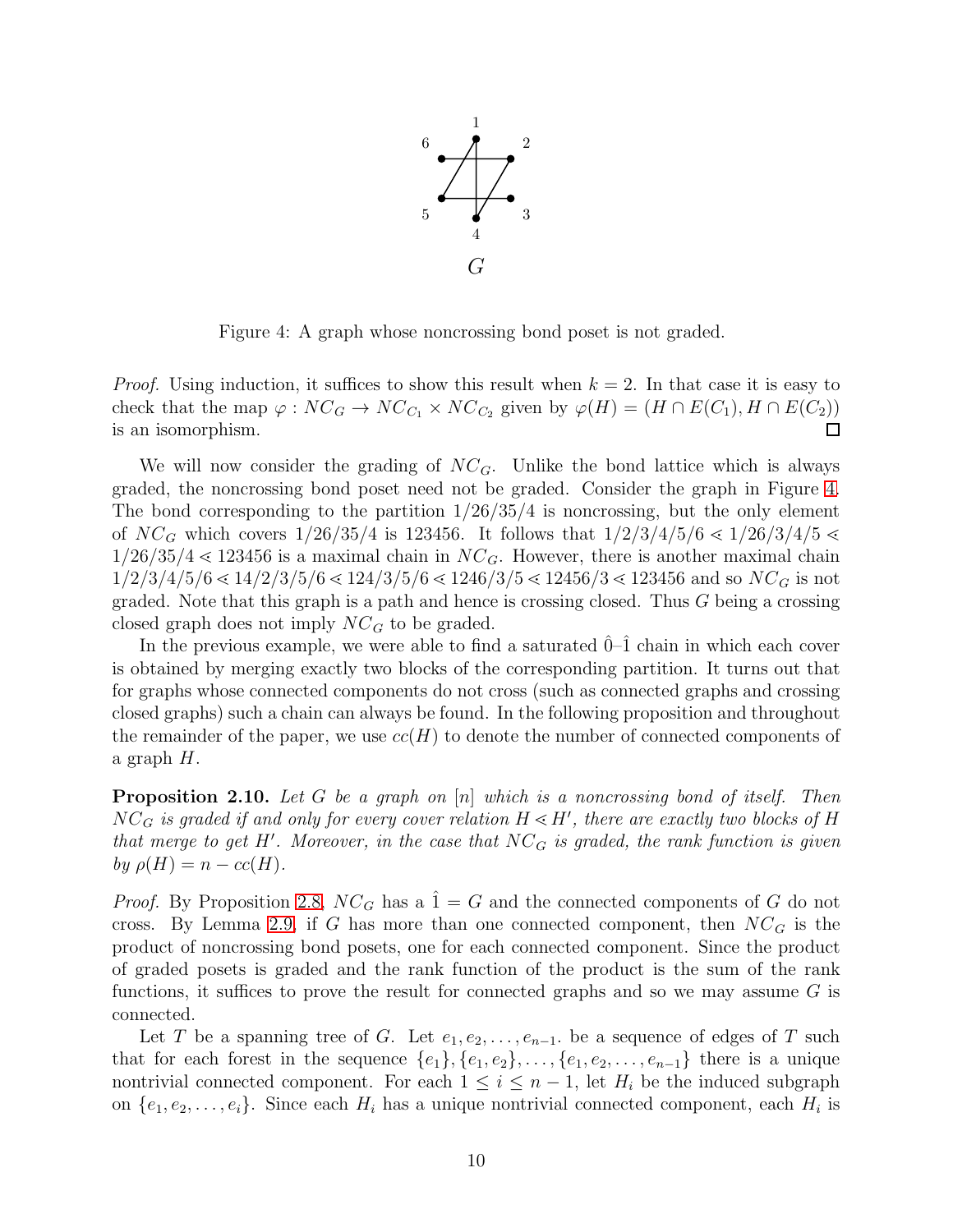

<span id="page-9-0"></span>Figure 4: A graph whose noncrossing bond poset is not graded.

*Proof.* Using induction, it suffices to show this result when  $k = 2$ . In that case it is easy to check that the map  $\varphi : NC_G \to NC_{C_1} \times NC_{C_2}$  given by  $\varphi(H) = (H \cap E(C_1), H \cap E(C_2))$  $\Box$ is an isomorphism.

We will now consider the grading of  $NC_G$ . Unlike the bond lattice which is always graded, the noncrossing bond poset need not be graded. Consider the graph in Figure [4.](#page-9-0) The bond corresponding to the partition  $1/26/35/4$  is noncrossing, but the only element of  $NC_G$  which covers  $1/26/35/4$  is 123456. It follows that  $1/2/3/4/5/6 \le 1/26/3/4/5 \le$  $1/26/35/4 \le 123456$  is a maximal chain in  $NC_G$ . However, there is another maximal chain  $1/2/3/4/5/6 \leq 14/2/3/5/6 \leq 124/3/5/6 \leq 1246/3/5 \leq 12456/3 \leq 123456$  and so  $NC_G$  is not graded. Note that this graph is a path and hence is crossing closed. Thus  $G$  being a crossing closed graph does not imply  $NC_G$  to be graded.

In the previous example, we were able to find a saturated  $\hat{0}$ – $\hat{1}$  chain in which each cover is obtained by merging exactly two blocks of the corresponding partition. It turns out that for graphs whose connected components do not cross (such as connected graphs and crossing closed graphs) such a chain can always be found. In the following proposition and throughout the remainder of the paper, we use  $cc(H)$  to denote the number of connected components of a graph H.

<span id="page-9-1"></span>**Proposition 2.10.** Let G be a graph on  $[n]$  which is a noncrossing bond of itself. Then  $NC_G$  is graded if and only for every cover relation  $H \leq H'$ , there are exactly two blocks of H that merge to get H'. Moreover, in the case that  $NC_G$  is graded, the rank function is given by  $\rho(H) = n - cc(H)$ .

*Proof.* By Proposition [2.8,](#page-8-1)  $NC_G$  has a  $\hat{1} = G$  and the connected components of G do not cross. By Lemma [2.9,](#page-8-2) if G has more than one connected component, then  $NC_G$  is the product of noncrossing bond posets, one for each connected component. Since the product of graded posets is graded and the rank function of the product is the sum of the rank functions, it suffices to prove the result for connected graphs and so we may assume  $G$  is connected.

Let T be a spanning tree of G. Let  $e_1, e_2, \ldots, e_{n-1}$  be a sequence of edges of T such that for each forest in the sequence  $\{e_1\}, \{e_1, e_2\}, \ldots, \{e_1, e_2, \ldots, e_{n-1}\}\$  there is a unique nontrivial connected component. For each  $1 \leq i \leq n-1$ , let  $H_i$  be the induced subgraph on  $\{e_1, e_2, \ldots, e_i\}$ . Since each  $H_i$  has a unique nontrivial connected component, each  $H_i$  is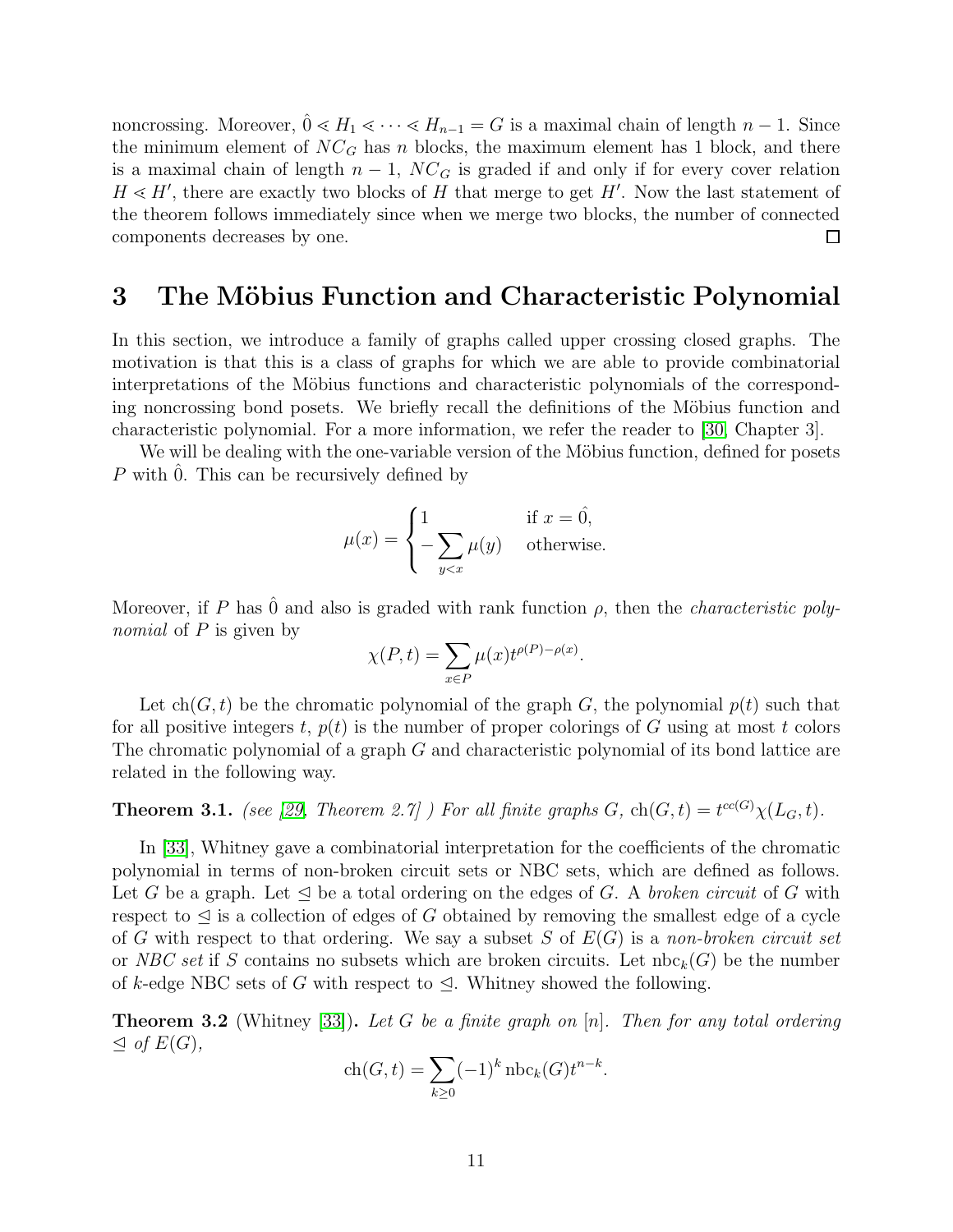noncrossing. Moreover,  $0 \le H_1 \le \cdots \le H_{n-1} = G$  is a maximal chain of length  $n-1$ . Since the minimum element of  $NC_G$  has n blocks, the maximum element has 1 block, and there is a maximal chain of length  $n-1$ ,  $NC_G$  is graded if and only if for every cover relation  $H \ll H'$ , there are exactly two blocks of H that merge to get H'. Now the last statement of the theorem follows immediately since when we merge two blocks, the number of connected components decreases by one.  $\Box$ 

## <span id="page-10-0"></span>3 The Möbius Function and Characteristic Polynomial

In this section, we introduce a family of graphs called upper crossing closed graphs. The motivation is that this is a class of graphs for which we are able to provide combinatorial interpretations of the Möbius functions and characteristic polynomials of the corresponding noncrossing bond posets. We briefly recall the definitions of the Möbius function and characteristic polynomial. For a more information, we refer the reader to [\[30,](#page-34-8) Chapter 3].

We will be dealing with the one-variable version of the Möbius function, defined for posets  $P$  with 0. This can be recursively defined by

$$
\mu(x) = \begin{cases} 1 & \text{if } x = 0, \\ -\sum_{y < x} \mu(y) & \text{otherwise.} \end{cases}
$$

Moreover, if P has  $\hat{0}$  and also is graded with rank function  $\rho$ , then the *characteristic poly*nomial of P is given by

$$
\chi(P,t) = \sum_{x \in P} \mu(x) t^{\rho(P) - \rho(x)}.
$$

Let  $ch(G, t)$  be the chromatic polynomial of the graph G, the polynomial  $p(t)$  such that for all positive integers t,  $p(t)$  is the number of proper colorings of G using at most t colors The chromatic polynomial of a graph G and characteristic polynomial of its bond lattice are related in the following way.

### <span id="page-10-1"></span>**Theorem 3.1.** (see [\[29,](#page-34-9) Theorem 2.7]) For all finite graphs  $G$ ,  $ch(G, t) = t^{cc(G)} \chi(L_G, t)$ .

In [\[33\]](#page-34-10), Whitney gave a combinatorial interpretation for the coefficients of the chromatic polynomial in terms of non-broken circuit sets or NBC sets, which are defined as follows. Let G be a graph. Let  $\leq$  be a total ordering on the edges of G. A *broken circuit* of G with respect to  $\leq$  is a collection of edges of G obtained by removing the smallest edge of a cycle of G with respect to that ordering. We say a subset S of  $E(G)$  is a non-broken circuit set or NBC set if S contains no subsets which are broken circuits. Let  $\text{nbc}_k(G)$  be the number of k-edge NBC sets of G with respect to  $\leq$ . Whitney showed the following.

**Theorem 3.2** (Whitney [\[33\]](#page-34-10)). Let G be a finite graph on [n]. Then for any total ordering  $\trianglelefteq$  of  $E(G)$ ,

$$
ch(G, t) = \sum_{k \ge 0} (-1)^k \, \text{nbc}_k(G) t^{n-k}.
$$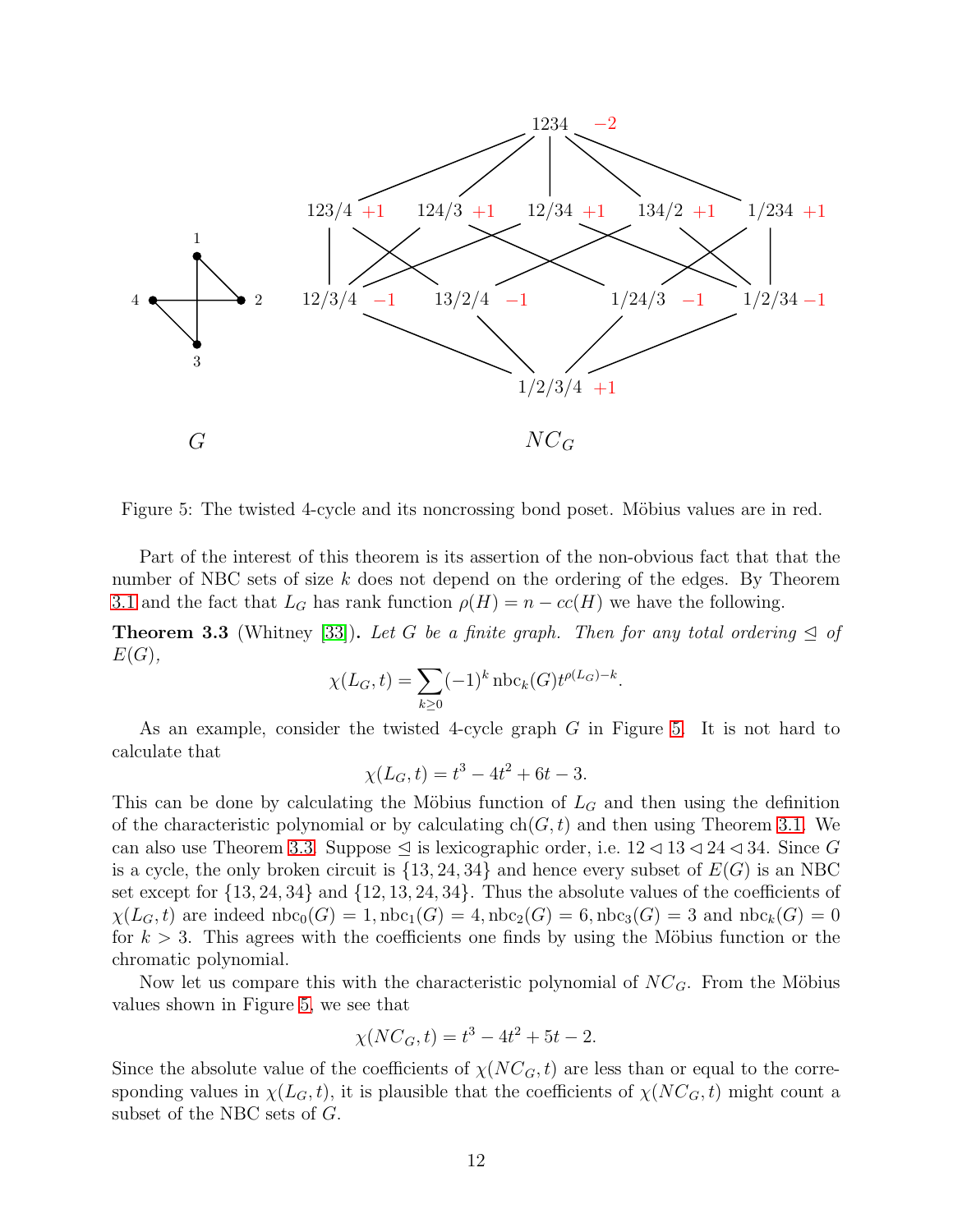

<span id="page-11-0"></span>Figure 5: The twisted 4-cycle and its noncrossing bond poset. Möbius values are in red.

Part of the interest of this theorem is its assertion of the non-obvious fact that that the number of NBC sets of size  $k$  does not depend on the ordering of the edges. By Theorem [3.1](#page-10-1) and the fact that  $L_G$  has rank function  $\rho(H) = n - cc(H)$  we have the following.

<span id="page-11-1"></span>**Theorem 3.3** (Whitney [\[33\]](#page-34-10)). Let G be a finite graph. Then for any total ordering  $\leq$  of  $E(G),$ 

$$
\chi(L_G, t) = \sum_{k \ge 0} (-1)^k \, \text{nbc}_k(G) t^{\rho(L_G) - k}.
$$

As an example, consider the twisted 4-cycle graph G in Figure [5.](#page-11-0) It is not hard to calculate that

$$
\chi(L_G, t) = t^3 - 4t^2 + 6t - 3.
$$

This can be done by calculating the Möbius function of  $L_G$  and then using the definition of the characteristic polynomial or by calculating  $ch(G, t)$  and then using Theorem [3.1.](#page-10-1) We can also use Theorem [3.3.](#page-11-1) Suppose  $\triangleleft$  is lexicographic order, i.e.  $12 \triangleleft 13 \triangleleft 24 \triangleleft 34$ . Since G is a cycle, the only broken circuit is  $\{13, 24, 34\}$  and hence every subset of  $E(G)$  is an NBC set except for  $\{13, 24, 34\}$  and  $\{12, 13, 24, 34\}$ . Thus the absolute values of the coefficients of  $\chi(L_G, t)$  are indeed  $\text{nbc}_0(G) = 1, \text{nbc}_1(G) = 4, \text{nbc}_2(G) = 6, \text{nbc}_3(G) = 3$  and  $\text{nbc}_k(G) = 0$ for  $k > 3$ . This agrees with the coefficients one finds by using the Möbius function or the chromatic polynomial.

Now let us compare this with the characteristic polynomial of  $NC_G$ . From the Möbius values shown in Figure [5,](#page-11-0) we see that

$$
\chi(NC_G, t) = t^3 - 4t^2 + 5t - 2.
$$

Since the absolute value of the coefficients of  $\chi(NC_G, t)$  are less than or equal to the corresponding values in  $\chi(L_G, t)$ , it is plausible that the coefficients of  $\chi(NC_G, t)$  might count a subset of the NBC sets of G.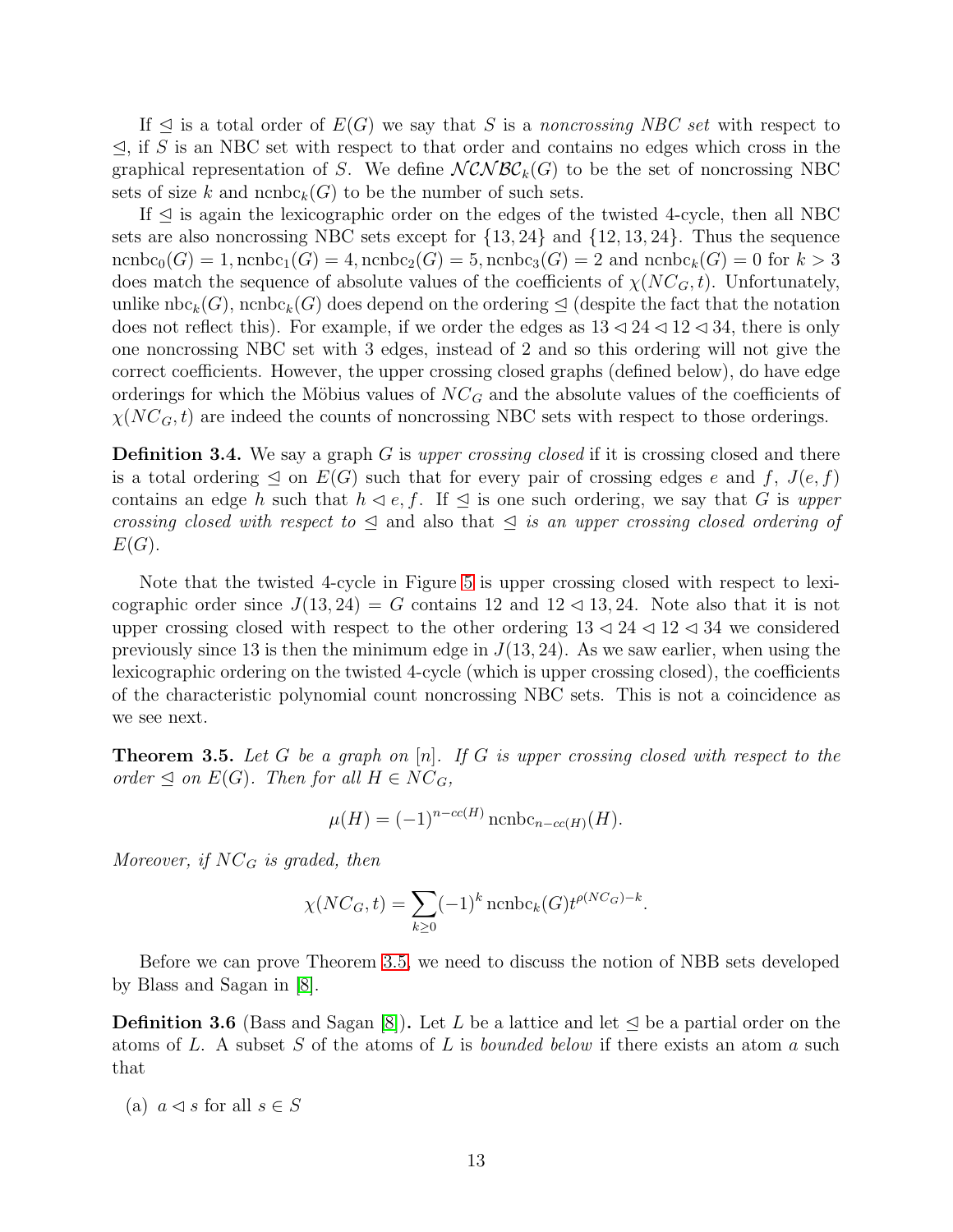If  $\leq$  is a total order of  $E(G)$  we say that S is a noncrossing NBC set with respect to  $\leq$ , if S is an NBC set with respect to that order and contains no edges which cross in the graphical representation of S. We define  $\mathcal{N} \mathcal{CN} \mathcal{BC}_k(G)$  to be the set of noncrossing NBC sets of size k and  $\text{nchbc}_k(G)$  to be the number of such sets.

If  $\leq$  is again the lexicographic order on the edges of the twisted 4-cycle, then all NBC sets are also noncrossing NBC sets except for  $\{13, 24\}$  and  $\{12, 13, 24\}$ . Thus the sequence  $nchoc<sub>0</sub>(G) = 1, nchoc<sub>1</sub>(G) = 4, nchoc<sub>2</sub>(G) = 5, nchoc<sub>3</sub>(G) = 2$  and  $nchoc<sub>k</sub>(G) = 0$  for  $k > 3$ does match the sequence of absolute values of the coefficients of  $\chi(NC_G, t)$ . Unfortunately, unlike  $\text{nbc}_k(G)$ , ncn $\text{bc}_k(G)$  does depend on the ordering  $\leq$  (despite the fact that the notation does not reflect this). For example, if we order the edges as  $13 \le 24 \le 12 \le 34$ , there is only one noncrossing NBC set with 3 edges, instead of 2 and so this ordering will not give the correct coefficients. However, the upper crossing closed graphs (defined below), do have edge orderings for which the Möbius values of  $NC_G$  and the absolute values of the coefficients of  $\chi(NC_G, t)$  are indeed the counts of noncrossing NBC sets with respect to those orderings.

<span id="page-12-1"></span>**Definition 3.4.** We say a graph G is upper crossing closed if it is crossing closed and there is a total ordering  $\leq$  on  $E(G)$  such that for every pair of crossing edges e and f,  $J(e, f)$ contains an edge h such that  $h \triangleleft e, f$ . If  $\triangleleft$  is one such ordering, we say that G is upper crossing closed with respect to  $\leq$  and also that  $\leq$  is an upper crossing closed ordering of  $E(G)$ .

Note that the twisted 4-cycle in Figure [5](#page-11-0) is upper crossing closed with respect to lexicographic order since  $J(13, 24) = G$  contains 12 and 12  $\lhd$  13, 24. Note also that it is not upper crossing closed with respect to the other ordering  $13 \le 24 \le 12 \le 34$  we considered previously since 13 is then the minimum edge in  $J(13, 24)$ . As we saw earlier, when using the lexicographic ordering on the twisted 4-cycle (which is upper crossing closed), the coefficients of the characteristic polynomial count noncrossing NBC sets. This is not a coincidence as we see next.

<span id="page-12-0"></span>**Theorem 3.5.** Let G be a graph on  $[n]$ . If G is upper crossing closed with respect to the order  $\leq$  on  $E(G)$ . Then for all  $H \in NC_G$ ,

$$
\mu(H) = (-1)^{n-cc(H)} \operatorname{ncnbc}_{n-cc(H)}(H).
$$

Moreover, if  $NC_G$  is graded, then

$$
\chi(NC_G, t) = \sum_{k \ge 0} (-1)^k \operatorname{ncnbc}_k(G) t^{\rho(NC_G) - k}.
$$

Before we can prove Theorem [3.5,](#page-12-0) we need to discuss the notion of NBB sets developed by Blass and Sagan in [\[8\]](#page-33-10).

**Definition 3.6** (Bass and Sagan [\[8\]](#page-33-10)). Let L be a lattice and let  $\leq$  be a partial order on the atoms of L. A subset S of the atoms of L is *bounded below* if there exists an atom a such that

(a)  $a \triangleleft s$  for all  $s \in S$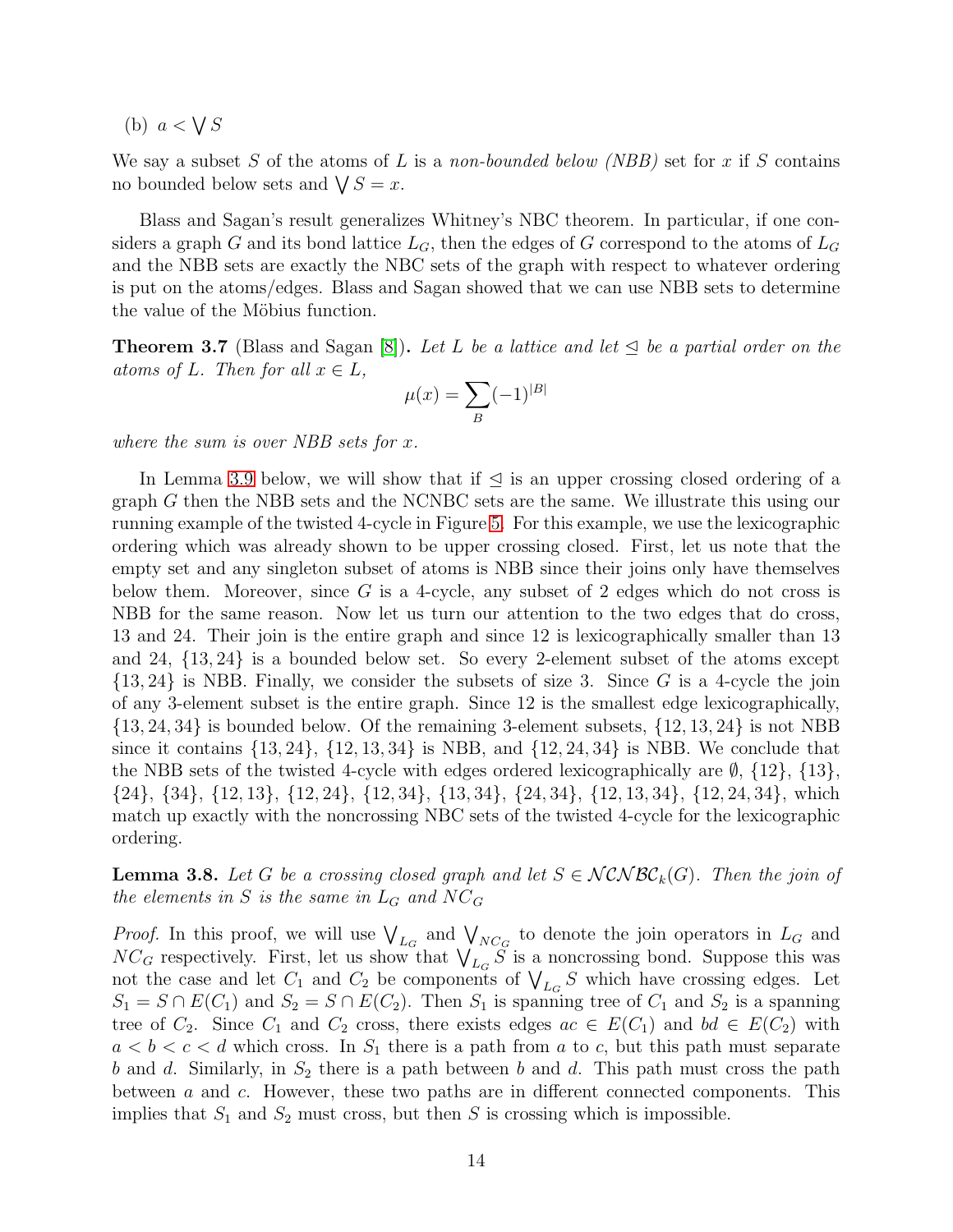(b)  $a < \bigvee S$ 

We say a subset S of the atoms of L is a non-bounded below (NBB) set for x if S contains no bounded below sets and  $\bigvee S = x$ .

Blass and Sagan's result generalizes Whitney's NBC theorem. In particular, if one considers a graph G and its bond lattice  $L_G$ , then the edges of G correspond to the atoms of  $L_G$ and the NBB sets are exactly the NBC sets of the graph with respect to whatever ordering is put on the atoms/edges. Blass and Sagan showed that we can use NBB sets to determine the value of the Möbius function.

**Theorem 3.7** (Blass and Sagan [\[8\]](#page-33-10)). Let L be a lattice and let  $\leq$  be a partial order on the atoms of L. Then for all  $x \in L$ ,

$$
\mu(x) = \sum_{B} (-1)^{|B|}
$$

where the sum is over NBB sets for x.

In Lemma [3.9](#page-14-0) below, we will show that if  $\leq$  is an upper crossing closed ordering of a graph G then the NBB sets and the NCNBC sets are the same. We illustrate this using our running example of the twisted 4-cycle in Figure [5.](#page-11-0) For this example, we use the lexicographic ordering which was already shown to be upper crossing closed. First, let us note that the empty set and any singleton subset of atoms is NBB since their joins only have themselves below them. Moreover, since G is a 4-cycle, any subset of 2 edges which do not cross is NBB for the same reason. Now let us turn our attention to the two edges that do cross, 13 and 24. Their join is the entire graph and since 12 is lexicographically smaller than 13 and 24, {13, 24} is a bounded below set. So every 2-element subset of the atoms except  $\{13, 24\}$  is NBB. Finally, we consider the subsets of size 3. Since G is a 4-cycle the join of any 3-element subset is the entire graph. Since 12 is the smallest edge lexicographically,  $\{13, 24, 34\}$  is bounded below. Of the remaining 3-element subsets,  $\{12, 13, 24\}$  is not NBB since it contains  $\{13, 24\}$ ,  $\{12, 13, 34\}$  is NBB, and  $\{12, 24, 34\}$  is NBB. We conclude that the NBB sets of the twisted 4-cycle with edges ordered lexicographically are  $\emptyset$ ,  $\{12\}$ ,  $\{13\}$ ,  $\{24\}, \{34\}, \{12, 13\}, \{12, 24\}, \{12, 34\}, \{13, 34\}, \{24, 34\}, \{12, 13, 34\}, \{12, 24, 34\}, \text{which}$ match up exactly with the noncrossing NBC sets of the twisted 4-cycle for the lexicographic ordering.

<span id="page-13-0"></span>**Lemma 3.8.** Let G be a crossing closed graph and let  $S \in \mathcal{N} \mathcal{CN} \mathcal{BC}_k(G)$ . Then the join of the elements in S is the same in  $L_G$  and  $NC_G$ 

*Proof.* In this proof, we will use  $\bigvee_{L_G}$  and  $\bigvee_{NC_G}$  to denote the join operators in  $L_G$  and  $NC_G$  respectively. First, let us show that  $V_{L_G}S$  is a noncrossing bond. Suppose this was not the case and let  $C_1$  and  $C_2$  be components of  $\bigvee_{L_G} S$  which have crossing edges. Let  $S_1 = S \cap E(C_1)$  and  $S_2 = S \cap E(C_2)$ . Then  $S_1$  is spanning tree of  $C_1$  and  $S_2$  is a spanning tree of  $C_2$ . Since  $C_1$  and  $C_2$  cross, there exists edges  $ac \in E(C_1)$  and  $bd \in E(C_2)$  with  $a < b < c < d$  which cross. In  $S_1$  there is a path from a to c, but this path must separate b and d. Similarly, in  $S_2$  there is a path between b and d. This path must cross the path between a and c. However, these two paths are in different connected components. This implies that  $S_1$  and  $S_2$  must cross, but then S is crossing which is impossible.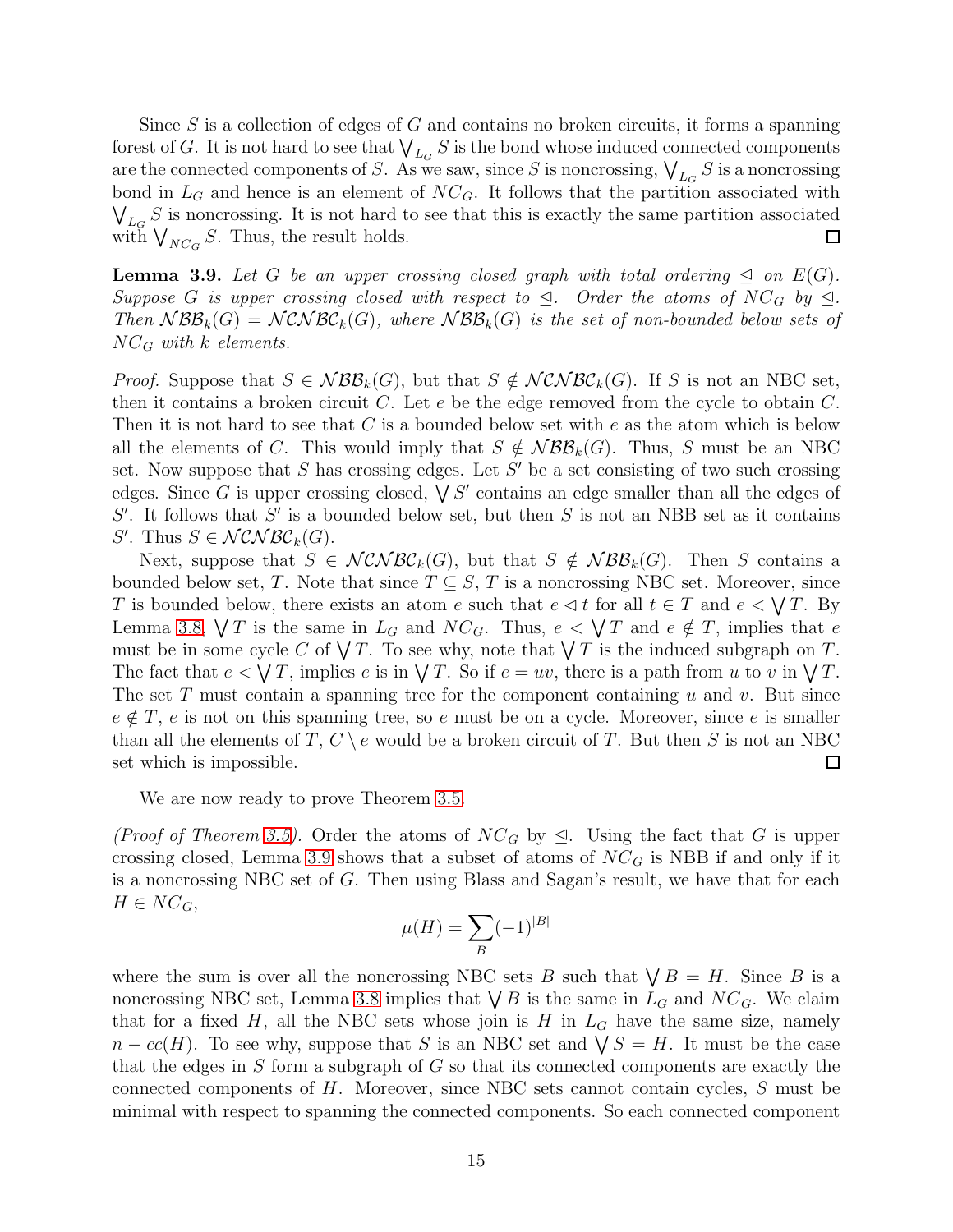Since S is a collection of edges of G and contains no broken circuits, it forms a spanning forest of G. It is not hard to see that  $\bigvee_{L_G} S$  is the bond whose induced connected components are the connected components of S. As we saw, since S is noncrossing,  $\bigvee_{L_G} S$  is a noncrossing bond in  $L_G$  and hence is an element of  $NC_G$ . It follows that the partition associated with  $\bigvee_{L_G} S$  is noncrossing. It is not hard to see that this is exactly the same partition associated with  $\bigvee_{NC_G} S$ . Thus, the result holds.  $\Box$ 

<span id="page-14-0"></span>**Lemma 3.9.** Let G be an upper crossing closed graph with total ordering  $\triangleq$  on  $E(G)$ . Suppose G is upper crossing closed with respect to  $\trianglelefteq$ . Order the atoms of  $NC_G$  by  $\trianglelefteq$ . Then  $NBB_k(G) = NCNBC_k(G)$ , where  $NBB_k(G)$  is the set of non-bounded below sets of  $NC_G$  with k elements.

*Proof.* Suppose that  $S \in \mathcal{NBB}_k(G)$ , but that  $S \notin \mathcal{NCNBC}_k(G)$ . If S is not an NBC set, then it contains a broken circuit  $C$ . Let  $e$  be the edge removed from the cycle to obtain  $C$ . Then it is not hard to see that  $C$  is a bounded below set with  $e$  as the atom which is below all the elements of C. This would imply that  $S \notin \mathcal{NBB}_k(G)$ . Thus, S must be an NBC set. Now suppose that  $S$  has crossing edges. Let  $S'$  be a set consisting of two such crossing edges. Since G is upper crossing closed,  $\bigvee S'$  contains an edge smaller than all the edges of  $S'$ . It follows that  $S'$  is a bounded below set, but then S is not an NBB set as it contains S'. Thus  $S \in \mathcal{NCNBC}_k(G)$ .

Next, suppose that  $S \in \mathcal{NCNBC}_k(G)$ , but that  $S \notin \mathcal{NBB}_k(G)$ . Then S contains a bounded below set, T. Note that since  $T \subseteq S$ , T is a noncrossing NBC set. Moreover, since T is bounded below, there exists an atom e such that  $e \triangleleft t$  for all  $t \in T$  and  $e \lt \bigvee T$ . By Lemma [3.8,](#page-13-0)  $\bigvee T$  is the same in  $L_G$  and  $NC_G$ . Thus,  $e < \bigvee T$  and  $e \notin T$ , implies that e must be in some cycle C of  $\bigvee T$ . To see why, note that  $\bigvee T$  is the induced subgraph on T. The fact that  $e < \sqrt{T}$ , implies e is in  $\sqrt{T}$ . So if  $e = uv$ , there is a path from u to v in  $\sqrt{T}$ . The set T must contain a spanning tree for the component containing u and v. But since  $e \notin T$ , e is not on this spanning tree, so e must be on a cycle. Moreover, since e is smaller than all the elements of T,  $C \setminus e$  would be a broken circuit of T. But then S is not an NBC  $\Box$ set which is impossible.

We are now ready to prove Theorem [3.5.](#page-12-0)

(Proof of Theorem [3.5\)](#page-12-0). Order the atoms of  $NC_G$  by  $\leq$ . Using the fact that G is upper crossing closed, Lemma [3.9](#page-14-0) shows that a subset of atoms of  $NC_G$  is NBB if and only if it is a noncrossing NBC set of G. Then using Blass and Sagan's result, we have that for each  $H \in NC_G$ 

$$
\mu(H) = \sum_B (-1)^{|B|}
$$

where the sum is over all the noncrossing NBC sets B such that  $\bigvee B = H$ . Since B is a noncrossing NBC set, Lemma [3.8](#page-13-0) implies that  $\bigvee B$  is the same in  $L_G$  and  $NC_G$ . We claim that for a fixed H, all the NBC sets whose join is H in  $L_G$  have the same size, namely  $n - cc(H)$ . To see why, suppose that S is an NBC set and  $\sqrt{S} = H$ . It must be the case that the edges in  $S$  form a subgraph of  $G$  so that its connected components are exactly the connected components of H. Moreover, since NBC sets cannot contain cycles, S must be minimal with respect to spanning the connected components. So each connected component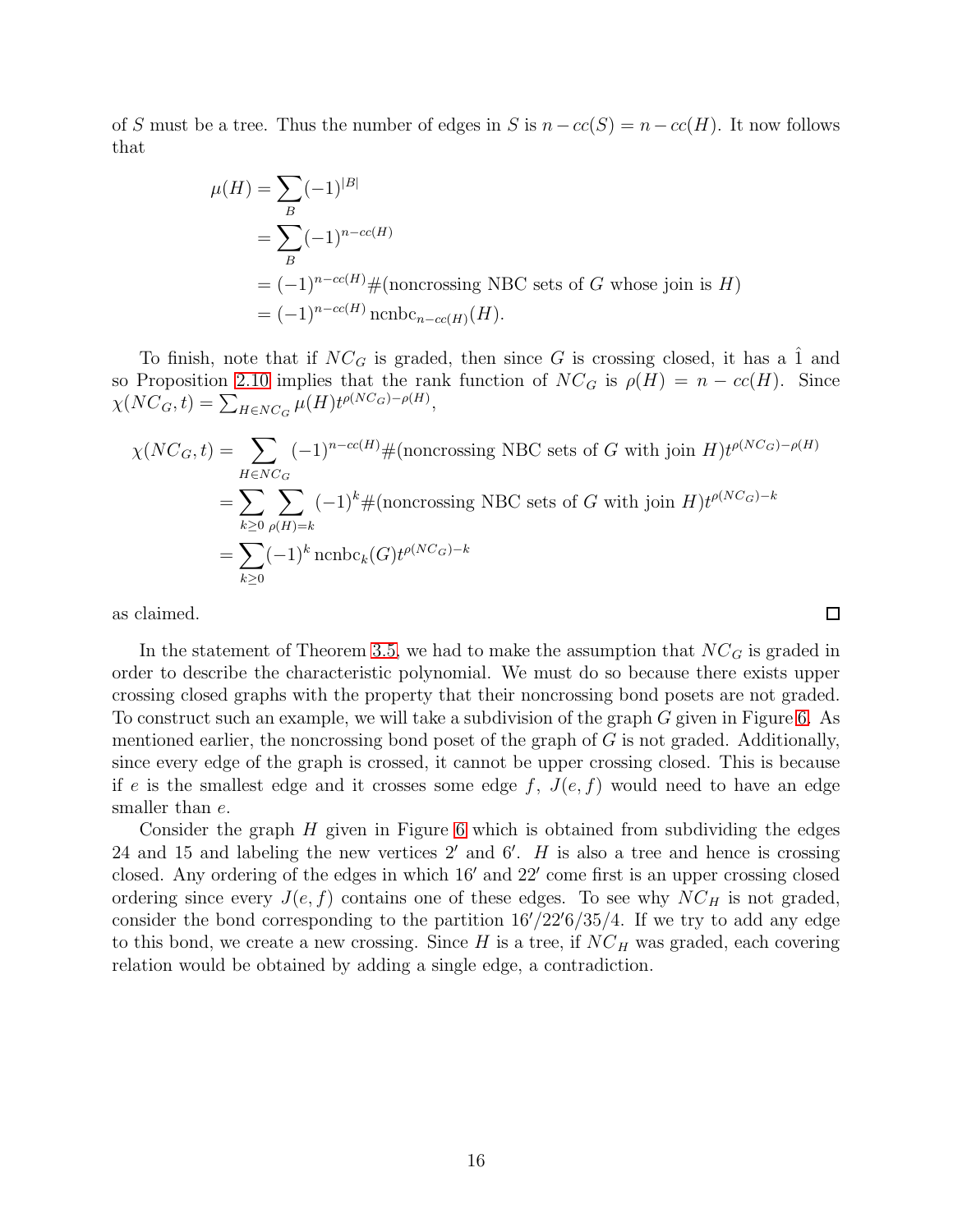of S must be a tree. Thus the number of edges in S is  $n-cc(S) = n-cc(H)$ . It now follows that

$$
\mu(H) = \sum_{B} (-1)^{|B|}
$$
  
= 
$$
\sum_{B} (-1)^{n-cc(H)}
$$
  
= 
$$
(-1)^{n-cc(H)} \#(\text{noncrossing NBC sets of } G \text{ whose join is } H)
$$
  
= 
$$
(-1)^{n-cc(H)} \operatorname{ncnbc}_{n-cc(H)}(H).
$$

To finish, note that if  $NC_G$  is graded, then since G is crossing closed, it has a  $\hat{1}$  and so Proposition [2.10](#page-9-1) implies that the rank function of  $NC_G$  is  $\rho(H) = n - cc(H)$ . Since  $\chi(NC_G,t) = \sum_{H \in NC_G} \mu(H) t^{\rho(NC_G) - \rho(H)},$ 

$$
\chi(NC_G, t) = \sum_{H \in NC_G} (-1)^{n - cc(H)} \# \text{(noncrossing NBC sets of } G \text{ with join } H) t^{\rho(NC_G) - \rho(H)}
$$
  
= 
$$
\sum_{k \ge 0} \sum_{\rho(H) = k} (-1)^k \# \text{(noncrossing NBC sets of } G \text{ with join } H) t^{\rho(NC_G) - k}
$$
  
= 
$$
\sum_{k \ge 0} (-1)^k \operatorname{ncnbc}_k(G) t^{\rho(NC_G) - k}
$$

as claimed.

In the statement of Theorem [3.5,](#page-12-0) we had to make the assumption that  $NC_G$  is graded in order to describe the characteristic polynomial. We must do so because there exists upper crossing closed graphs with the property that their noncrossing bond posets are not graded. To construct such an example, we will take a subdivision of the graph G given in Figure [6.](#page-16-0) As mentioned earlier, the noncrossing bond poset of the graph of  $G$  is not graded. Additionally, since every edge of the graph is crossed, it cannot be upper crossing closed. This is because if e is the smallest edge and it crosses some edge f,  $J(e, f)$  would need to have an edge smaller than  $e$ .

Consider the graph  $H$  given in Figure [6](#page-16-0) which is obtained from subdividing the edges 24 and 15 and labeling the new vertices 2′ and 6′ . H is also a tree and hence is crossing closed. Any ordering of the edges in which 16′ and 22′ come first is an upper crossing closed ordering since every  $J(e, f)$  contains one of these edges. To see why  $NC_H$  is not graded, consider the bond corresponding to the partition  $16'/22'6/35/4$ . If we try to add any edge to this bond, we create a new crossing. Since  $H$  is a tree, if  $NC_H$  was graded, each covering relation would be obtained by adding a single edge, a contradiction.

 $\Box$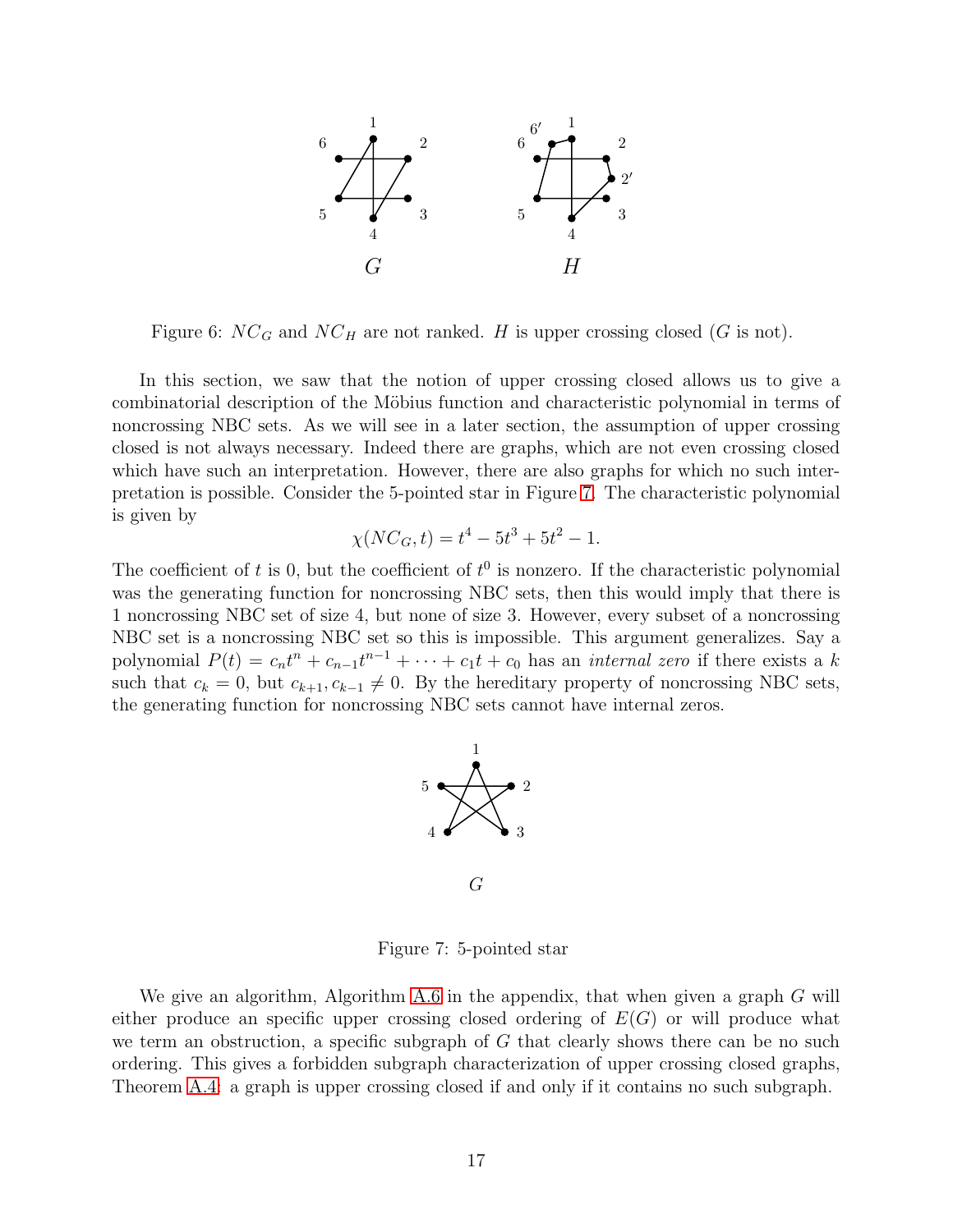

<span id="page-16-0"></span>Figure 6:  $NC_G$  and  $NC_H$  are not ranked. H is upper crossing closed (G is not).

In this section, we saw that the notion of upper crossing closed allows us to give a combinatorial description of the Möbius function and characteristic polynomial in terms of noncrossing NBC sets. As we will see in a later section, the assumption of upper crossing closed is not always necessary. Indeed there are graphs, which are not even crossing closed which have such an interpretation. However, there are also graphs for which no such interpretation is possible. Consider the 5-pointed star in Figure [7.](#page-16-1) The characteristic polynomial is given by

$$
\chi(NC_G, t) = t^4 - 5t^3 + 5t^2 - 1.
$$

The coefficient of t is 0, but the coefficient of  $t^0$  is nonzero. If the characteristic polynomial was the generating function for noncrossing NBC sets, then this would imply that there is 1 noncrossing NBC set of size 4, but none of size 3. However, every subset of a noncrossing NBC set is a noncrossing NBC set so this is impossible. This argument generalizes. Say a polynomial  $P(t) = c_n t^n + c_{n-1} t^{n-1} + \cdots + c_1 t + c_0$  has an *internal zero* if there exists a k such that  $c_k = 0$ , but  $c_{k+1}, c_{k-1} \neq 0$ . By the hereditary property of noncrossing NBC sets, the generating function for noncrossing NBC sets cannot have internal zeros.



<span id="page-16-1"></span>Figure 7: 5-pointed star

We give an algorithm, Algorithm [A.6](#page-37-0) in the appendix, that when given a graph G will either produce an specific upper crossing closed ordering of  $E(G)$  or will produce what we term an obstruction, a specific subgraph of  $G$  that clearly shows there can be no such ordering. This gives a forbidden subgraph characterization of upper crossing closed graphs, Theorem [A.4:](#page-36-0) a graph is upper crossing closed if and only if it contains no such subgraph.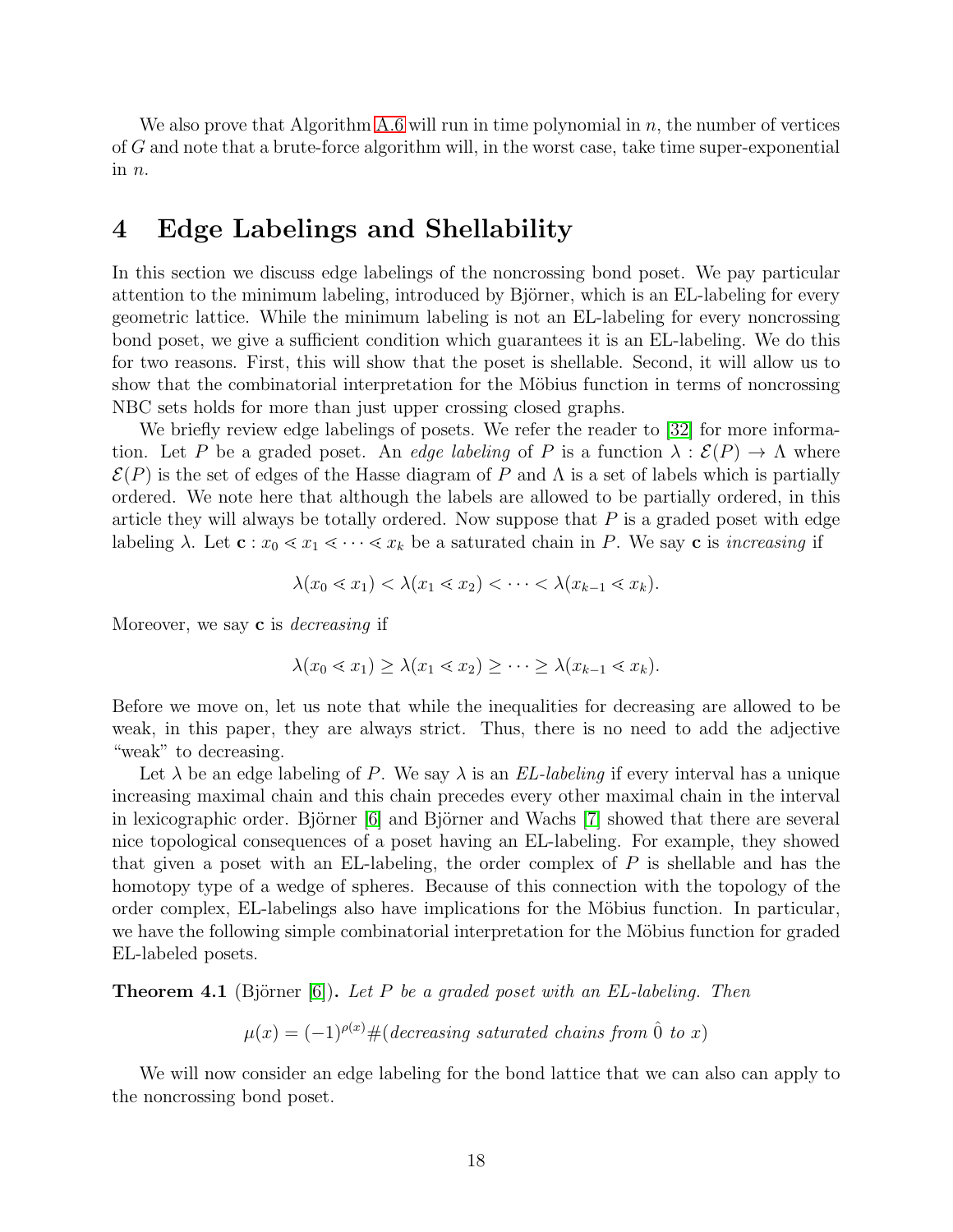We also prove that Algorithm [A.6](#page-37-0) will run in time polynomial in  $n$ , the number of vertices of G and note that a brute-force algorithm will, in the worst case, take time super-exponential in n.

### <span id="page-17-0"></span>4 Edge Labelings and Shellability

In this section we discuss edge labelings of the noncrossing bond poset. We pay particular attention to the minimum labeling, introduced by Björner, which is an EL-labeling for every geometric lattice. While the minimum labeling is not an EL-labeling for every noncrossing bond poset, we give a sufficient condition which guarantees it is an EL-labeling. We do this for two reasons. First, this will show that the poset is shellable. Second, it will allow us to show that the combinatorial interpretation for the Möbius function in terms of noncrossing NBC sets holds for more than just upper crossing closed graphs.

We briefly review edge labelings of posets. We refer the reader to [\[32\]](#page-34-11) for more information. Let P be a graded poset. An *edge labeling* of P is a function  $\lambda : \mathcal{E}(P) \to \Lambda$  where  $\mathcal{E}(P)$  is the set of edges of the Hasse diagram of P and  $\Lambda$  is a set of labels which is partially ordered. We note here that although the labels are allowed to be partially ordered, in this article they will always be totally ordered. Now suppose that  $P$  is a graded poset with edge labeling  $\lambda$ . Let  $\mathbf{c}: x_0 \leq x_1 \leq \cdots \leq x_k$  be a saturated chain in P. We say  $\mathbf{c}$  is *increasing* if

$$
\lambda(x_0 \lessdot x_1) < \lambda(x_1 \lessdot x_2) < \cdots < \lambda(x_{k-1} \lessdot x_k).
$$

Moreover, we say  $c$  is *decreasing* if

$$
\lambda(x_0 \le x_1) \ge \lambda(x_1 \le x_2) \ge \cdots \ge \lambda(x_{k-1} \le x_k).
$$

Before we move on, let us note that while the inequalities for decreasing are allowed to be weak, in this paper, they are always strict. Thus, there is no need to add the adjective "weak" to decreasing.

Let  $\lambda$  be an edge labeling of P. We say  $\lambda$  is an *EL-labeling* if every interval has a unique increasing maximal chain and this chain precedes every other maximal chain in the interval in lexicographic order. Björner  $[6]$  and Björner and Wachs  $[7]$  showed that there are several nice topological consequences of a poset having an EL-labeling. For example, they showed that given a poset with an EL-labeling, the order complex of  $P$  is shellable and has the homotopy type of a wedge of spheres. Because of this connection with the topology of the order complex, EL-labelings also have implications for the Möbius function. In particular, we have the following simple combinatorial interpretation for the Möbius function for graded EL-labeled posets.

<span id="page-17-1"></span>**Theorem 4.1** (Björner [\[6\]](#page-33-0)). Let P be a graded poset with an EL-labeling. Then

 $\mu(x) = (-1)^{\rho(x)} \# (decreasing saturated chains from 0 to x)$ 

We will now consider an edge labeling for the bond lattice that we can also can apply to the noncrossing bond poset.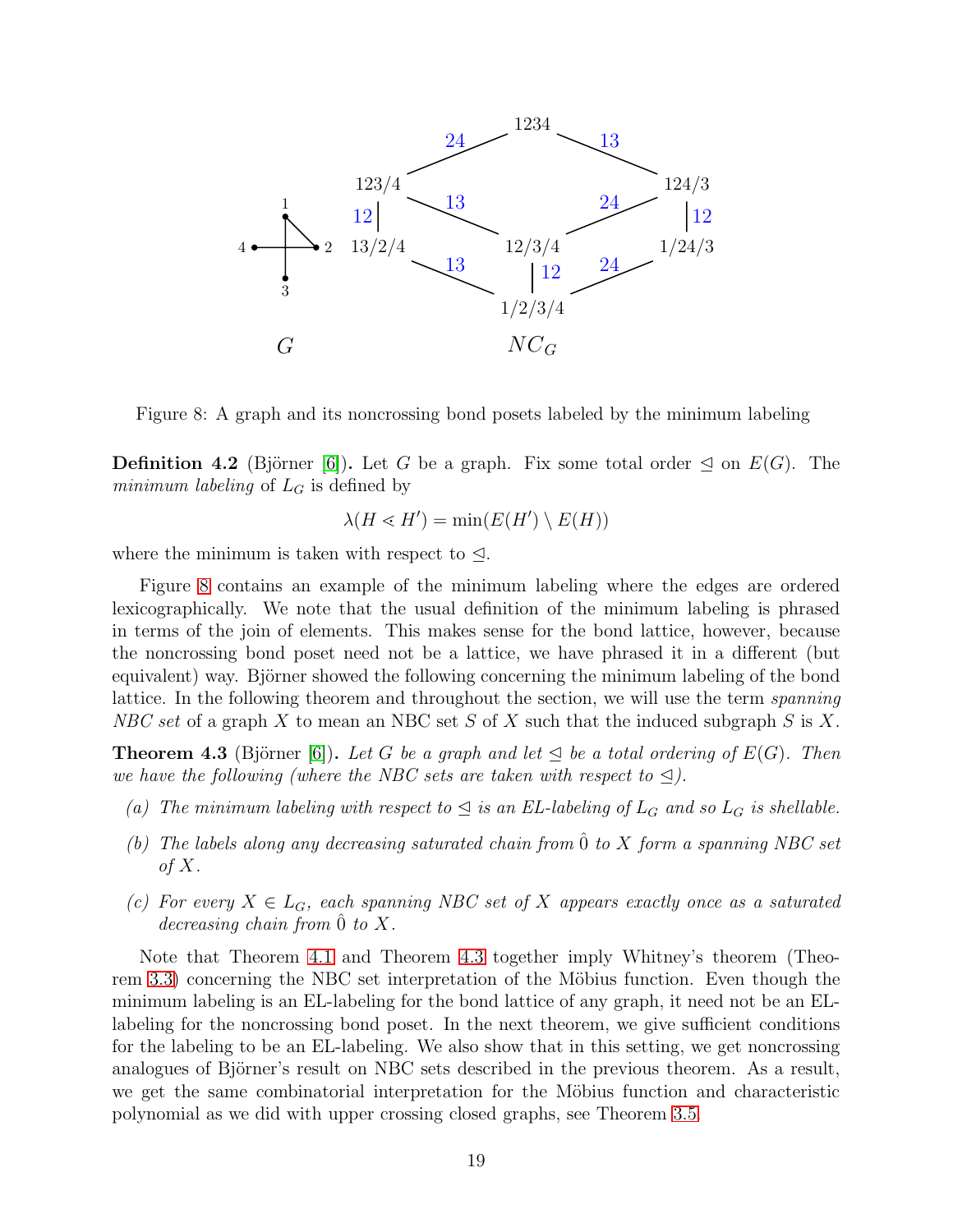

<span id="page-18-0"></span>Figure 8: A graph and its noncrossing bond posets labeled by the minimum labeling

**Definition 4.2** (Björner [\[6\]](#page-33-0)). Let G be a graph. Fix some total order  $\leq$  on  $E(G)$ . The minimum labeling of  $L_G$  is defined by

$$
\lambda(H \ll H') = \min(E(H') \setminus E(H))
$$

where the minimum is taken with respect to  $\leq$ .

Figure [8](#page-18-0) contains an example of the minimum labeling where the edges are ordered lexicographically. We note that the usual definition of the minimum labeling is phrased in terms of the join of elements. This makes sense for the bond lattice, however, because the noncrossing bond poset need not be a lattice, we have phrased it in a different (but equivalent) way. Björner showed the following concerning the minimum labeling of the bond lattice. In the following theorem and throughout the section, we will use the term spanning NBC set of a graph X to mean an NBC set S of X such that the induced subgraph S is X.

<span id="page-18-1"></span>**Theorem 4.3** (Björner [\[6\]](#page-33-0)). Let G be a graph and let  $\triangleleft$  be a total ordering of  $E(G)$ . Then we have the following (where the NBC sets are taken with respect to  $\leq$ ).

- (a) The minimum labeling with respect to  $\leq$  is an EL-labeling of  $L_G$  and so  $L_G$  is shellable.
- (b) The labels along any decreasing saturated chain from  $\hat{0}$  to X form a spanning NBC set of  $X$ .
- (c) For every  $X \in L_G$ , each spanning NBC set of X appears exactly once as a saturated decreasing chain from  $\hat{0}$  to X.

Note that Theorem [4.1](#page-17-1) and Theorem [4.3](#page-18-1) together imply Whitney's theorem (Theo-rem [3.3\)](#page-11-1) concerning the NBC set interpretation of the Möbius function. Even though the minimum labeling is an EL-labeling for the bond lattice of any graph, it need not be an ELlabeling for the noncrossing bond poset. In the next theorem, we give sufficient conditions for the labeling to be an EL-labeling. We also show that in this setting, we get noncrossing analogues of Björner's result on NBC sets described in the previous theorem. As a result, we get the same combinatorial interpretation for the Möbius function and characteristic polynomial as we did with upper crossing closed graphs, see Theorem [3.5.](#page-12-0)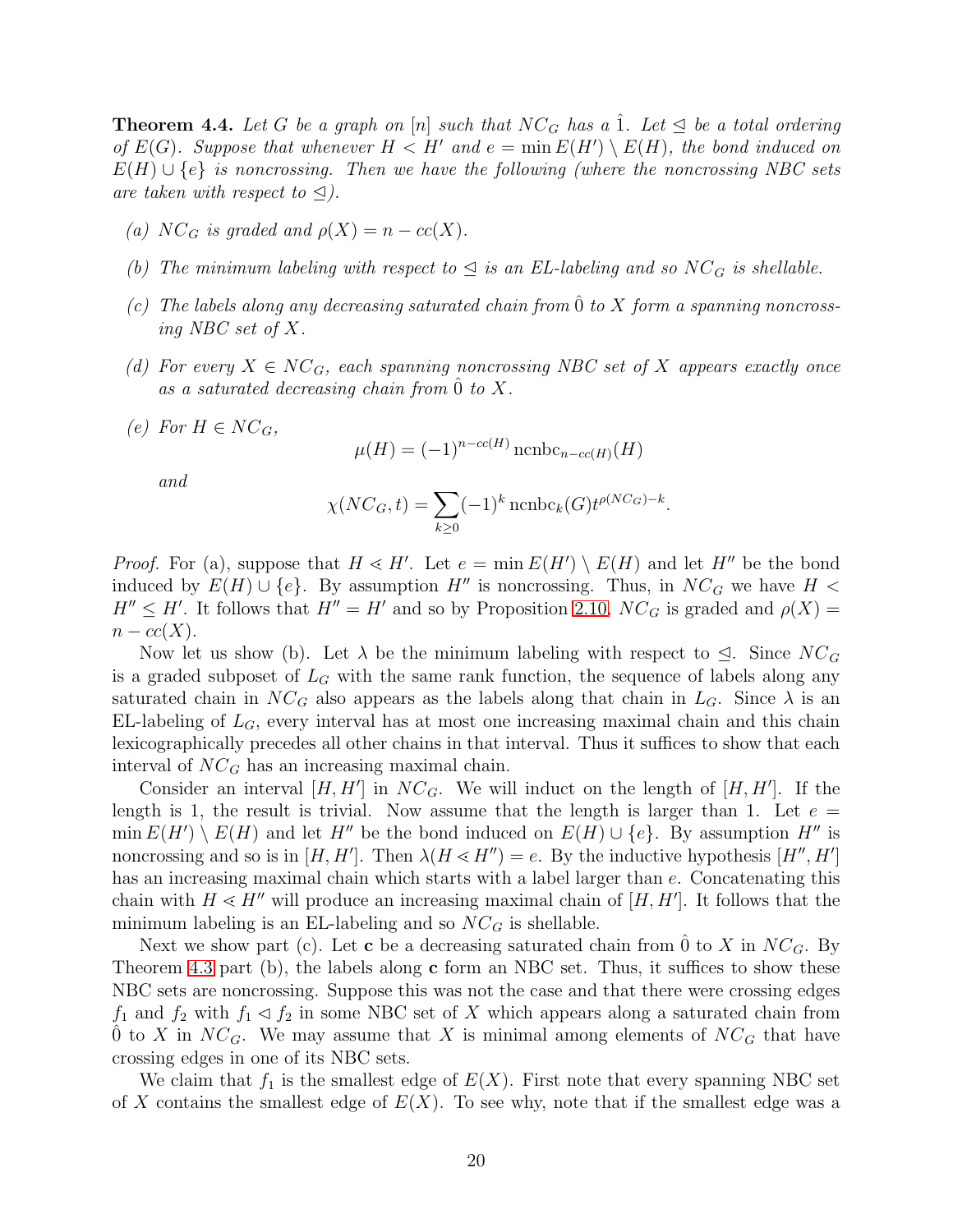<span id="page-19-0"></span>**Theorem 4.4.** Let G be a graph on [n] such that  $NC_G$  has a  $\hat{1}$ . Let  $\leq$  be a total ordering of  $E(G)$ . Suppose that whenever  $H < H'$  and  $e = \min E(H') \setminus E(H)$ , the bond induced on  $E(H) \cup \{e\}$  is noncrossing. Then we have the following (where the noncrossing NBC sets are taken with respect to  $\leq$ ).

- (a)  $NC_G$  is graded and  $\rho(X) = n cc(X)$ .
- (b) The minimum labeling with respect to  $\leq$  is an EL-labeling and so NC<sub>G</sub> is shellable.
- (c) The labels along any decreasing saturated chain from  $\hat{0}$  to X form a spanning noncrossing NBC set of X.
- (d) For every  $X \in NC_G$ , each spanning noncrossing NBC set of X appears exactly once as a saturated decreasing chain from  $\ddot{0}$  to X.
- (e) For  $H \in NC_G$ ,

$$
\mu(H) = (-1)^{n-cc(H)} \operatorname{ncnbc}_{n-cc(H)}(H)
$$

and

$$
\chi(NC_G, t) = \sum_{k \ge 0} (-1)^k \operatorname{ncnbc}_k(G) t^{\rho(NC_G) - k}.
$$

*Proof.* For (a), suppose that  $H \ll H'$ . Let  $e = \min E(H') \setminus E(H)$  and let  $H''$  be the bond induced by  $E(H) \cup \{e\}$ . By assumption H'' is noncrossing. Thus, in  $NC_G$  we have  $H <$  $H'' \leq H'$ . It follows that  $H'' = H'$  and so by Proposition [2.10,](#page-9-1)  $NC_G$  is graded and  $\rho(X) =$  $n - cc(X)$ .

Now let us show (b). Let  $\lambda$  be the minimum labeling with respect to  $\leq$ . Since  $NC_G$ is a graded subposet of  $L_G$  with the same rank function, the sequence of labels along any saturated chain in  $NC_G$  also appears as the labels along that chain in  $L_G$ . Since  $\lambda$  is an EL-labeling of  $L_G$ , every interval has at most one increasing maximal chain and this chain lexicographically precedes all other chains in that interval. Thus it suffices to show that each interval of  $NC_G$  has an increasing maximal chain.

Consider an interval  $[H, H']$  in  $NC_G$ . We will induct on the length of  $[H, H']$ . If the length is 1, the result is trivial. Now assume that the length is larger than 1. Let  $e =$ min  $E(H') \setminus E(H)$  and let H'' be the bond induced on  $E(H) \cup \{e\}$ . By assumption H'' is noncrossing and so is in  $[H, H']$ . Then  $\lambda(H \ll H'') = e$ . By the inductive hypothesis  $[H'', H']$ has an increasing maximal chain which starts with a label larger than  $e$ . Concatenating this chain with  $H \ll H''$  will produce an increasing maximal chain of  $[H, H']$ . It follows that the minimum labeling is an EL-labeling and so  $NC_G$  is shellable.

Next we show part (c). Let **c** be a decreasing saturated chain from 0 to X in  $NC_G$ . By Theorem [4.3](#page-18-1) part (b), the labels along  $c$  form an NBC set. Thus, it suffices to show these NBC sets are noncrossing. Suppose this was not the case and that there were crossing edges  $f_1$  and  $f_2$  with  $f_1 \triangleleft f_2$  in some NBC set of X which appears along a saturated chain from  $\hat{0}$  to X in NC<sub>G</sub>. We may assume that X is minimal among elements of NC<sub>G</sub> that have crossing edges in one of its NBC sets.

We claim that  $f_1$  is the smallest edge of  $E(X)$ . First note that every spanning NBC set of X contains the smallest edge of  $E(X)$ . To see why, note that if the smallest edge was a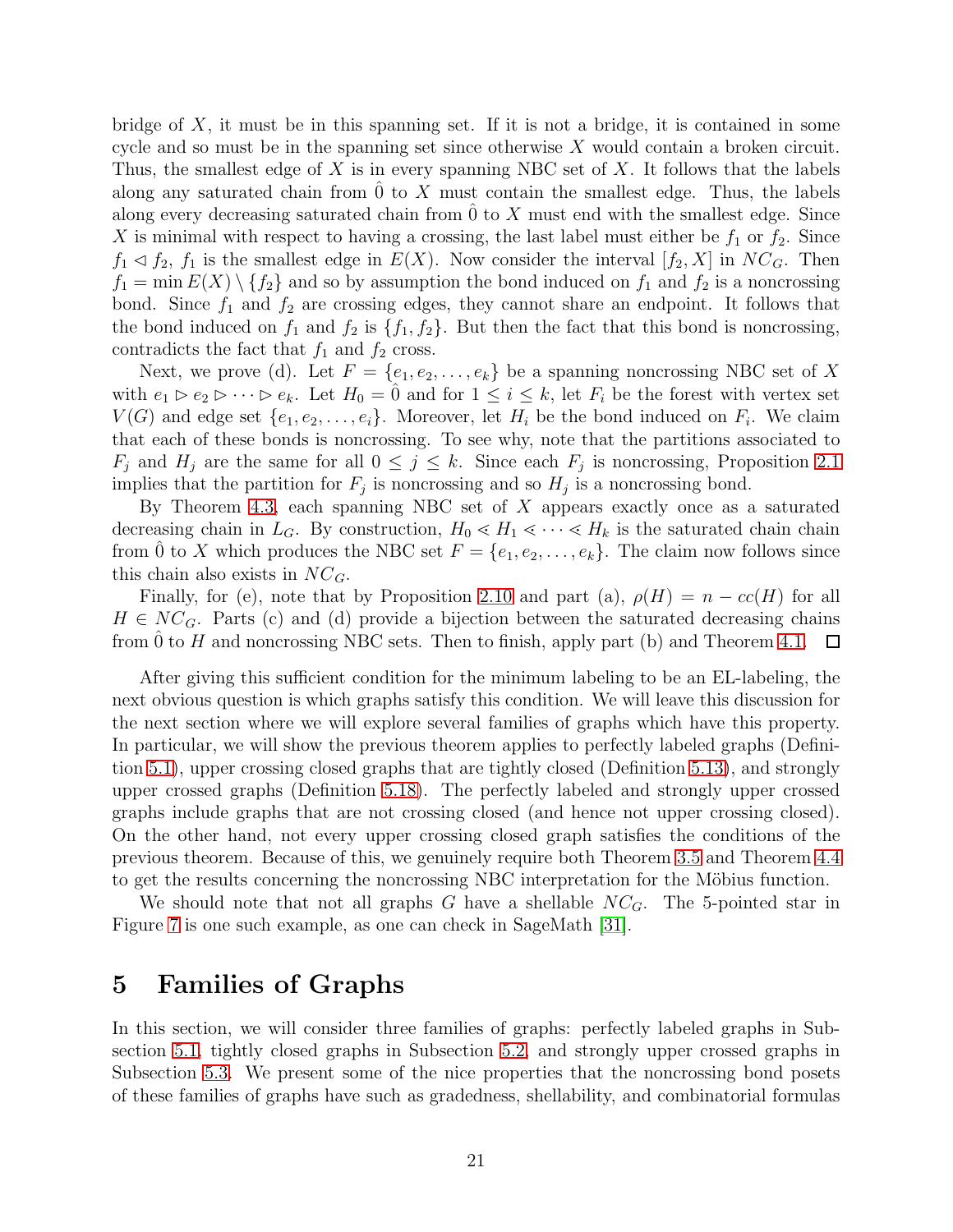bridge of  $X$ , it must be in this spanning set. If it is not a bridge, it is contained in some cycle and so must be in the spanning set since otherwise X would contain a broken circuit. Thus, the smallest edge of  $X$  is in every spanning NBC set of  $X$ . It follows that the labels along any saturated chain from  $0$  to  $X$  must contain the smallest edge. Thus, the labels along every decreasing saturated chain from  $0$  to  $X$  must end with the smallest edge. Since X is minimal with respect to having a crossing, the last label must either be  $f_1$  or  $f_2$ . Since  $f_1 \triangleleft f_2$ ,  $f_1$  is the smallest edge in  $E(X)$ . Now consider the interval  $[f_2, X]$  in  $NC_G$ . Then  $f_1 = \min E(X) \setminus \{f_2\}$  and so by assumption the bond induced on  $f_1$  and  $f_2$  is a noncrossing bond. Since  $f_1$  and  $f_2$  are crossing edges, they cannot share an endpoint. It follows that the bond induced on  $f_1$  and  $f_2$  is  $\{f_1, f_2\}$ . But then the fact that this bond is noncrossing, contradicts the fact that  $f_1$  and  $f_2$  cross.

Next, we prove (d). Let  $F = \{e_1, e_2, \ldots, e_k\}$  be a spanning noncrossing NBC set of X with  $e_1 \triangleright e_2 \triangleright \cdots \triangleright e_k$ . Let  $H_0 = \hat{0}$  and for  $1 \leq i \leq k$ , let  $F_i$  be the forest with vertex set  $V(G)$  and edge set  $\{e_1, e_2, \ldots, e_i\}$ . Moreover, let  $H_i$  be the bond induced on  $F_i$ . We claim that each of these bonds is noncrossing. To see why, note that the partitions associated to  $F_j$  and  $H_j$  are the same for all  $0 \leq j \leq k$ . Since each  $F_j$  is noncrossing, Proposition [2.1](#page-4-2) implies that the partition for  $F_j$  is noncrossing and so  $H_j$  is a noncrossing bond.

By Theorem [4.3,](#page-18-1) each spanning NBC set of  $X$  appears exactly once as a saturated decreasing chain in  $L_G$ . By construction,  $H_0 \ll H_1 \ll \cdots \ll H_k$  is the saturated chain chain from  $\ddot{0}$  to X which produces the NBC set  $F = \{e_1, e_2, \ldots, e_k\}$ . The claim now follows since this chain also exists in  $NC_G$ .

Finally, for (e), note that by Proposition [2.10](#page-9-1) and part (a),  $\rho(H) = n - cc(H)$  for all  $H \in NC_G$ . Parts (c) and (d) provide a bijection between the saturated decreasing chains from  $\hat{0}$  to H and noncrossing NBC sets. Then to finish, apply part (b) and Theorem [4.1.](#page-17-1)  $\Box$ 

After giving this sufficient condition for the minimum labeling to be an EL-labeling, the next obvious question is which graphs satisfy this condition. We will leave this discussion for the next section where we will explore several families of graphs which have this property. In particular, we will show the previous theorem applies to perfectly labeled graphs (Definition [5.1\)](#page-21-0), upper crossing closed graphs that are tightly closed (Definition [5.13\)](#page-27-0), and strongly upper crossed graphs (Definition [5.18\)](#page-29-0). The perfectly labeled and strongly upper crossed graphs include graphs that are not crossing closed (and hence not upper crossing closed). On the other hand, not every upper crossing closed graph satisfies the conditions of the previous theorem. Because of this, we genuinely require both Theorem [3.5](#page-12-0) and Theorem [4.4](#page-19-0) to get the results concerning the noncrossing NBC interpretation for the Möbius function.

We should note that not all graphs G have a shellable  $NC_G$ . The 5-pointed star in Figure [7](#page-16-1) is one such example, as one can check in SageMath [\[31\]](#page-34-12).

### <span id="page-20-0"></span>5 Families of Graphs

In this section, we will consider three families of graphs: perfectly labeled graphs in Subsection [5.1,](#page-21-1) tightly closed graphs in Subsection [5.2,](#page-27-1) and strongly upper crossed graphs in Subsection [5.3.](#page-29-1) We present some of the nice properties that the noncrossing bond posets of these families of graphs have such as gradedness, shellability, and combinatorial formulas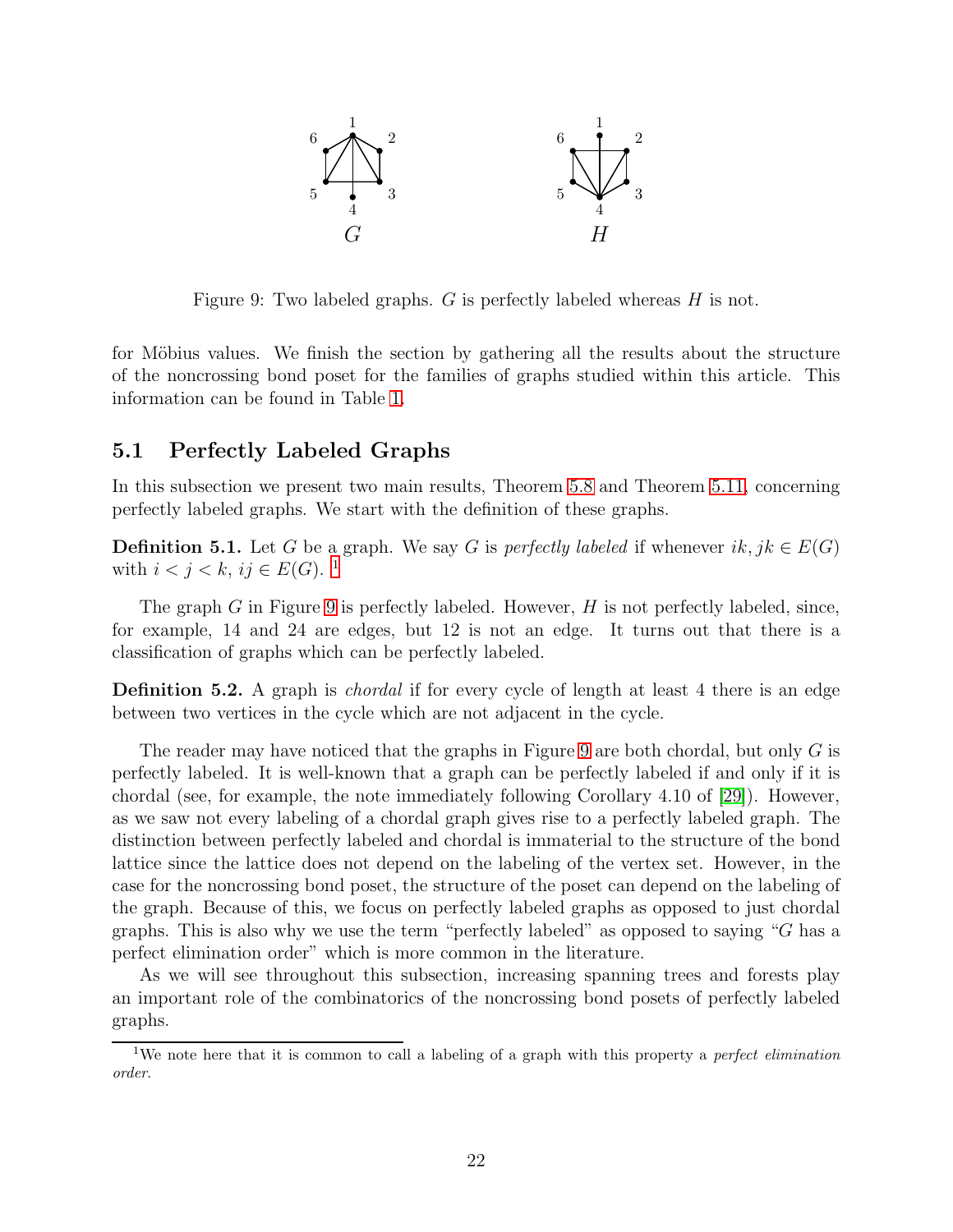

<span id="page-21-3"></span>Figure 9: Two labeled graphs. G is perfectly labeled whereas  $H$  is not.

for Möbius values. We finish the section by gathering all the results about the structure of the noncrossing bond poset for the families of graphs studied within this article. This information can be found in Table [1.](#page-31-0)

### <span id="page-21-1"></span>5.1 Perfectly Labeled Graphs

In this subsection we present two main results, Theorem [5.8](#page-23-0) and Theorem [5.11,](#page-26-0) concerning perfectly labeled graphs. We start with the definition of these graphs.

<span id="page-21-0"></span>**Definition 5.1.** Let G be a graph. We say G is perfectly labeled if whenever ik,  $jk \in E(G)$ with  $i < j < k$ ,  $ij \in E(G)$ . <sup>[1](#page-21-2)</sup>

The graph G in Figure [9](#page-21-3) is perfectly labeled. However,  $H$  is not perfectly labeled, since, for example, 14 and 24 are edges, but 12 is not an edge. It turns out that there is a classification of graphs which can be perfectly labeled.

**Definition 5.2.** A graph is *chordal* if for every cycle of length at least 4 there is an edge between two vertices in the cycle which are not adjacent in the cycle.

The reader may have noticed that the graphs in Figure [9](#page-21-3) are both chordal, but only  $G$  is perfectly labeled. It is well-known that a graph can be perfectly labeled if and only if it is chordal (see, for example, the note immediately following Corollary 4.10 of [\[29\]](#page-34-9)). However, as we saw not every labeling of a chordal graph gives rise to a perfectly labeled graph. The distinction between perfectly labeled and chordal is immaterial to the structure of the bond lattice since the lattice does not depend on the labeling of the vertex set. However, in the case for the noncrossing bond poset, the structure of the poset can depend on the labeling of the graph. Because of this, we focus on perfectly labeled graphs as opposed to just chordal graphs. This is also why we use the term "perfectly labeled" as opposed to saying "G has a perfect elimination order" which is more common in the literature.

As we will see throughout this subsection, increasing spanning trees and forests play an important role of the combinatorics of the noncrossing bond posets of perfectly labeled graphs.

<span id="page-21-2"></span><sup>&</sup>lt;sup>1</sup>We note here that it is common to call a labeling of a graph with this property a *perfect elimination* order.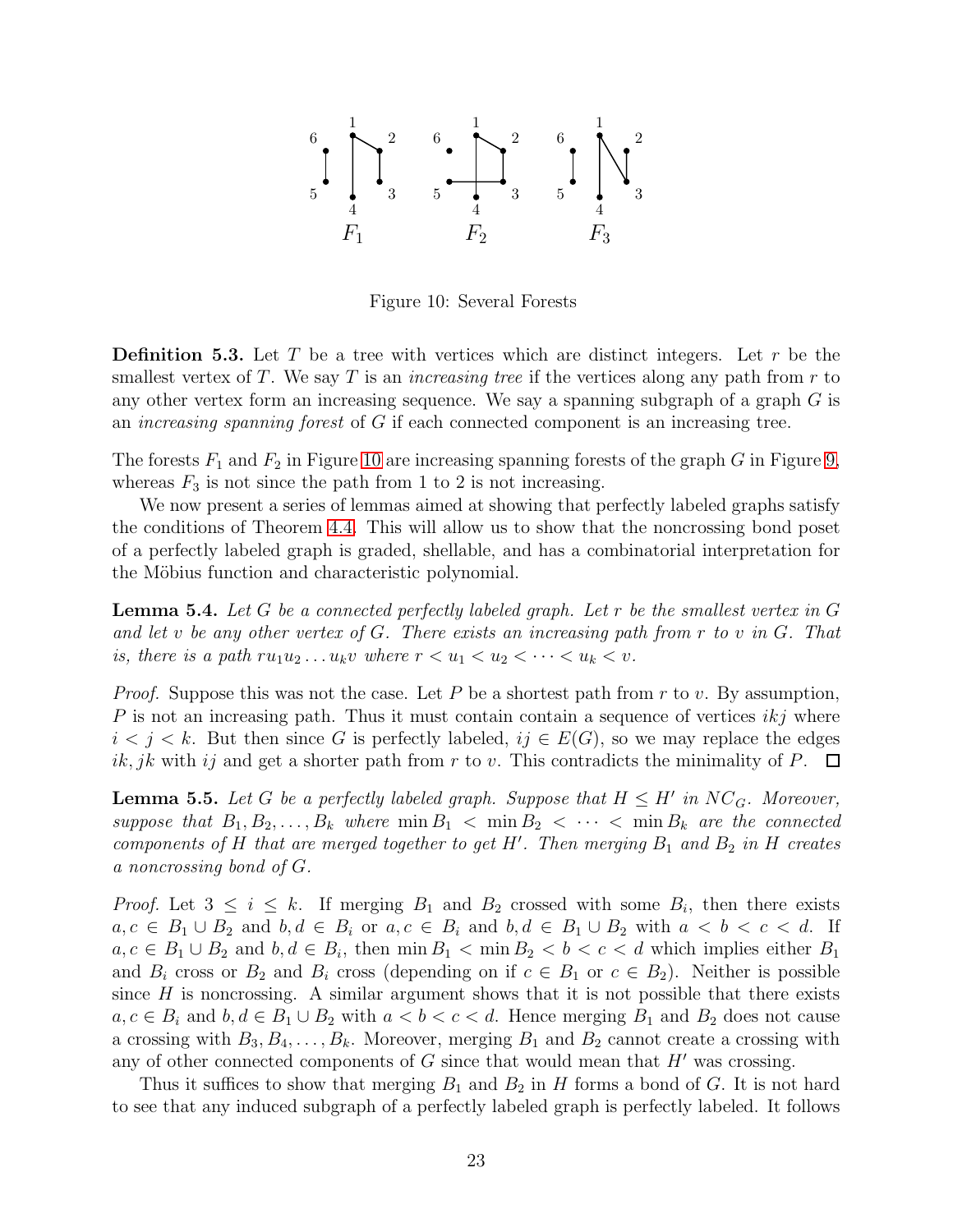

<span id="page-22-0"></span>Figure 10: Several Forests

**Definition 5.3.** Let T be a tree with vertices which are distinct integers. Let r be the smallest vertex of T. We say T is an *increasing tree* if the vertices along any path from  $r$  to any other vertex form an increasing sequence. We say a spanning subgraph of a graph  $G$  is an increasing spanning forest of G if each connected component is an increasing tree.

The forests  $F_1$  and  $F_2$  in Figure [10](#page-22-0) are increasing spanning forests of the graph G in Figure [9,](#page-21-3) whereas  $F_3$  is not since the path from 1 to 2 is not increasing.

We now present a series of lemmas aimed at showing that perfectly labeled graphs satisfy the conditions of Theorem [4.4.](#page-19-0) This will allow us to show that the noncrossing bond poset of a perfectly labeled graph is graded, shellable, and has a combinatorial interpretation for the Möbius function and characteristic polynomial.

<span id="page-22-1"></span>**Lemma 5.4.** Let G be a connected perfectly labeled graph. Let r be the smallest vertex in G and let v be any other vertex of  $G$ . There exists an increasing path from r to v in  $G$ . That is, there is a path  $ru_1u_2 \ldots u_kv$  where  $r < u_1 < u_2 < \cdots < u_k < v$ .

*Proof.* Suppose this was not the case. Let P be a shortest path from r to v. By assumption, P is not an increasing path. Thus it must contain contain a sequence of vertices  $ikj$  where  $i < j < k$ . But then since G is perfectly labeled,  $ij \in E(G)$ , so we may replace the edges ik, jk with ij and get a shorter path from r to v. This contradicts the minimality of P.  $\Box$ 

<span id="page-22-2"></span>**Lemma 5.5.** Let G be a perfectly labeled graph. Suppose that  $H \leq H'$  in  $NC_G$ . Moreover, suppose that  $B_1, B_2, \ldots, B_k$  where  $\min B_1 < \min B_2 < \cdots < \min B_k$  are the connected components of H that are merged together to get H'. Then merging  $B_1$  and  $B_2$  in H creates a noncrossing bond of G.

*Proof.* Let  $3 \leq i \leq k$ . If merging  $B_1$  and  $B_2$  crossed with some  $B_i$ , then there exists  $a, c \in B_1 \cup B_2$  and  $b, d \in B_i$  or  $a, c \in B_i$  and  $b, d \in B_1 \cup B_2$  with  $a < b < c < d$ . If  $a, c \in B_1 \cup B_2$  and  $b, d \in B_i$ , then  $\min B_1 < \min B_2 < b < c < d$  which implies either  $B_1$ and  $B_i$  cross or  $B_2$  and  $B_i$  cross (depending on if  $c \in B_1$  or  $c \in B_2$ ). Neither is possible since  $H$  is noncrossing. A similar argument shows that it is not possible that there exists  $a, c \in B_i$  and  $b, d \in B_1 \cup B_2$  with  $a < b < c < d$ . Hence merging  $B_1$  and  $B_2$  does not cause a crossing with  $B_3, B_4, \ldots, B_k$ . Moreover, merging  $B_1$  and  $B_2$  cannot create a crossing with any of other connected components of  $G$  since that would mean that  $H'$  was crossing.

Thus it suffices to show that merging  $B_1$  and  $B_2$  in H forms a bond of G. It is not hard to see that any induced subgraph of a perfectly labeled graph is perfectly labeled. It follows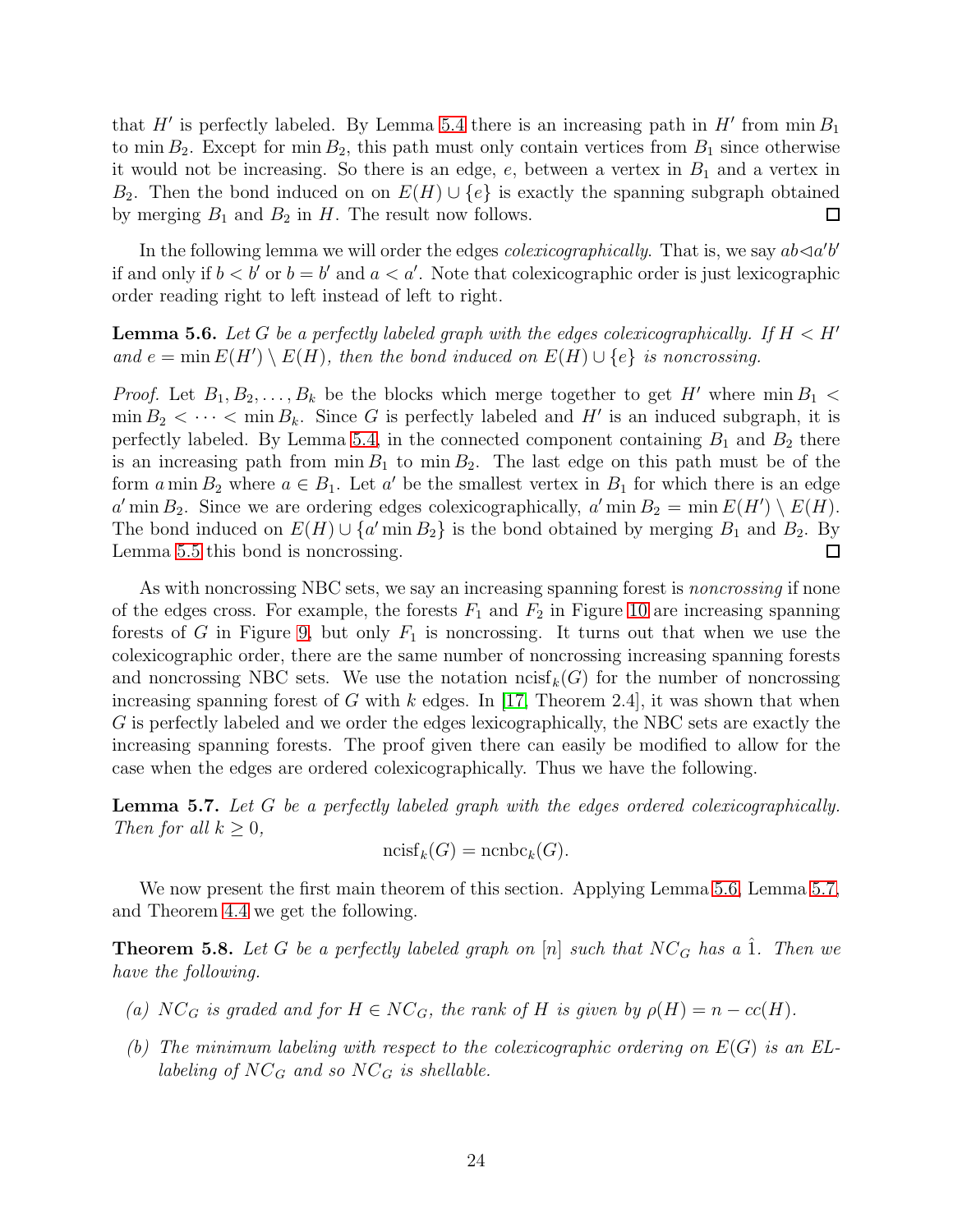that H' is perfectly labeled. By Lemma [5.4](#page-22-1) there is an increasing path in  $H'$  from  $\min B_1$ to min  $B_2$ . Except for min  $B_2$ , this path must only contain vertices from  $B_1$  since otherwise it would not be increasing. So there is an edge,  $e$ , between a vertex in  $B_1$  and a vertex in B<sub>2</sub>. Then the bond induced on on  $E(H) \cup \{e\}$  is exactly the spanning subgraph obtained by merging  $B_1$  and  $B_2$  in H. The result now follows.  $\Box$ 

In the following lemma we will order the edges *colexicographically*. That is, we say  $ab \triangleleft a'b'$ if and only if  $b < b'$  or  $b = b'$  and  $a < a'$ . Note that colexicographic order is just lexicographic order reading right to left instead of left to right.

<span id="page-23-1"></span>**Lemma 5.6.** Let G be a perfectly labeled graph with the edges colexicographically. If  $H < H'$ and  $e = \min E(H') \setminus E(H)$ , then the bond induced on  $E(H) \cup \{e\}$  is noncrossing.

*Proof.* Let  $B_1, B_2, \ldots, B_k$  be the blocks which merge together to get H' where  $\min B_1$  <  $\min B_2 < \cdots < \min B_k$ . Since G is perfectly labeled and H' is an induced subgraph, it is perfectly labeled. By Lemma [5.4,](#page-22-1) in the connected component containing  $B_1$  and  $B_2$  there is an increasing path from  $\min B_1$  to  $\min B_2$ . The last edge on this path must be of the form  $a \min B_2$  where  $a \in B_1$ . Let  $a'$  be the smallest vertex in  $B_1$  for which there is an edge a' min  $B_2$ . Since we are ordering edges colexicographically, a' min  $B_2 = \min E(H') \setminus E(H)$ . The bond induced on  $E(H) \cup \{a' \min B_2\}$  is the bond obtained by merging  $B_1$  and  $B_2$ . By Lemma [5.5](#page-22-2) this bond is noncrossing.  $\Box$ 

As with noncrossing NBC sets, we say an increasing spanning forest is *noncrossing* if none of the edges cross. For example, the forests  $F_1$  and  $F_2$  in Figure [10](#page-22-0) are increasing spanning forests of G in Figure [9,](#page-21-3) but only  $F_1$  is noncrossing. It turns out that when we use the colexicographic order, there are the same number of noncrossing increasing spanning forests and noncrossing NBC sets. We use the notation  $\text{ncisf}_k(G)$  for the number of noncrossing increasing spanning forest of G with  $k$  edges. In [\[17,](#page-33-13) Theorem 2.4], it was shown that when G is perfectly labeled and we order the edges lexicographically, the NBC sets are exactly the increasing spanning forests. The proof given there can easily be modified to allow for the case when the edges are ordered colexicographically. Thus we have the following.

<span id="page-23-2"></span>**Lemma 5.7.** Let G be a perfectly labeled graph with the edges ordered colexicographically. Then for all  $k \geq 0$ ,

$$
\mathrm{ncisf}_k(G) = \mathrm{ncnbc}_k(G).
$$

We now present the first main theorem of this section. Applying Lemma [5.6,](#page-23-1) Lemma [5.7,](#page-23-2) and Theorem [4.4](#page-19-0) we get the following.

<span id="page-23-0"></span>**Theorem 5.8.** Let G be a perfectly labeled graph on [n] such that  $NC_G$  has a  $\hat{1}$ . Then we have the following.

- (a) NC<sub>G</sub> is graded and for  $H \in NC_G$ , the rank of H is given by  $\rho(H) = n cc(H)$ .
- (b) The minimum labeling with respect to the colexicographic ordering on  $E(G)$  is an ELlabeling of  $NC_G$  and so  $NC_G$  is shellable.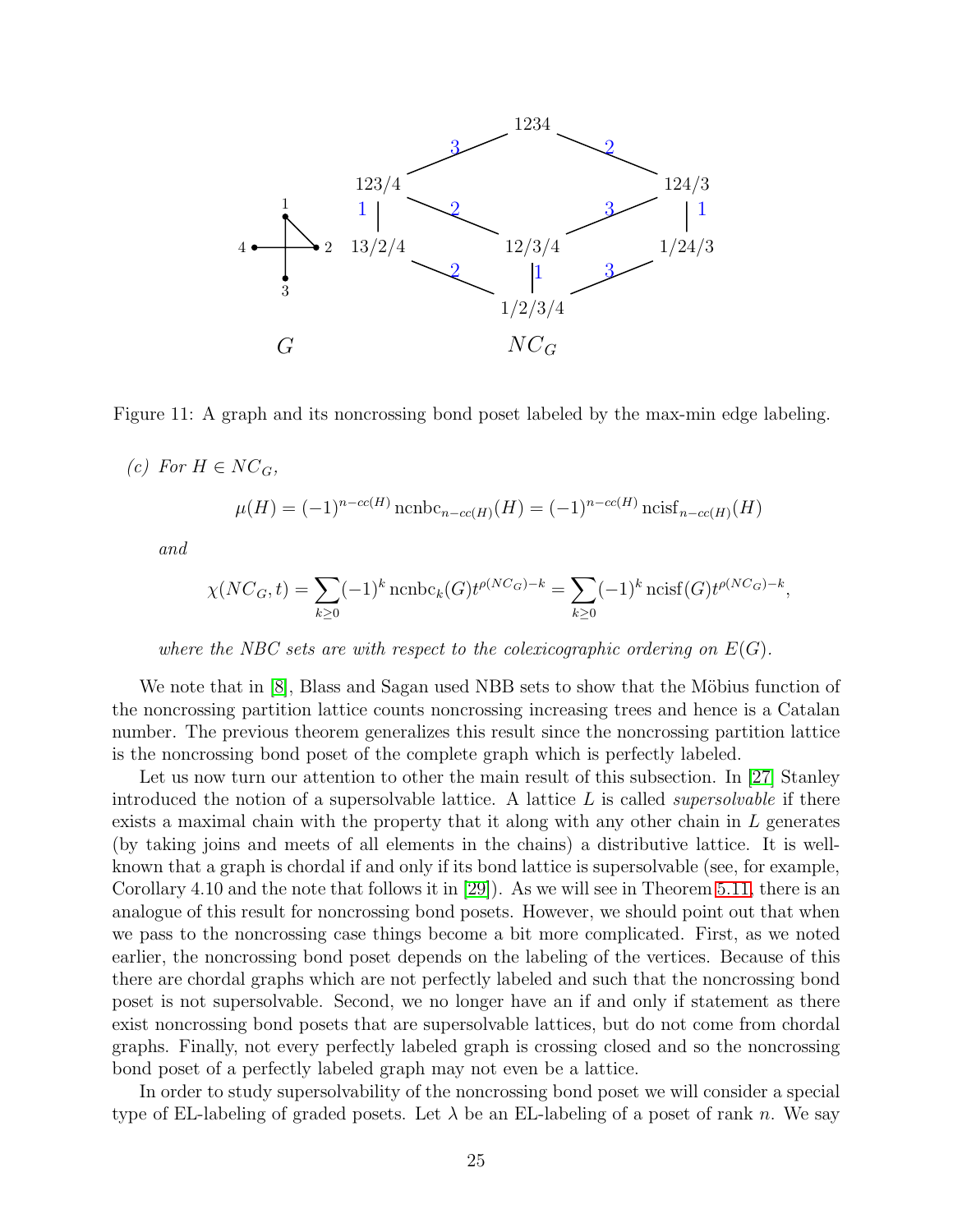

Figure 11: A graph and its noncrossing bond poset labeled by the max-min edge labeling.

(c) For  $H \in NC_G$ ,

<span id="page-24-0"></span>
$$
\mu(H) = (-1)^{n-cc(H)} \operatorname{ncnbc}_{n-cc(H)}(H) = (-1)^{n-cc(H)} \operatorname{ncisf}_{n-cc(H)}(H)
$$

and

$$
\chi(NC_G, t) = \sum_{k \ge 0} (-1)^k \operatorname{ncnbc}_k(G) t^{\rho(NC_G) - k} = \sum_{k \ge 0} (-1)^k \operatorname{ncis}((G) t^{\rho(NC_G) - k},
$$

where the NBC sets are with respect to the colexicographic ordering on  $E(G)$ .

We note that in  $[8]$ , Blass and Sagan used NBB sets to show that the Möbius function of the noncrossing partition lattice counts noncrossing increasing trees and hence is a Catalan number. The previous theorem generalizes this result since the noncrossing partition lattice is the noncrossing bond poset of the complete graph which is perfectly labeled.

Let us now turn our attention to other the main result of this subsection. In [\[27\]](#page-34-13) Stanley introduced the notion of a supersolvable lattice. A lattice  $L$  is called *supersolvable* if there exists a maximal chain with the property that it along with any other chain in  $L$  generates (by taking joins and meets of all elements in the chains) a distributive lattice. It is wellknown that a graph is chordal if and only if its bond lattice is supersolvable (see, for example, Corollary 4.10 and the note that follows it in [\[29\]](#page-34-9)). As we will see in Theorem [5.11,](#page-26-0) there is an analogue of this result for noncrossing bond posets. However, we should point out that when we pass to the noncrossing case things become a bit more complicated. First, as we noted earlier, the noncrossing bond poset depends on the labeling of the vertices. Because of this there are chordal graphs which are not perfectly labeled and such that the noncrossing bond poset is not supersolvable. Second, we no longer have an if and only if statement as there exist noncrossing bond posets that are supersolvable lattices, but do not come from chordal graphs. Finally, not every perfectly labeled graph is crossing closed and so the noncrossing bond poset of a perfectly labeled graph may not even be a lattice.

In order to study supersolvability of the noncrossing bond poset we will consider a special type of EL-labeling of graded posets. Let  $\lambda$  be an EL-labeling of a poset of rank n. We say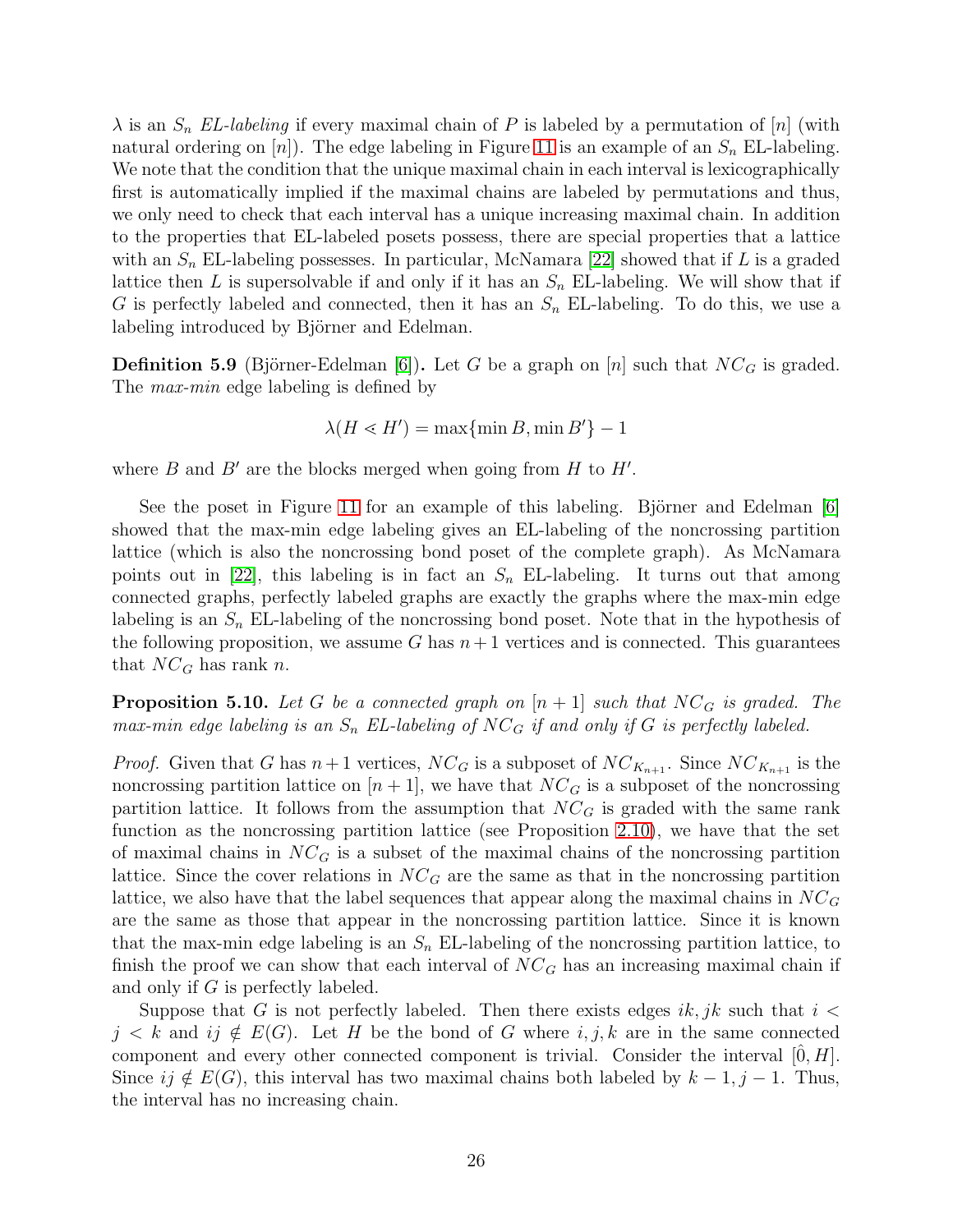$\lambda$  is an  $S_n$  EL-labeling if every maximal chain of P is labeled by a permutation of [n] (with natural ordering on  $[n]$ ). The edge labeling in Figure [11](#page-24-0) is an example of an  $S_n$  EL-labeling. We note that the condition that the unique maximal chain in each interval is lexicographically first is automatically implied if the maximal chains are labeled by permutations and thus, we only need to check that each interval has a unique increasing maximal chain. In addition to the properties that EL-labeled posets possess, there are special properties that a lattice with an  $S_n$  EL-labeling possesses. In particular, McNamara [\[22\]](#page-34-7) showed that if L is a graded lattice then L is supersolvable if and only if it has an  $S_n$  EL-labeling. We will show that if G is perfectly labeled and connected, then it has an  $S_n$  EL-labeling. To do this, we use a labeling introduced by Björner and Edelman.

**Definition 5.9** (Björner-Edelman [\[6\]](#page-33-0)). Let G be a graph on [n] such that  $NC_G$  is graded. The *max-min* edge labeling is defined by

$$
\lambda(H \ll H') = \max\{\min B, \min B'\} - 1
$$

where  $B$  and  $B'$  are the blocks merged when going from  $H$  to  $H'$ .

See the poset in Figure [11](#page-24-0) for an example of this labeling. Björner and Edelman [\[6\]](#page-33-0) showed that the max-min edge labeling gives an EL-labeling of the noncrossing partition lattice (which is also the noncrossing bond poset of the complete graph). As McNamara points out in [\[22\]](#page-34-7), this labeling is in fact an  $S_n$  EL-labeling. It turns out that among connected graphs, perfectly labeled graphs are exactly the graphs where the max-min edge labeling is an  $S_n$  EL-labeling of the noncrossing bond poset. Note that in the hypothesis of the following proposition, we assume G has  $n+1$  vertices and is connected. This guarantees that  $NC_G$  has rank n.

<span id="page-25-0"></span>**Proposition 5.10.** Let G be a connected graph on  $[n+1]$  such that NC<sub>G</sub> is graded. The max-min edge labeling is an  $S_n$  EL-labeling of NC<sub>G</sub> if and only if G is perfectly labeled.

*Proof.* Given that G has  $n+1$  vertices,  $NC_G$  is a subposet of  $NC_{K_{n+1}}$ . Since  $NC_{K_{n+1}}$  is the noncrossing partition lattice on  $[n+1]$ , we have that  $NC_G$  is a subposet of the noncrossing partition lattice. It follows from the assumption that  $NC_G$  is graded with the same rank function as the noncrossing partition lattice (see Proposition [2.10\)](#page-9-1), we have that the set of maximal chains in  $NC_G$  is a subset of the maximal chains of the noncrossing partition lattice. Since the cover relations in  $NC_G$  are the same as that in the noncrossing partition lattice, we also have that the label sequences that appear along the maximal chains in  $NC_G$ are the same as those that appear in the noncrossing partition lattice. Since it is known that the max-min edge labeling is an  $S_n$  EL-labeling of the noncrossing partition lattice, to finish the proof we can show that each interval of  $NC_G$  has an increasing maximal chain if and only if G is perfectly labeled.

Suppose that G is not perfectly labeled. Then there exists edges ik, jk such that  $i <$  $j < k$  and  $ij \notin E(G)$ . Let H be the bond of G where i, j, k are in the same connected component and every other connected component is trivial. Consider the interval  $[0, H]$ . Since  $ij \notin E(G)$ , this interval has two maximal chains both labeled by  $k - 1$ ,  $j - 1$ . Thus, the interval has no increasing chain.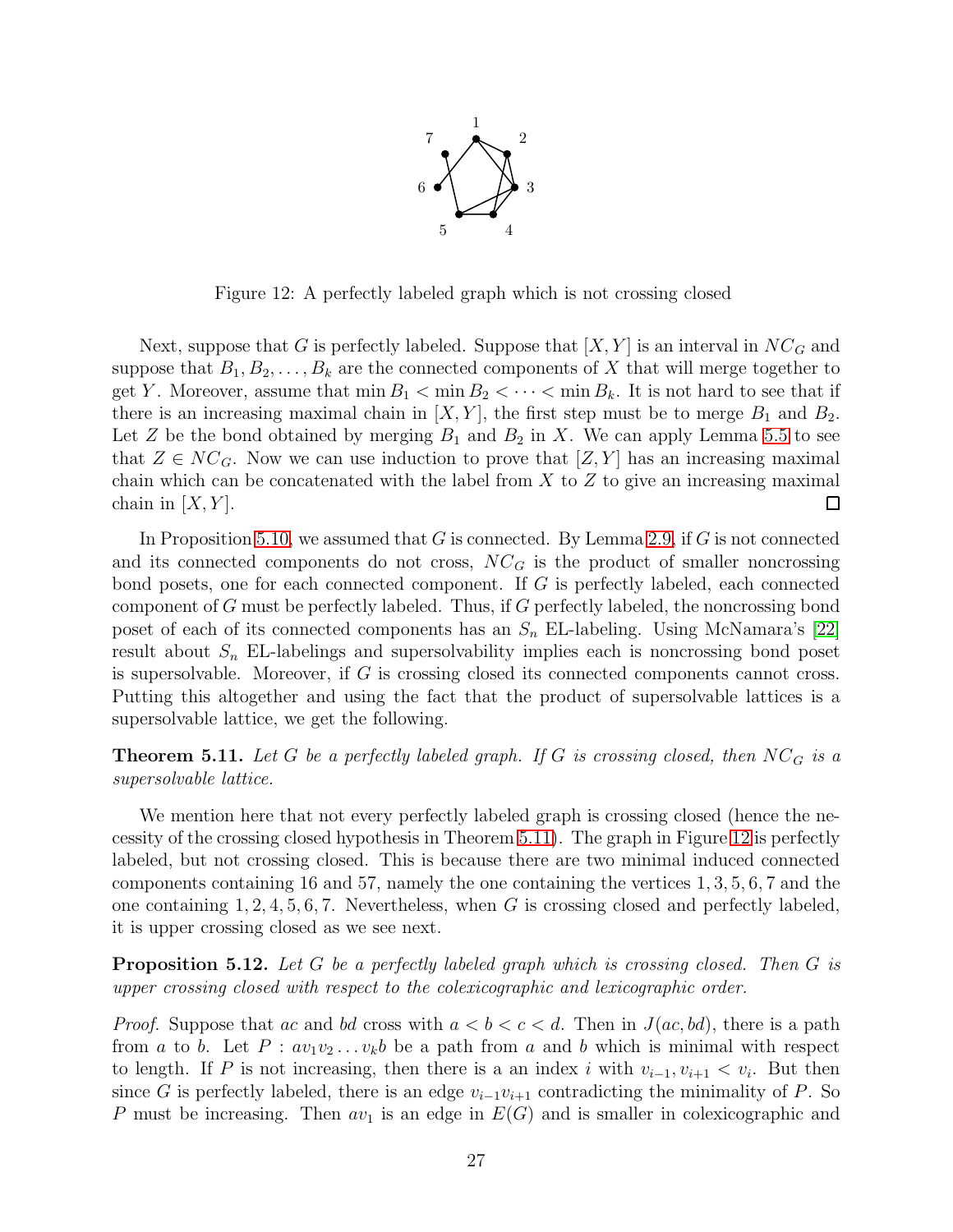

<span id="page-26-1"></span>Figure 12: A perfectly labeled graph which is not crossing closed

Next, suppose that G is perfectly labeled. Suppose that  $[X, Y]$  is an interval in  $NC_G$  and suppose that  $B_1, B_2, \ldots, B_k$  are the connected components of X that will merge together to get Y. Moreover, assume that  $\min B_1 < \min B_2 < \cdots < \min B_k$ . It is not hard to see that if there is an increasing maximal chain in  $[X, Y]$ , the first step must be to merge  $B_1$  and  $B_2$ . Let Z be the bond obtained by merging  $B_1$  and  $B_2$  in X. We can apply Lemma [5.5](#page-22-2) to see that  $Z \in NC_G$ . Now we can use induction to prove that  $[Z, Y]$  has an increasing maximal chain which can be concatenated with the label from  $X$  to  $Z$  to give an increasing maximal chain in  $[X, Y]$ .  $\Box$ 

In Proposition [5.10,](#page-25-0) we assumed that G is connected. By Lemma [2.9,](#page-8-2) if G is not connected and its connected components do not cross,  $NC_G$  is the product of smaller noncrossing bond posets, one for each connected component. If G is perfectly labeled, each connected component of G must be perfectly labeled. Thus, if G perfectly labeled, the noncrossing bond poset of each of its connected components has an  $S_n$  EL-labeling. Using McNamara's [\[22\]](#page-34-7) result about  $S_n$  EL-labelings and supersolvability implies each is noncrossing bond poset is supersolvable. Moreover, if G is crossing closed its connected components cannot cross. Putting this altogether and using the fact that the product of supersolvable lattices is a supersolvable lattice, we get the following.

<span id="page-26-0"></span>**Theorem 5.11.** Let G be a perfectly labeled graph. If G is crossing closed, then  $NC_G$  is a supersolvable lattice.

We mention here that not every perfectly labeled graph is crossing closed (hence the necessity of the crossing closed hypothesis in Theorem [5.11\)](#page-26-0). The graph in Figure [12](#page-26-1) is perfectly labeled, but not crossing closed. This is because there are two minimal induced connected components containing 16 and 57, namely the one containing the vertices 1, 3, 5, 6, 7 and the one containing  $1, 2, 4, 5, 6, 7$ . Nevertheless, when G is crossing closed and perfectly labeled, it is upper crossing closed as we see next.

**Proposition 5.12.** Let G be a perfectly labeled graph which is crossing closed. Then G is upper crossing closed with respect to the colexicographic and lexicographic order.

*Proof.* Suppose that ac and bd cross with  $a < b < c < d$ . Then in  $J(ac, bd)$ , there is a path from a to b. Let  $P : av_1v_2 \ldots v_kb$  be a path from a and b which is minimal with respect to length. If P is not increasing, then there is a an index i with  $v_{i-1}, v_{i+1} < v_i$ . But then since G is perfectly labeled, there is an edge  $v_{i-1}v_{i+1}$  contradicting the minimality of P. So P must be increasing. Then  $av_1$  is an edge in  $E(G)$  and is smaller in colexicographic and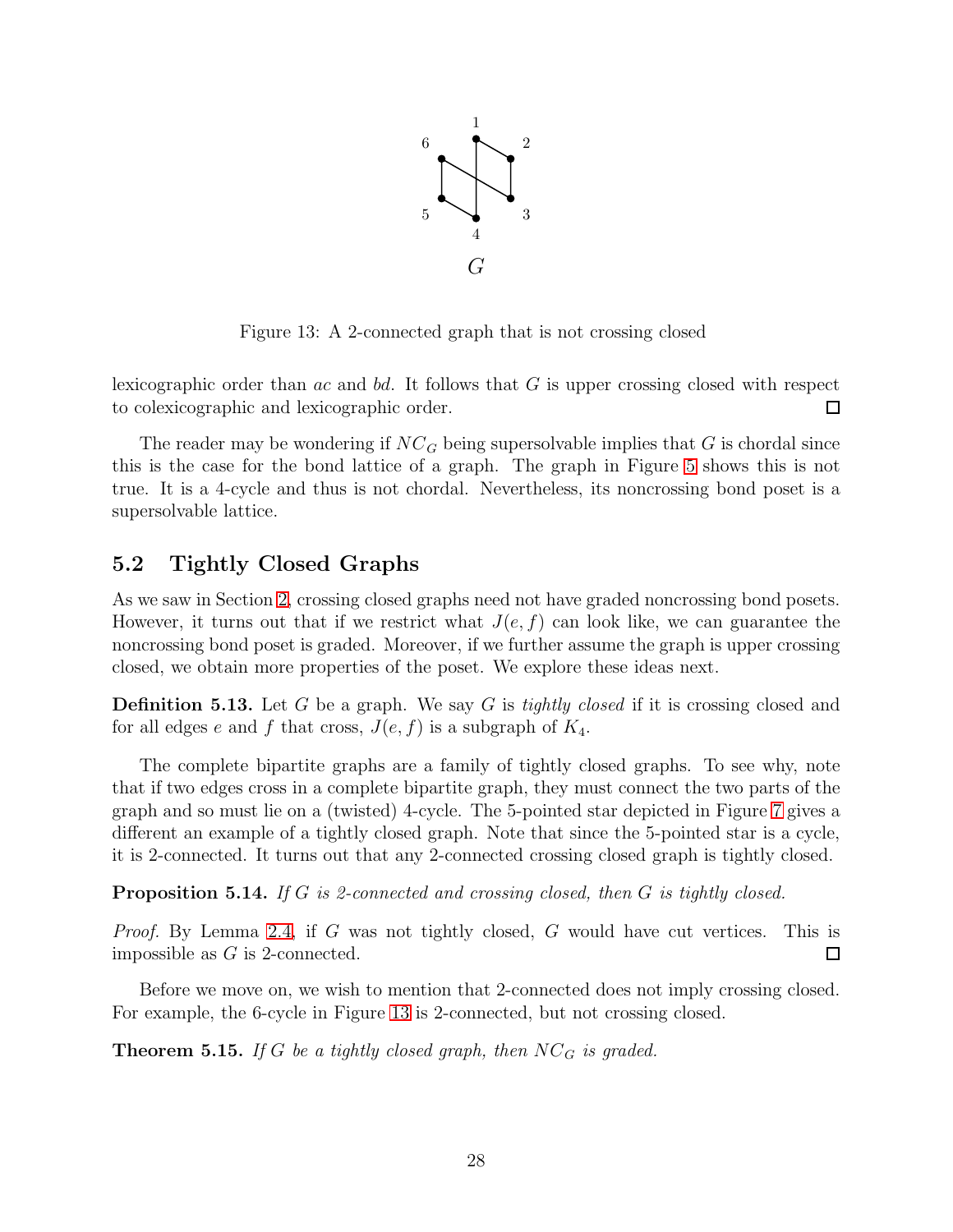

<span id="page-27-2"></span>Figure 13: A 2-connected graph that is not crossing closed

lexicographic order than  $ac$  and  $bd$ . It follows that G is upper crossing closed with respect to colexicographic and lexicographic order.  $\Box$ 

The reader may be wondering if  $NC_G$  being supersolvable implies that G is chordal since this is the case for the bond lattice of a graph. The graph in Figure [5](#page-11-0) shows this is not true. It is a 4-cycle and thus is not chordal. Nevertheless, its noncrossing bond poset is a supersolvable lattice.

### <span id="page-27-1"></span>5.2 Tightly Closed Graphs

As we saw in Section [2,](#page-3-0) crossing closed graphs need not have graded noncrossing bond posets. However, it turns out that if we restrict what  $J(e, f)$  can look like, we can guarantee the noncrossing bond poset is graded. Moreover, if we further assume the graph is upper crossing closed, we obtain more properties of the poset. We explore these ideas next.

<span id="page-27-0"></span>**Definition 5.13.** Let G be a graph. We say G is tightly closed if it is crossing closed and for all edges e and f that cross,  $J(e, f)$  is a subgraph of  $K_4$ .

The complete bipartite graphs are a family of tightly closed graphs. To see why, note that if two edges cross in a complete bipartite graph, they must connect the two parts of the graph and so must lie on a (twisted) 4-cycle. The 5-pointed star depicted in Figure [7](#page-16-1) gives a different an example of a tightly closed graph. Note that since the 5-pointed star is a cycle, it is 2-connected. It turns out that any 2-connected crossing closed graph is tightly closed.

Proposition 5.14. If G is 2-connected and crossing closed, then G is tightly closed.

Proof. By Lemma [2.4,](#page-5-1) if G was not tightly closed, G would have cut vertices. This is impossible as G is 2-connected.  $\Box$ 

Before we move on, we wish to mention that 2-connected does not imply crossing closed. For example, the 6-cycle in Figure [13](#page-27-2) is 2-connected, but not crossing closed.

<span id="page-27-3"></span>**Theorem 5.15.** If G be a tightly closed graph, then  $NC_G$  is graded.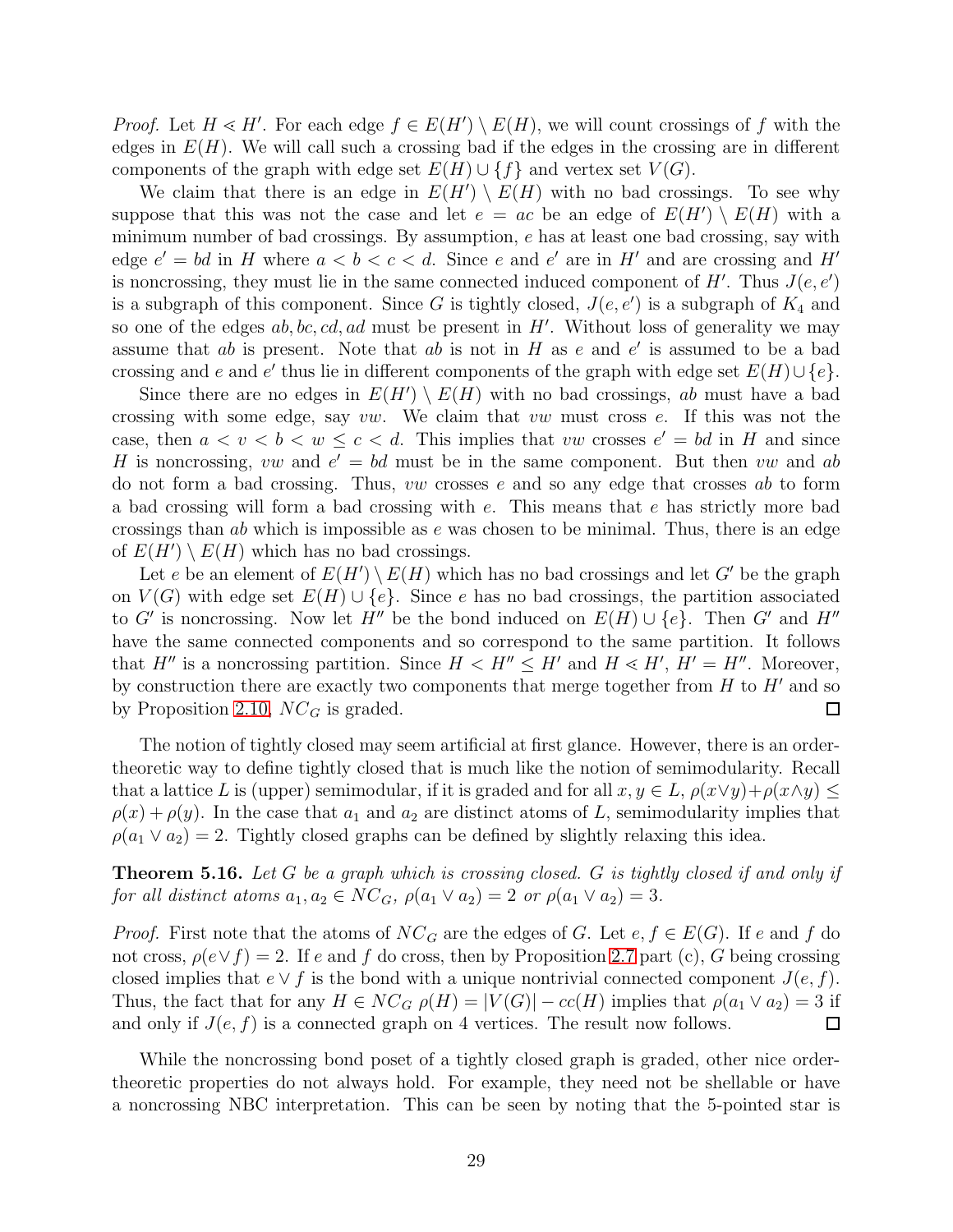*Proof.* Let  $H \ll H'$ . For each edge  $f \in E(H') \setminus E(H)$ , we will count crossings of f with the edges in  $E(H)$ . We will call such a crossing bad if the edges in the crossing are in different components of the graph with edge set  $E(H) \cup \{f\}$  and vertex set  $V(G)$ .

We claim that there is an edge in  $E(H') \setminus E(H)$  with no bad crossings. To see why suppose that this was not the case and let  $e = ac$  be an edge of  $E(H') \setminus E(H)$  with a minimum number of bad crossings. By assumption, e has at least one bad crossing, say with edge  $e' = bd$  in H where  $a < b < c < d$ . Since e and e' are in H' and are crossing and H' is noncrossing, they must lie in the same connected induced component of  $H'$ . Thus  $J(e, e')$ is a subgraph of this component. Since G is tightly closed,  $J(e, e')$  is a subgraph of  $K_4$  and so one of the edges  $ab, bc, cd, ad$  must be present in  $H'$ . Without loss of generality we may assume that  $ab$  is present. Note that  $ab$  is not in H as  $e$  and  $e'$  is assumed to be a bad crossing and e and e' thus lie in different components of the graph with edge set  $E(H) \cup \{e\}$ .

Since there are no edges in  $E(H') \setminus E(H)$  with no bad crossings, ab must have a bad crossing with some edge, say  $vw$ . We claim that vw must cross e. If this was not the case, then  $a < v < b < w \leq c < d$ . This implies that vw crosses  $e' = bd$  in H and since H is noncrossing, vw and  $e' = bd$  must be in the same component. But then vw and ab do not form a bad crossing. Thus, vw crosses e and so any edge that crosses ab to form a bad crossing will form a bad crossing with e. This means that e has strictly more bad crossings than  $ab$  which is impossible as  $e$  was chosen to be minimal. Thus, there is an edge of  $E(H') \setminus E(H)$  which has no bad crossings.

Let e be an element of  $E(H') \setminus E(H)$  which has no bad crossings and let G' be the graph on  $V(G)$  with edge set  $E(H) \cup \{e\}$ . Since e has no bad crossings, the partition associated to G' is noncrossing. Now let H'' be the bond induced on  $E(H) \cup \{e\}$ . Then G' and H'' have the same connected components and so correspond to the same partition. It follows that  $H''$  is a noncrossing partition. Since  $H < H'' \leq H'$  and  $H \leq H'$ ,  $H' = H''$ . Moreover, by construction there are exactly two components that merge together from  $H$  to  $H'$  and so by Proposition [2.10,](#page-9-1)  $NC_G$  is graded.  $\Box$ 

The notion of tightly closed may seem artificial at first glance. However, there is an ordertheoretic way to define tightly closed that is much like the notion of semimodularity. Recall that a lattice L is (upper) semimodular, if it is graded and for all  $x, y \in L$ ,  $\rho(x \vee y) + \rho(x \wedge y)$  $\rho(x) + \rho(y)$ . In the case that  $a_1$  and  $a_2$  are distinct atoms of L, semimodularity implies that  $\rho(a_1 \vee a_2) = 2$ . Tightly closed graphs can be defined by slightly relaxing this idea.

**Theorem 5.16.** Let G be a graph which is crossing closed. G is tightly closed if and only if for all distinct atoms  $a_1, a_2 \in NC_G$ ,  $\rho(a_1 \vee a_2) = 2$  or  $\rho(a_1 \vee a_2) = 3$ .

*Proof.* First note that the atoms of  $NC_G$  are the edges of G. Let  $e, f \in E(G)$ . If e and f do not cross,  $\rho(e \vee f) = 2$ . If e and f do cross, then by Proposition [2.7](#page-8-0) part (c), G being crossing closed implies that  $e \vee f$  is the bond with a unique nontrivial connected component  $J(e, f)$ . Thus, the fact that for any  $H \in NC_G$   $\rho(H) = |V(G)| - cc(H)$  implies that  $\rho(a_1 \vee a_2) = 3$  if and only if  $J(e, f)$  is a connected graph on 4 vertices. The result now follows.  $\Box$ 

While the noncrossing bond poset of a tightly closed graph is graded, other nice ordertheoretic properties do not always hold. For example, they need not be shellable or have a noncrossing NBC interpretation. This can be seen by noting that the 5-pointed star is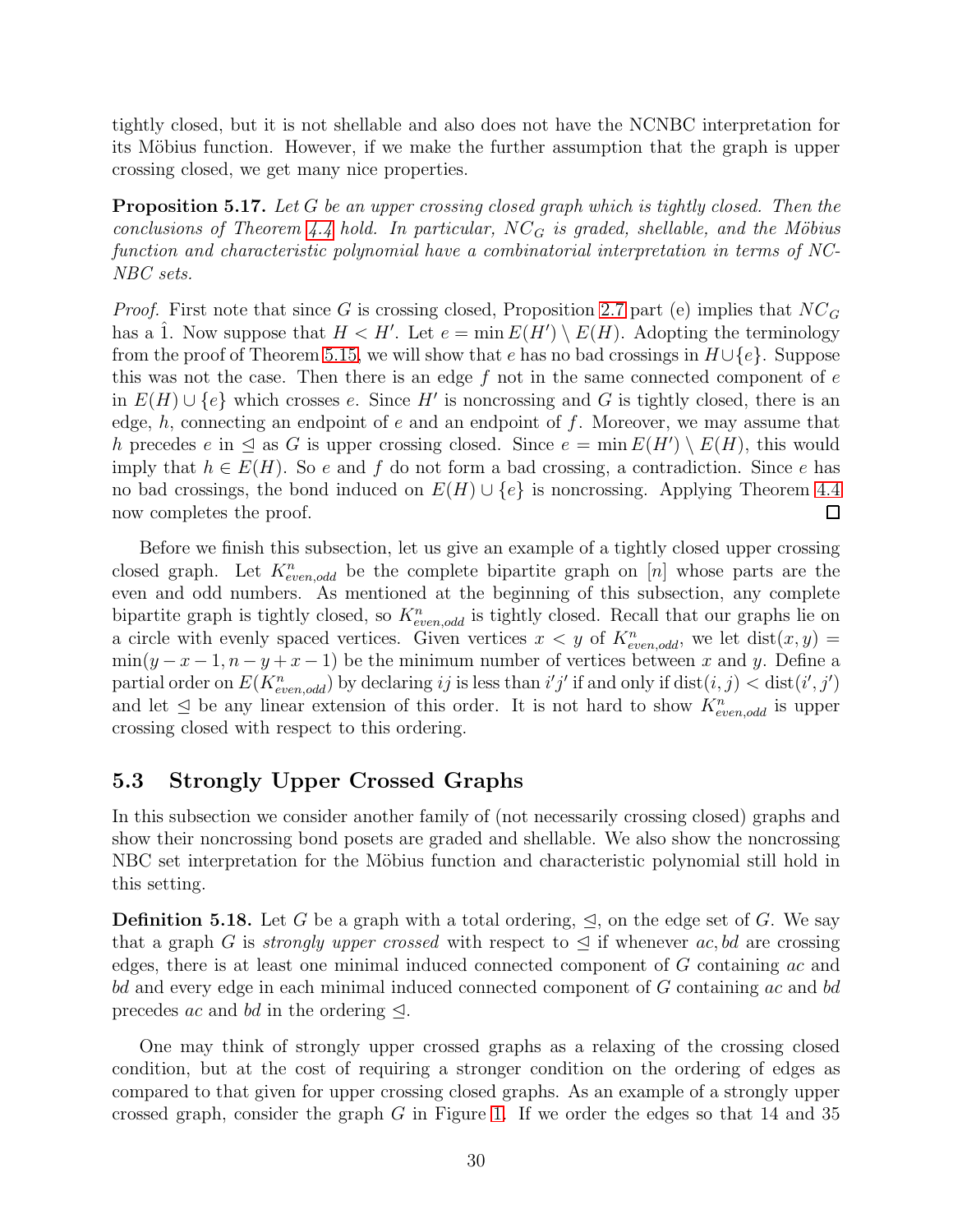tightly closed, but it is not shellable and also does not have the NCNBC interpretation for its Möbius function. However, if we make the further assumption that the graph is upper crossing closed, we get many nice properties.

**Proposition 5.17.** Let G be an upper crossing closed graph which is tightly closed. Then the conclusions of Theorem [4.4](#page-19-0) hold. In particular,  $NC_G$  is graded, shellable, and the Möbius function and characteristic polynomial have a combinatorial interpretation in terms of NC-NBC sets.

*Proof.* First note that since G is crossing closed, Proposition [2.7](#page-8-0) part (e) implies that  $NC_G$ has a  $\hat{1}$ . Now suppose that  $H < H'$ . Let  $e = \min E(H') \setminus E(H)$ . Adopting the terminology from the proof of Theorem [5.15,](#page-27-3) we will show that e has no bad crossings in  $H \cup \{e\}$ . Suppose this was not the case. Then there is an edge  $f$  not in the same connected component of  $e$ in  $E(H) \cup \{e\}$  which crosses e. Since H' is noncrossing and G is tightly closed, there is an edge,  $h$ , connecting an endpoint of e and an endpoint of f. Moreover, we may assume that h precedes e in  $\leq$  as G is upper crossing closed. Since  $e = \min E(H') \setminus E(H)$ , this would imply that  $h \in E(H)$ . So e and f do not form a bad crossing, a contradiction. Since e has no bad crossings, the bond induced on  $E(H) \cup \{e\}$  is noncrossing. Applying Theorem [4.4](#page-19-0) now completes the proof.  $\Box$ 

Before we finish this subsection, let us give an example of a tightly closed upper crossing closed graph. Let  $K_{even,odd}^n$  be the complete bipartite graph on [n] whose parts are the even and odd numbers. As mentioned at the beginning of this subsection, any complete bipartite graph is tightly closed, so  $K_{even,odd}^n$  is tightly closed. Recall that our graphs lie on a circle with evenly spaced vertices. Given vertices  $x < y$  of  $K_{even,odd}^n$ , we let  $dist(x, y) =$  $\min(y-x-1, n-y+x-1)$  be the minimum number of vertices between x and y. Define a partial order on  $E(K_{even,odd}^n)$  by declaring ij is less than i'j' if and only if  $dist(i, j) < dist(i', j')$ and let  $\leq$  be any linear extension of this order. It is not hard to show  $K_{even,odd}^n$  is upper crossing closed with respect to this ordering.

### <span id="page-29-1"></span>5.3 Strongly Upper Crossed Graphs

In this subsection we consider another family of (not necessarily crossing closed) graphs and show their noncrossing bond posets are graded and shellable. We also show the noncrossing NBC set interpretation for the Möbius function and characteristic polynomial still hold in this setting.

<span id="page-29-0"></span>**Definition 5.18.** Let G be a graph with a total ordering,  $\leq$ , on the edge set of G. We say that a graph G is *strongly upper crossed* with respect to  $\leq$  if whenever ac, bd are crossing edges, there is at least one minimal induced connected component of G containing ac and bd and every edge in each minimal induced connected component of G containing ac and bd precedes ac and bd in the ordering  $\triangleleft$ .

One may think of strongly upper crossed graphs as a relaxing of the crossing closed condition, but at the cost of requiring a stronger condition on the ordering of edges as compared to that given for upper crossing closed graphs. As an example of a strongly upper crossed graph, consider the graph  $G$  in Figure [1.](#page-4-0) If we order the edges so that 14 and 35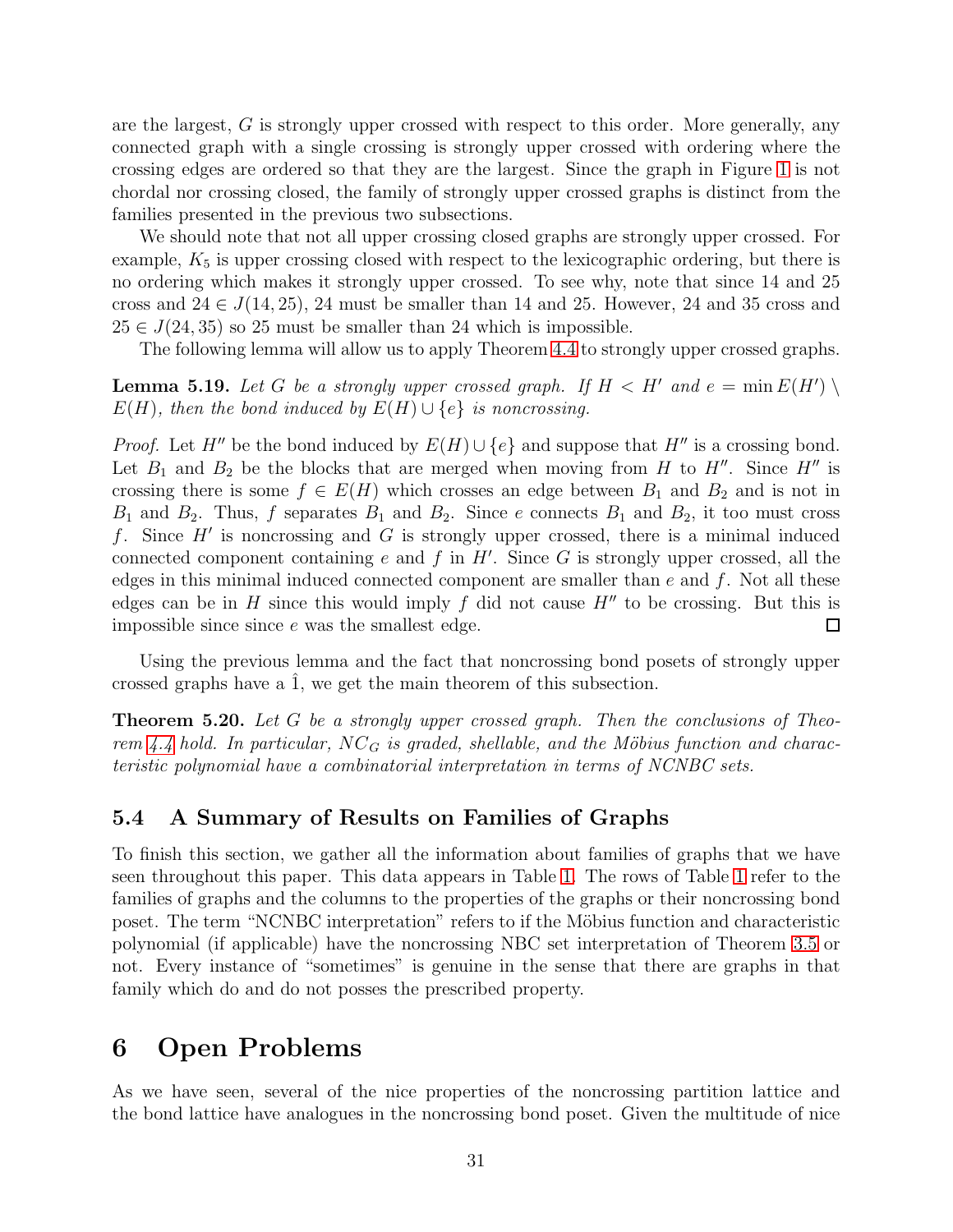are the largest, G is strongly upper crossed with respect to this order. More generally, any connected graph with a single crossing is strongly upper crossed with ordering where the crossing edges are ordered so that they are the largest. Since the graph in Figure [1](#page-4-0) is not chordal nor crossing closed, the family of strongly upper crossed graphs is distinct from the families presented in the previous two subsections.

We should note that not all upper crossing closed graphs are strongly upper crossed. For example,  $K_5$  is upper crossing closed with respect to the lexicographic ordering, but there is no ordering which makes it strongly upper crossed. To see why, note that since 14 and 25 cross and  $24 \in J(14, 25)$ , 24 must be smaller than 14 and 25. However, 24 and 35 cross and  $25 \in J(24, 35)$  so 25 must be smaller than 24 which is impossible.

The following lemma will allow us to apply Theorem [4.4](#page-19-0) to strongly upper crossed graphs.

**Lemma 5.19.** Let G be a strongly upper crossed graph. If  $H < H'$  and  $e = \min E(H')$  $E(H)$ , then the bond induced by  $E(H) \cup \{e\}$  is noncrossing.

*Proof.* Let H'' be the bond induced by  $E(H) \cup \{e\}$  and suppose that H'' is a crossing bond. Let  $B_1$  and  $B_2$  be the blocks that are merged when moving from H to H''. Since H'' is crossing there is some  $f \in E(H)$  which crosses an edge between  $B_1$  and  $B_2$  and is not in  $B_1$  and  $B_2$ . Thus, f separates  $B_1$  and  $B_2$ . Since e connects  $B_1$  and  $B_2$ , it too must cross f. Since  $H'$  is noncrossing and G is strongly upper crossed, there is a minimal induced connected component containing  $e$  and  $f$  in  $H'$ . Since  $G$  is strongly upper crossed, all the edges in this minimal induced connected component are smaller than  $e$  and  $f$ . Not all these edges can be in  $H$  since this would imply  $f$  did not cause  $H''$  to be crossing. But this is impossible since since e was the smallest edge.  $\Box$ 

Using the previous lemma and the fact that noncrossing bond posets of strongly upper crossed graphs have a 1, we get the main theorem of this subsection.

**Theorem 5.20.** Let G be a strongly upper crossed graph. Then the conclusions of Theo-rem [4.4](#page-19-0) hold. In particular,  $NC_G$  is graded, shellable, and the Möbius function and characteristic polynomial have a combinatorial interpretation in terms of NCNBC sets.

#### 5.4 A Summary of Results on Families of Graphs

To finish this section, we gather all the information about families of graphs that we have seen throughout this paper. This data appears in Table [1.](#page-31-0) The rows of Table [1](#page-31-0) refer to the families of graphs and the columns to the properties of the graphs or their noncrossing bond poset. The term "NCNBC interpretation" refers to if the Möbius function and characteristic polynomial (if applicable) have the noncrossing NBC set interpretation of Theorem [3.5](#page-12-0) or not. Every instance of "sometimes" is genuine in the sense that there are graphs in that family which do and do not posses the prescribed property.

## <span id="page-30-0"></span>6 Open Problems

As we have seen, several of the nice properties of the noncrossing partition lattice and the bond lattice have analogues in the noncrossing bond poset. Given the multitude of nice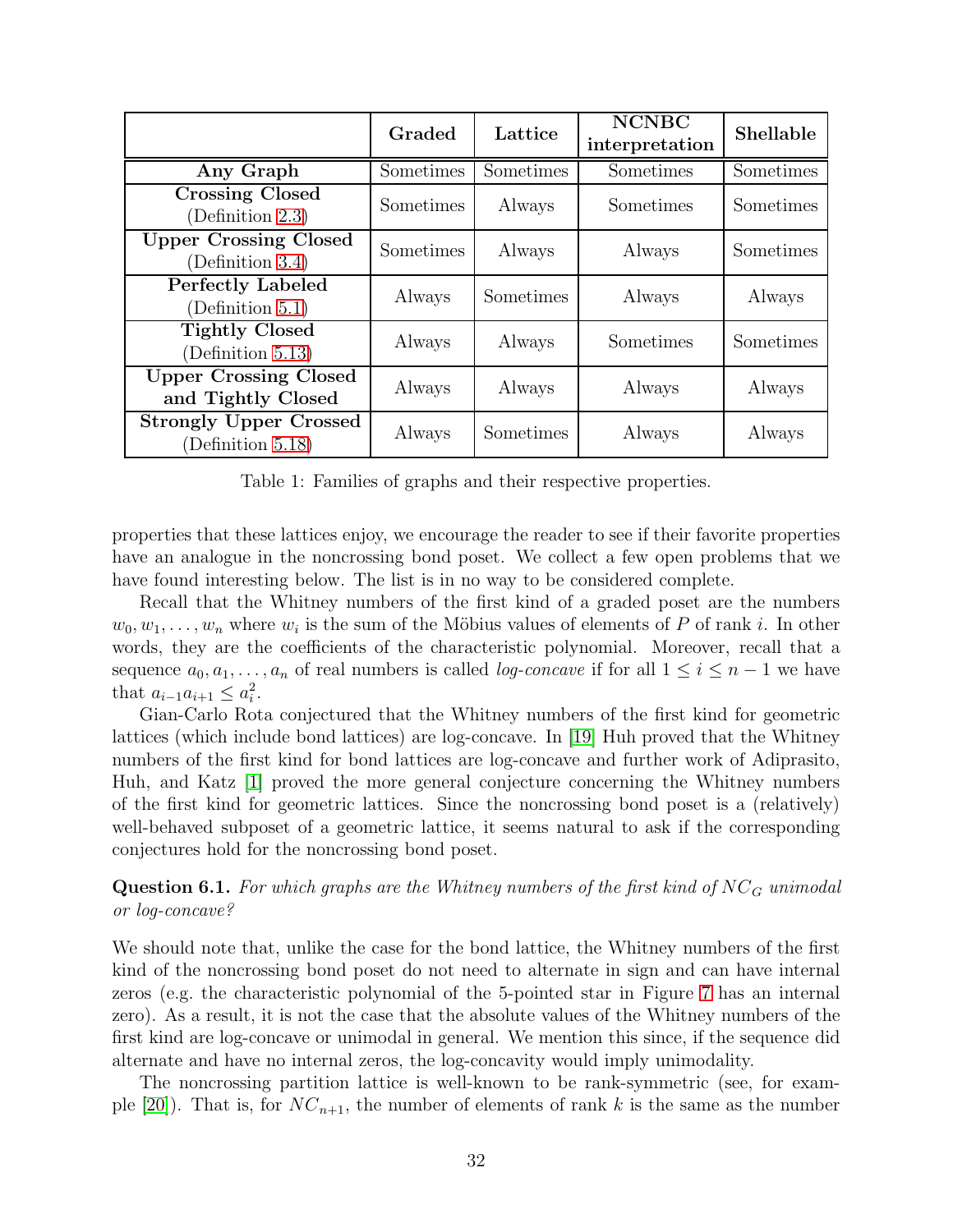|                                                       | Graded    | Lattice   | <b>NCNBC</b><br>interpretation | Shellable |
|-------------------------------------------------------|-----------|-----------|--------------------------------|-----------|
| Any Graph                                             | Sometimes | Sometimes | Sometimes                      | Sometimes |
| <b>Crossing Closed</b><br>(Definition 2.3)            | Sometimes | Always    | Sometimes                      | Sometimes |
| <b>Upper Crossing Closed</b><br>(Definition 3.4)      | Sometimes | Always    | Always                         | Sometimes |
| <b>Perfectly Labeled</b><br>(Definition 5.1)          | Always    | Sometimes | Always                         | Always    |
| <b>Tightly Closed</b><br>(Definition 5.13)            | Always    | Always    | Sometimes                      | Sometimes |
| <b>Upper Crossing Closed</b><br>and Tightly Closed    | Always    | Always    | Always                         | Always    |
| <b>Strongly Upper Crossed</b><br>(Definition $5.18$ ) | Always    | Sometimes | Always                         | Always    |

<span id="page-31-0"></span>Table 1: Families of graphs and their respective properties.

properties that these lattices enjoy, we encourage the reader to see if their favorite properties have an analogue in the noncrossing bond poset. We collect a few open problems that we have found interesting below. The list is in no way to be considered complete.

Recall that the Whitney numbers of the first kind of a graded poset are the numbers  $w_0, w_1, \ldots, w_n$  where  $w_i$  is the sum of the Möbius values of elements of P of rank i. In other words, they are the coefficients of the characteristic polynomial. Moreover, recall that a sequence  $a_0, a_1, \ldots, a_n$  of real numbers is called *log-concave* if for all  $1 \leq i \leq n-1$  we have that  $a_{i-1}a_{i+1} \leq a_i^2$ .

Gian-Carlo Rota conjectured that the Whitney numbers of the first kind for geometric lattices (which include bond lattices) are log-concave. In [\[19\]](#page-34-14) Huh proved that the Whitney numbers of the first kind for bond lattices are log-concave and further work of Adiprasito, Huh, and Katz [\[1\]](#page-32-1) proved the more general conjecture concerning the Whitney numbers of the first kind for geometric lattices. Since the noncrossing bond poset is a (relatively) well-behaved subposet of a geometric lattice, it seems natural to ask if the corresponding conjectures hold for the noncrossing bond poset.

### **Question 6.1.** For which graphs are the Whitney numbers of the first kind of  $NC_G$  unimodal or log-concave?

We should note that, unlike the case for the bond lattice, the Whitney numbers of the first kind of the noncrossing bond poset do not need to alternate in sign and can have internal zeros (e.g. the characteristic polynomial of the 5-pointed star in Figure [7](#page-16-1) has an internal zero). As a result, it is not the case that the absolute values of the Whitney numbers of the first kind are log-concave or unimodal in general. We mention this since, if the sequence did alternate and have no internal zeros, the log-concavity would imply unimodality.

The noncrossing partition lattice is well-known to be rank-symmetric (see, for exam-ple [\[20\]](#page-34-0)). That is, for  $NC_{n+1}$ , the number of elements of rank k is the same as the number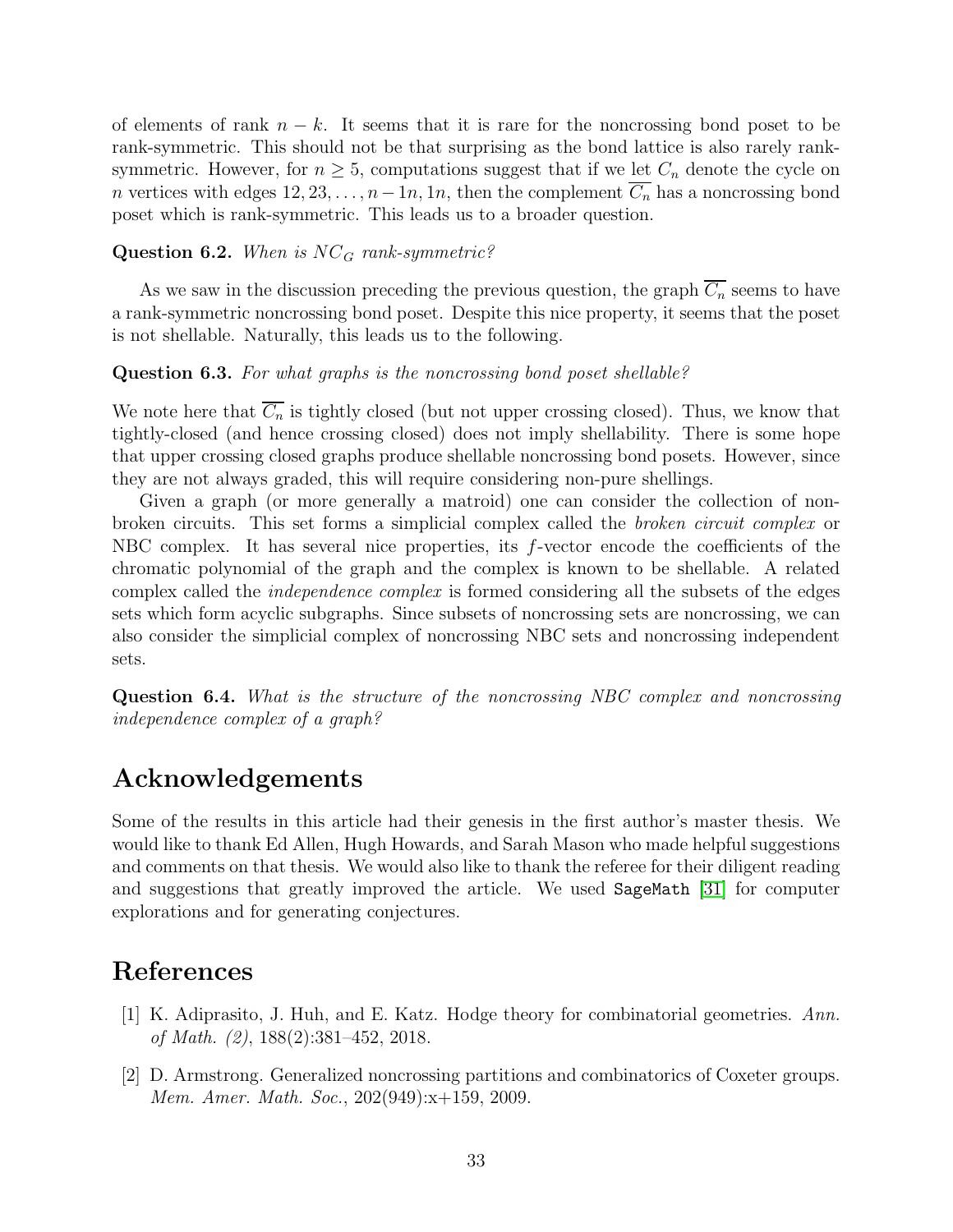of elements of rank  $n - k$ . It seems that it is rare for the noncrossing bond poset to be rank-symmetric. This should not be that surprising as the bond lattice is also rarely ranksymmetric. However, for  $n \geq 5$ , computations suggest that if we let  $C_n$  denote the cycle on n vertices with edges  $12, 23, \ldots, n-1n, 1n$ , then the complement  $C_n$  has a noncrossing bond poset which is rank-symmetric. This leads us to a broader question.

#### Question 6.2. When is  $NC_G$  rank-symmetric?

As we saw in the discussion preceding the previous question, the graph  $\overline{C_n}$  seems to have a rank-symmetric noncrossing bond poset. Despite this nice property, it seems that the poset is not shellable. Naturally, this leads us to the following.

#### Question 6.3. For what graphs is the noncrossing bond poset shellable?

We note here that  $\overline{C_n}$  is tightly closed (but not upper crossing closed). Thus, we know that tightly-closed (and hence crossing closed) does not imply shellability. There is some hope that upper crossing closed graphs produce shellable noncrossing bond posets. However, since they are not always graded, this will require considering non-pure shellings.

Given a graph (or more generally a matroid) one can consider the collection of nonbroken circuits. This set forms a simplicial complex called the broken circuit complex or NBC complex. It has several nice properties, its  $f$ -vector encode the coefficients of the chromatic polynomial of the graph and the complex is known to be shellable. A related complex called the independence complex is formed considering all the subsets of the edges sets which form acyclic subgraphs. Since subsets of noncrossing sets are noncrossing, we can also consider the simplicial complex of noncrossing NBC sets and noncrossing independent sets.

Question 6.4. What is the structure of the noncrossing NBC complex and noncrossing independence complex of a graph?

### Acknowledgements

Some of the results in this article had their genesis in the first author's master thesis. We would like to thank Ed Allen, Hugh Howards, and Sarah Mason who made helpful suggestions and comments on that thesis. We would also like to thank the referee for their diligent reading and suggestions that greatly improved the article. We used SageMath [\[31\]](#page-34-12) for computer explorations and for generating conjectures.

## <span id="page-32-1"></span>References

- [1] K. Adiprasito, J. Huh, and E. Katz. Hodge theory for combinatorial geometries. Ann. of Math. (2), 188(2):381–452, 2018.
- <span id="page-32-0"></span>[2] D. Armstrong. Generalized noncrossing partitions and combinatorics of Coxeter groups. Mem. Amer. Math. Soc., 202(949):x+159, 2009.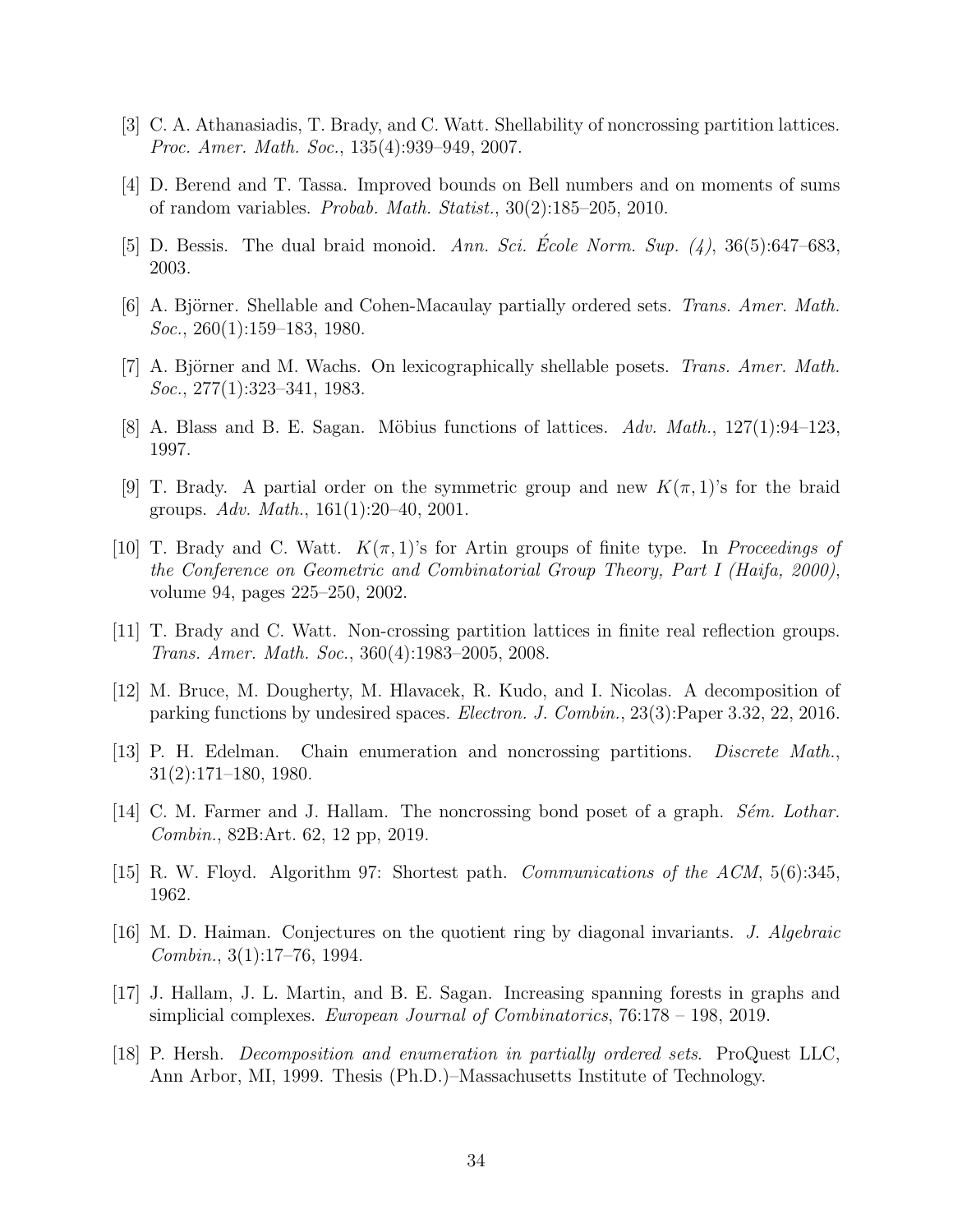- <span id="page-33-14"></span><span id="page-33-7"></span>[3] C. A. Athanasiadis, T. Brady, and C. Watt. Shellability of noncrossing partition lattices. Proc. Amer. Math. Soc., 135(4):939–949, 2007.
- <span id="page-33-3"></span>[4] D. Berend and T. Tassa. Improved bounds on Bell numbers and on moments of sums of random variables. Probab. Math. Statist., 30(2):185–205, 2010.
- <span id="page-33-0"></span>[5] D. Bessis. The dual braid monoid. Ann. Sci. Ecole Norm. Sup.  $(4)$ , 36(5):647–683, 2003.
- <span id="page-33-12"></span>[6] A. Björner. Shellable and Cohen-Macaulay partially ordered sets. Trans. Amer. Math. Soc., 260(1):159–183, 1980.
- <span id="page-33-10"></span>[7] A. Björner and M. Wachs. On lexicographically shellable posets. Trans. Amer. Math. Soc., 277(1):323–341, 1983.
- <span id="page-33-4"></span>[8] A. Blass and B. E. Sagan. Möbius functions of lattices.  $Adv. Math., 127(1):94-123$ , 1997.
- <span id="page-33-5"></span>[9] T. Brady. A partial order on the symmetric group and new  $K(\pi,1)$ 's for the braid groups. Adv. Math., 161(1):20–40, 2001.
- [10] T. Brady and C. Watt.  $K(\pi, 1)$ 's for Artin groups of finite type. In Proceedings of the Conference on Geometric and Combinatorial Group Theory, Part I (Haifa, 2000), volume 94, pages 225–250, 2002.
- <span id="page-33-9"></span><span id="page-33-6"></span>[11] T. Brady and C. Watt. Non-crossing partition lattices in finite real reflection groups. Trans. Amer. Math. Soc., 360(4):1983–2005, 2008.
- [12] M. Bruce, M. Dougherty, M. Hlavacek, R. Kudo, and I. Nicolas. A decomposition of parking functions by undesired spaces. Electron. J. Combin., 23(3):Paper 3.32, 22, 2016.
- <span id="page-33-8"></span>[13] P. H. Edelman. Chain enumeration and noncrossing partitions. Discrete Math., 31(2):171–180, 1980.
- <span id="page-33-15"></span><span id="page-33-11"></span>[14] C. M. Farmer and J. Hallam. The noncrossing bond poset of a graph. *Sém. Lothar.* Combin., 82B:Art. 62, 12 pp, 2019.
- <span id="page-33-2"></span>[15] R. W. Floyd. Algorithm 97: Shortest path. Communications of the ACM, 5(6):345, 1962.
- [16] M. D. Haiman. Conjectures on the quotient ring by diagonal invariants. J. Algebraic Combin., 3(1):17–76, 1994.
- <span id="page-33-13"></span>[17] J. Hallam, J. L. Martin, and B. E. Sagan. Increasing spanning forests in graphs and simplicial complexes. European Journal of Combinatorics, 76:178 – 198, 2019.
- <span id="page-33-1"></span>[18] P. Hersh. Decomposition and enumeration in partially ordered sets. ProQuest LLC, Ann Arbor, MI, 1999. Thesis (Ph.D.)–Massachusetts Institute of Technology.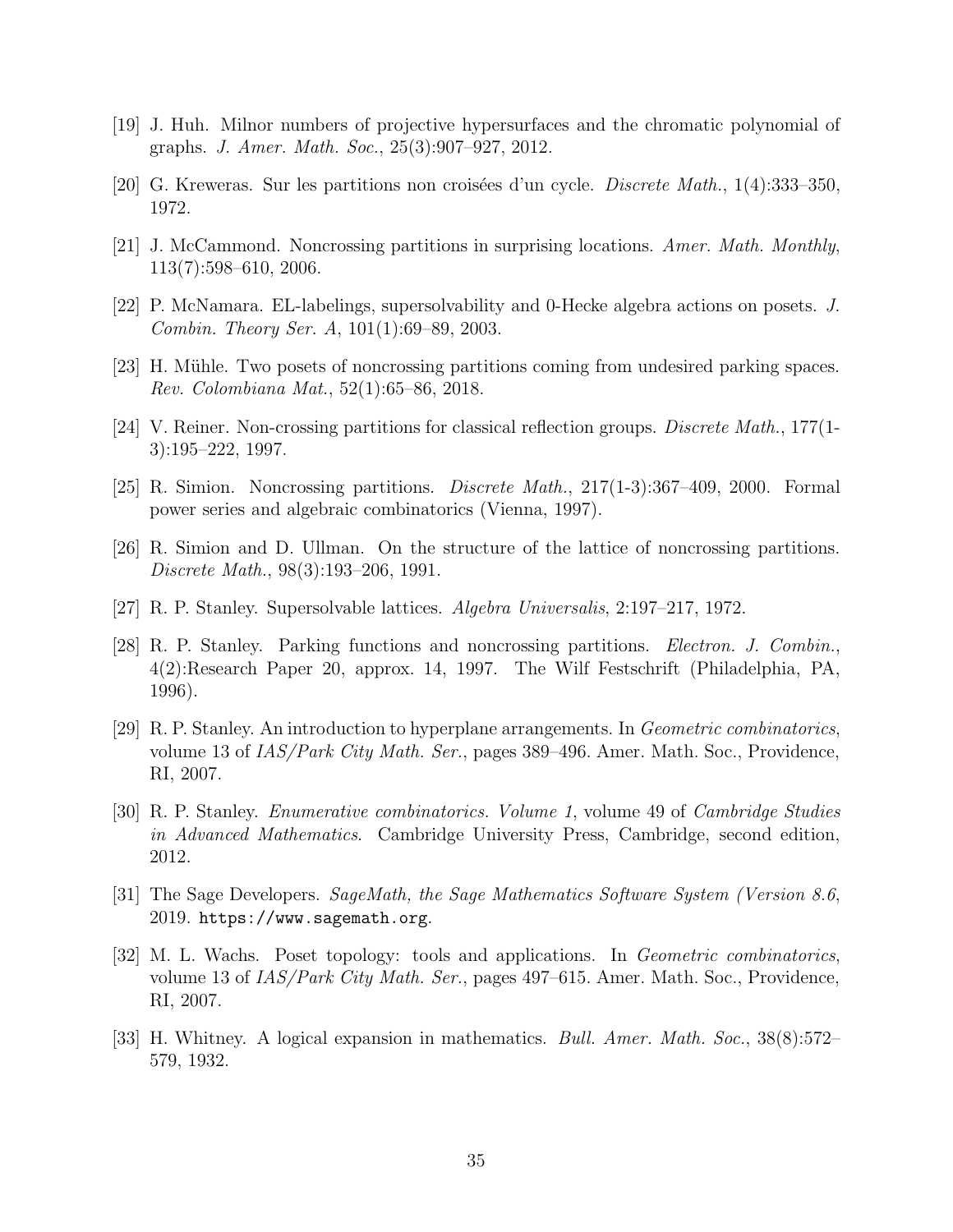- <span id="page-34-14"></span><span id="page-34-0"></span>[19] J. Huh. Milnor numbers of projective hypersurfaces and the chromatic polynomial of graphs. J. Amer. Math. Soc., 25(3):907–927, 2012.
- <span id="page-34-3"></span>[20] G. Kreweras. Sur les partitions non croisées d'un cycle. *Discrete Math.*, 1(4):333–350, 1972.
- <span id="page-34-7"></span>[21] J. McCammond. Noncrossing partitions in surprising locations. Amer. Math. Monthly, 113(7):598–610, 2006.
- <span id="page-34-6"></span>[22] P. McNamara. EL-labelings, supersolvability and 0-Hecke algebra actions on posets. J. Combin. Theory Ser. A, 101(1):69–89, 2003.
- <span id="page-34-5"></span>[23] H. Mühle. Two posets of noncrossing partitions coming from undesired parking spaces. Rev. Colombiana Mat., 52(1):65–86, 2018.
- <span id="page-34-4"></span>[24] V. Reiner. Non-crossing partitions for classical reflection groups. Discrete Math., 177(1- 3):195–222, 1997.
- <span id="page-34-1"></span>[25] R. Simion. Noncrossing partitions. Discrete Math., 217(1-3):367–409, 2000. Formal power series and algebraic combinatorics (Vienna, 1997).
- <span id="page-34-13"></span>[26] R. Simion and D. Ullman. On the structure of the lattice of noncrossing partitions. Discrete Math., 98(3):193–206, 1991.
- <span id="page-34-2"></span>[27] R. P. Stanley. Supersolvable lattices. Algebra Universalis, 2:197–217, 1972.
- [28] R. P. Stanley. Parking functions and noncrossing partitions. Electron. J. Combin., 4(2):Research Paper 20, approx. 14, 1997. The Wilf Festschrift (Philadelphia, PA, 1996).
- <span id="page-34-9"></span>[29] R. P. Stanley. An introduction to hyperplane arrangements. In Geometric combinatorics, volume 13 of IAS/Park City Math. Ser., pages 389–496. Amer. Math. Soc., Providence, RI, 2007.
- <span id="page-34-8"></span>[30] R. P. Stanley. Enumerative combinatorics. Volume 1, volume 49 of Cambridge Studies in Advanced Mathematics. Cambridge University Press, Cambridge, second edition, 2012.
- <span id="page-34-12"></span>[31] The Sage Developers. SageMath, the Sage Mathematics Software System (Version 8.6, 2019. https://www.sagemath.org.
- <span id="page-34-11"></span>[32] M. L. Wachs. Poset topology: tools and applications. In Geometric combinatorics, volume 13 of IAS/Park City Math. Ser., pages 497–615. Amer. Math. Soc., Providence, RI, 2007.
- <span id="page-34-10"></span>[33] H. Whitney. A logical expansion in mathematics. Bull. Amer. Math. Soc., 38(8):572– 579, 1932.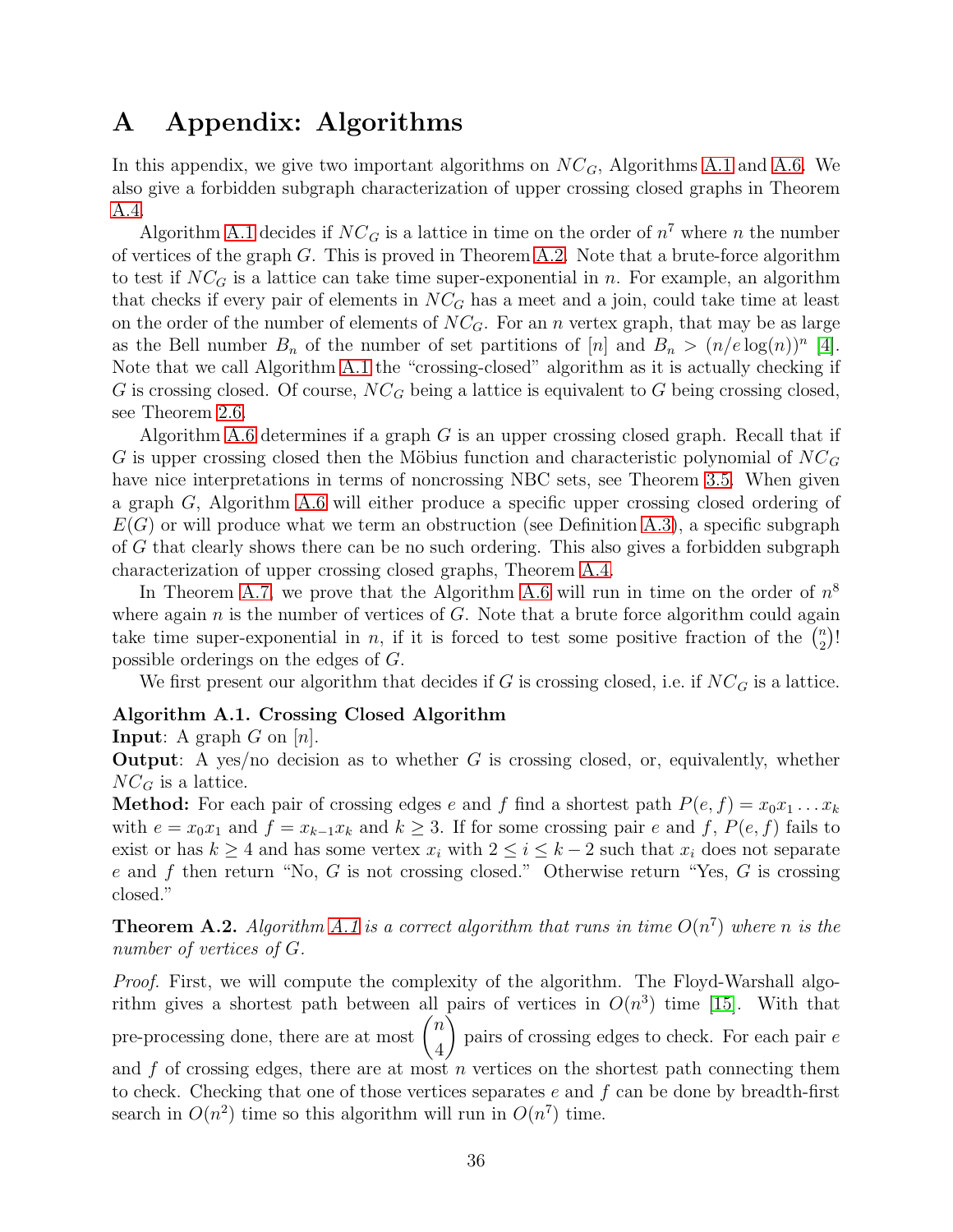## <span id="page-35-0"></span>A Appendix: Algorithms

In this appendix, we give two important algorithms on  $NC_G$ , Algorithms [A.1](#page-35-1) and [A.6.](#page-37-0) We also give a forbidden subgraph characterization of upper crossing closed graphs in Theorem [A.4.](#page-36-0)

Algorithm [A.1](#page-35-1) decides if  $NC_G$  is a lattice in time on the order of  $n^7$  where n the number of vertices of the graph G. This is proved in Theorem [A.2.](#page-35-2) Note that a brute-force algorithm to test if  $NC_G$  is a lattice can take time super-exponential in n. For example, an algorithm that checks if every pair of elements in  $NC_G$  has a meet and a join, could take time at least on the order of the number of elements of  $NC_G$ . For an n vertex graph, that may be as large as the Bell number  $B_n$  of the number of set partitions of  $[n]$  and  $B_n > (n/e \log(n))^n$  [\[4\]](#page-33-14). Note that we call Algorithm [A.1](#page-35-1) the "crossing-closed" algorithm as it is actually checking if G is crossing closed. Of course,  $NC_G$  being a lattice is equivalent to G being crossing closed, see Theorem [2.6.](#page-7-0)

Algorithm [A.6](#page-37-0) determines if a graph  $G$  is an upper crossing closed graph. Recall that if G is upper crossing closed then the Möbius function and characteristic polynomial of  $NC_G$ have nice interpretations in terms of noncrossing NBC sets, see Theorem [3.5.](#page-12-0) When given a graph G, Algorithm [A.6](#page-37-0) will either produce a specific upper crossing closed ordering of  $E(G)$  or will produce what we term an obstruction (see Definition [A.3\)](#page-36-1), a specific subgraph of G that clearly shows there can be no such ordering. This also gives a forbidden subgraph characterization of upper crossing closed graphs, Theorem [A.4.](#page-36-0)

In Theorem [A.7,](#page-38-0) we prove that the Algorithm [A.6](#page-37-0) will run in time on the order of  $n^8$ where again  $n$  is the number of vertices of  $G$ . Note that a brute force algorithm could again take time super-exponential in n, if it is forced to test some positive fraction of the  $\binom{n}{2}$  $\binom{n}{2}$ ! possible orderings on the edges of G.

We first present our algorithm that decides if G is crossing closed, i.e. if  $NC_G$  is a lattice.

#### <span id="page-35-1"></span>Algorithm A.1. Crossing Closed Algorithm

**Input:** A graph  $G$  on  $[n]$ .

**Output:** A yes/no decision as to whether G is crossing closed, or, equivalently, whether  $NC_G$  is a lattice.

**Method:** For each pair of crossing edges e and f find a shortest path  $P(e, f) = x_0x_1...x_k$ with  $e = x_0 x_1$  and  $f = x_{k-1} x_k$  and  $k \ge 3$ . If for some crossing pair e and f,  $P(e, f)$  fails to exist or has  $k \geq 4$  and has some vertex  $x_i$  with  $2 \leq i \leq k-2$  such that  $x_i$  does not separate e and f then return "No, G is not crossing closed." Otherwise return "Yes, G is crossing closed."

<span id="page-35-2"></span>**Theorem A.2.** Algorithm [A.1](#page-35-1) is a correct algorithm that runs in time  $O(n^7)$  where n is the number of vertices of G.

*Proof.* First, we will compute the complexity of the algorithm. The Floyd-Warshall algorithm gives a shortest path between all pairs of vertices in  $O(n^3)$  time [\[15\]](#page-33-15). With that pre-processing done, there are at most  $\binom{n}{4}$ 4  $\setminus$ pairs of crossing edges to check. For each pair e and f of crossing edges, there are at most  $n$  vertices on the shortest path connecting them to check. Checking that one of those vertices separates  $e$  and  $f$  can be done by breadth-first search in  $O(n^2)$  time so this algorithm will run in  $O(n^7)$  time.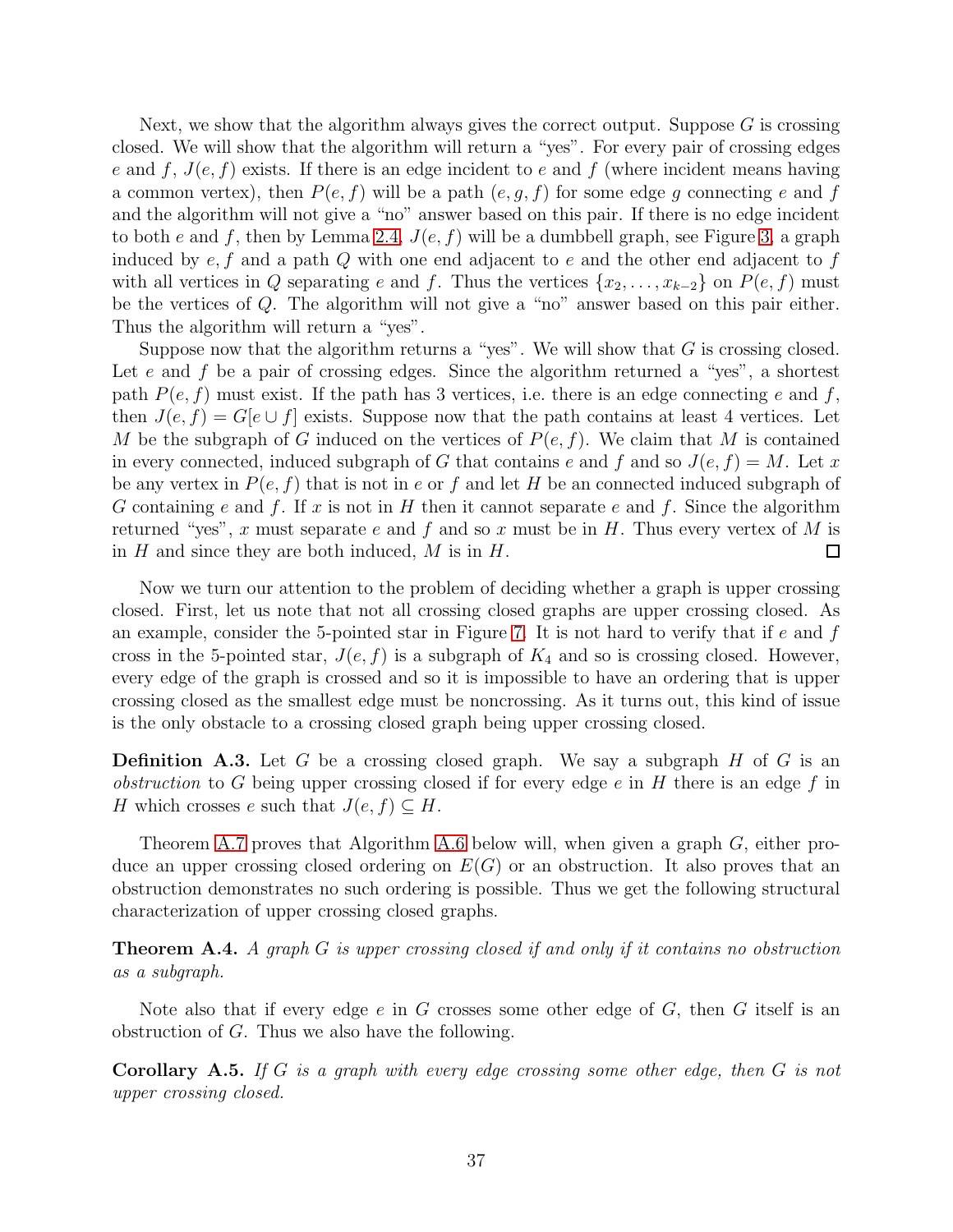Next, we show that the algorithm always gives the correct output. Suppose  $G$  is crossing closed. We will show that the algorithm will return a "yes". For every pair of crossing edges e and f,  $J(e, f)$  exists. If there is an edge incident to e and f (where incident means having a common vertex), then  $P(e, f)$  will be a path  $(e, g, f)$  for some edge g connecting e and f and the algorithm will not give a "no" answer based on this pair. If there is no edge incident to both e and f, then by Lemma [2.4,](#page-5-1)  $J(e, f)$  will be a dumbbell graph, see Figure [3,](#page-6-0) a graph induced by  $e, f$  and a path  $Q$  with one end adjacent to  $e$  and the other end adjacent to  $f$ with all vertices in Q separating e and f. Thus the vertices  $\{x_2, \ldots, x_{k-2}\}\$  on  $P(e, f)$  must be the vertices of Q. The algorithm will not give a "no" answer based on this pair either. Thus the algorithm will return a "yes".

Suppose now that the algorithm returns a "yes". We will show that  $G$  is crossing closed. Let e and f be a pair of crossing edges. Since the algorithm returned a "yes", a shortest path  $P(e, f)$  must exist. If the path has 3 vertices, i.e. there is an edge connecting e and f, then  $J(e, f) = G[e \cup f]$  exists. Suppose now that the path contains at least 4 vertices. Let M be the subgraph of G induced on the vertices of  $P(e, f)$ . We claim that M is contained in every connected, induced subgraph of G that contains e and f and so  $J(e, f) = M$ . Let x be any vertex in  $P(e, f)$  that is not in e or f and let H be an connected induced subgraph of G containing e and f. If x is not in H then it cannot separate e and f. Since the algorithm returned "yes", x must separate e and f and so x must be in H. Thus every vertex of M is in  $H$  and since they are both induced,  $M$  is in  $H$ . 口

Now we turn our attention to the problem of deciding whether a graph is upper crossing closed. First, let us note that not all crossing closed graphs are upper crossing closed. As an example, consider the 5-pointed star in Figure [7.](#page-16-1) It is not hard to verify that if  $e$  and  $f$ cross in the 5-pointed star,  $J(e, f)$  is a subgraph of  $K_4$  and so is crossing closed. However, every edge of the graph is crossed and so it is impossible to have an ordering that is upper crossing closed as the smallest edge must be noncrossing. As it turns out, this kind of issue is the only obstacle to a crossing closed graph being upper crossing closed.

<span id="page-36-1"></span>**Definition A.3.** Let G be a crossing closed graph. We say a subgraph H of G is an *obstruction* to G being upper crossing closed if for every edge e in H there is an edge f in H which crosses e such that  $J(e, f) \subseteq H$ .

Theorem [A.7](#page-38-0) proves that Algorithm [A.6](#page-37-0) below will, when given a graph  $G$ , either produce an upper crossing closed ordering on  $E(G)$  or an obstruction. It also proves that an obstruction demonstrates no such ordering is possible. Thus we get the following structural characterization of upper crossing closed graphs.

<span id="page-36-0"></span>**Theorem A.4.** A graph G is upper crossing closed if and only if it contains no obstruction as a subgraph.

Note also that if every edge e in G crosses some other edge of  $G$ , then  $G$  itself is an obstruction of G. Thus we also have the following.

<span id="page-36-2"></span>Corollary A.5. If G is a graph with every edge crossing some other edge, then G is not upper crossing closed.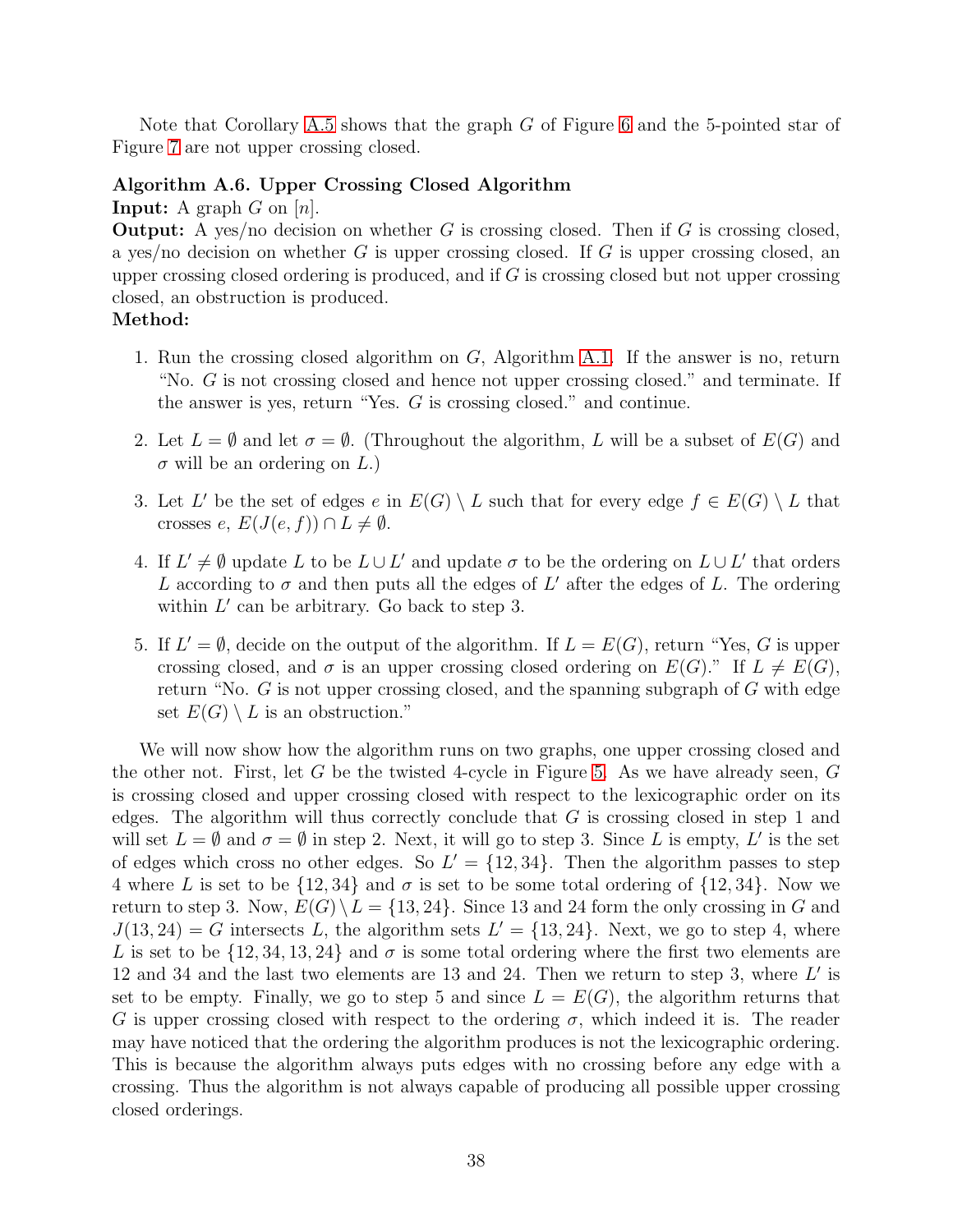Note that Corollary [A.5](#page-36-2) shows that the graph  $G$  of Figure [6](#page-16-0) and the 5-pointed star of Figure [7](#page-16-1) are not upper crossing closed.

#### <span id="page-37-0"></span>Algorithm A.6. Upper Crossing Closed Algorithm

**Input:** A graph G on  $|n|$ .

**Output:** A yes/no decision on whether G is crossing closed. Then if G is crossing closed, a yes/no decision on whether G is upper crossing closed. If G is upper crossing closed, an upper crossing closed ordering is produced, and if  $G$  is crossing closed but not upper crossing closed, an obstruction is produced.

#### Method:

- 1. Run the crossing closed algorithm on G, Algorithm [A.1.](#page-35-1) If the answer is no, return "No. G is not crossing closed and hence not upper crossing closed." and terminate. If the answer is yes, return "Yes. G is crossing closed." and continue.
- 2. Let  $L = \emptyset$  and let  $\sigma = \emptyset$ . (Throughout the algorithm, L will be a subset of  $E(G)$  and  $\sigma$  will be an ordering on L.)
- 3. Let L' be the set of edges e in  $E(G) \setminus L$  such that for every edge  $f \in E(G) \setminus L$  that crosses  $e, E(J(e, f)) \cap L \neq \emptyset$ .
- 4. If  $L' \neq \emptyset$  update L to be  $L \cup L'$  and update  $\sigma$  to be the ordering on  $L \cup L'$  that orders L according to  $\sigma$  and then puts all the edges of L' after the edges of L. The ordering within  $L'$  can be arbitrary. Go back to step 3.
- 5. If  $L' = \emptyset$ , decide on the output of the algorithm. If  $L = E(G)$ , return "Yes, G is upper crossing closed, and  $\sigma$  is an upper crossing closed ordering on  $E(G)$ ." If  $L \neq E(G)$ , return "No. G is not upper crossing closed, and the spanning subgraph of G with edge set  $E(G) \setminus L$  is an obstruction."

We will now show how the algorithm runs on two graphs, one upper crossing closed and the other not. First, let G be the twisted 4-cycle in Figure [5.](#page-11-0) As we have already seen, G is crossing closed and upper crossing closed with respect to the lexicographic order on its edges. The algorithm will thus correctly conclude that  $G$  is crossing closed in step 1 and will set  $L = \emptyset$  and  $\sigma = \emptyset$  in step 2. Next, it will go to step 3. Since L is empty, L' is the set of edges which cross no other edges. So  $L' = \{12, 34\}$ . Then the algorithm passes to step 4 where L is set to be  $\{12, 34\}$  and  $\sigma$  is set to be some total ordering of  $\{12, 34\}$ . Now we return to step 3. Now,  $E(G) \backslash L = \{13, 24\}$ . Since 13 and 24 form the only crossing in G and  $J(13, 24) = G$  intersects L, the algorithm sets  $L' = \{13, 24\}$ . Next, we go to step 4, where L is set to be  $\{12, 34, 13, 24\}$  and  $\sigma$  is some total ordering where the first two elements are 12 and 34 and the last two elements are 13 and 24. Then we return to step 3, where  $L'$  is set to be empty. Finally, we go to step 5 and since  $L = E(G)$ , the algorithm returns that G is upper crossing closed with respect to the ordering  $\sigma$ , which indeed it is. The reader may have noticed that the ordering the algorithm produces is not the lexicographic ordering. This is because the algorithm always puts edges with no crossing before any edge with a crossing. Thus the algorithm is not always capable of producing all possible upper crossing closed orderings.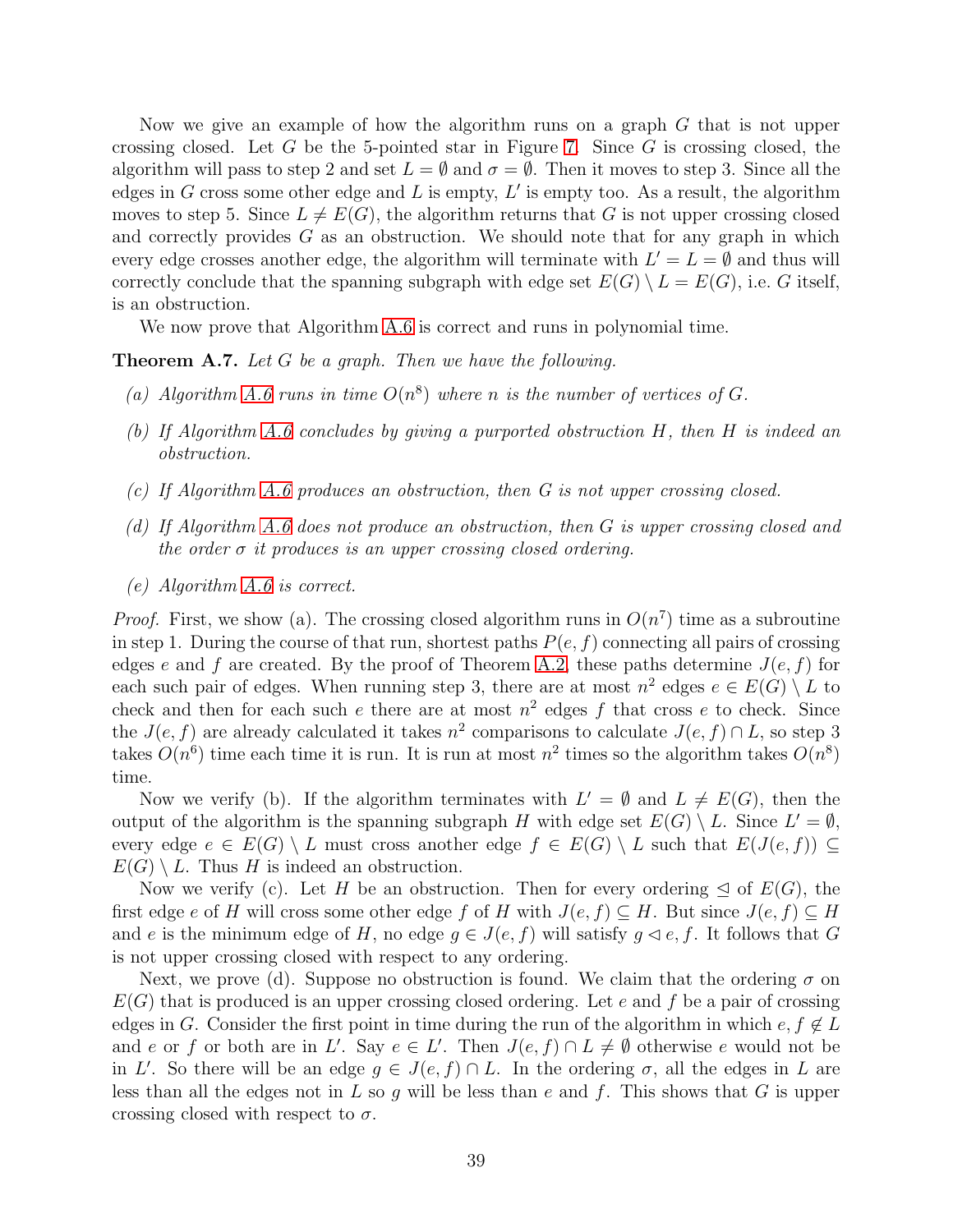Now we give an example of how the algorithm runs on a graph G that is not upper crossing closed. Let G be the 5-pointed star in Figure [7.](#page-16-1) Since G is crossing closed, the algorithm will pass to step 2 and set  $L = \emptyset$  and  $\sigma = \emptyset$ . Then it moves to step 3. Since all the edges in  $G$  cross some other edge and  $L$  is empty,  $L'$  is empty too. As a result, the algorithm moves to step 5. Since  $L \neq E(G)$ , the algorithm returns that G is not upper crossing closed and correctly provides  $G$  as an obstruction. We should note that for any graph in which every edge crosses another edge, the algorithm will terminate with  $L' = L = \emptyset$  and thus will correctly conclude that the spanning subgraph with edge set  $E(G) \setminus L = E(G)$ , i.e. G itself, is an obstruction.

We now prove that Algorithm [A.6](#page-37-0) is correct and runs in polynomial time.

<span id="page-38-0"></span>**Theorem A.7.** Let  $G$  be a graph. Then we have the following.

- (a) Algorithm [A.6](#page-37-0) runs in time  $O(n^8)$  where n is the number of vertices of G.
- (b) If Algorithm [A.6](#page-37-0) concludes by giving a purported obstruction H, then H is indeed an obstruction.
- (c) If Algorithm [A.6](#page-37-0) produces an obstruction, then G is not upper crossing closed.
- (d) If Algorithm [A.6](#page-37-0) does not produce an obstruction, then G is upper crossing closed and the order  $\sigma$  it produces is an upper crossing closed ordering.
- (e) Algorithm [A.6](#page-37-0) is correct.

*Proof.* First, we show (a). The crossing closed algorithm runs in  $O(n^7)$  time as a subroutine in step 1. During the course of that run, shortest paths  $P(e, f)$  connecting all pairs of crossing edges e and f are created. By the proof of Theorem [A.2,](#page-35-2) these paths determine  $J(e, f)$  for each such pair of edges. When running step 3, there are at most  $n^2$  edges  $e \in E(G) \setminus L$  to check and then for each such  $e$  there are at most  $n^2$  edges  $f$  that cross  $e$  to check. Since the  $J(e, f)$  are already calculated it takes  $n^2$  comparisons to calculate  $J(e, f) \cap L$ , so step 3 takes  $O(n^6)$  time each time it is run. It is run at most  $n^2$  times so the algorithm takes  $O(n^8)$ time.

Now we verify (b). If the algorithm terminates with  $L' = \emptyset$  and  $L \neq E(G)$ , then the output of the algorithm is the spanning subgraph H with edge set  $E(G) \setminus L$ . Since  $L' = \emptyset$ , every edge  $e \in E(G) \setminus L$  must cross another edge  $f \in E(G) \setminus L$  such that  $E(J(e, f)) \subseteq$  $E(G) \setminus L$ . Thus H is indeed an obstruction.

Now we verify (c). Let H be an obstruction. Then for every ordering  $\leq$  of  $E(G)$ , the first edge e of H will cross some other edge f of H with  $J(e, f) \subseteq H$ . But since  $J(e, f) \subseteq H$ and e is the minimum edge of H, no edge  $g \in J(e, f)$  will satisfy  $g \lhd e, f$ . It follows that G is not upper crossing closed with respect to any ordering.

Next, we prove (d). Suppose no obstruction is found. We claim that the ordering  $\sigma$  on  $E(G)$  that is produced is an upper crossing closed ordering. Let e and f be a pair of crossing edges in G. Consider the first point in time during the run of the algorithm in which  $e, f \notin L$ and e or f or both are in L'. Say  $e \in L'$ . Then  $J(e, f) \cap L \neq \emptyset$  otherwise e would not be in L'. So there will be an edge  $g \in J(e, f) \cap L$ . In the ordering  $\sigma$ , all the edges in L are less than all the edges not in L so g will be less than e and f. This shows that G is upper crossing closed with respect to  $\sigma$ .